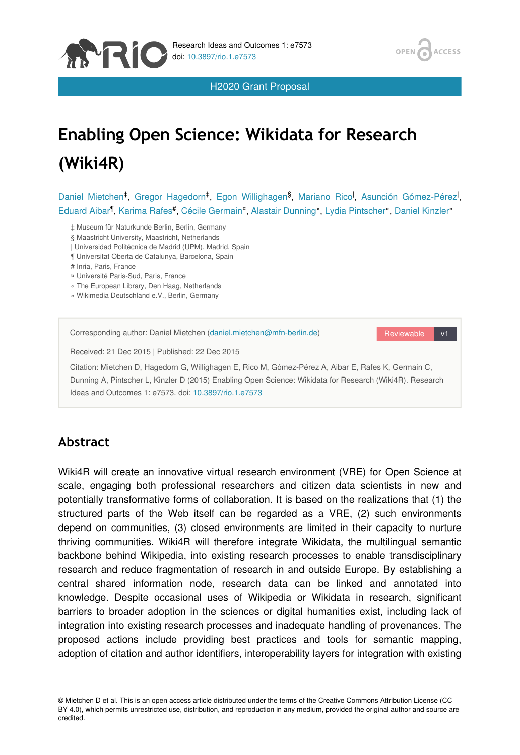

H2020 Grant Proposal

## **ACCESS OPEN**

# **Enabling Open Science: Wikidata for Research (Wiki4R)**

Daniel Mietchen<sup>‡</sup>, Gregor Hagedorn<sup>‡</sup>, Egon Willighagen<sup>§</sup>, Mariano Rico<sup>l</sup>, Asunción Gómez-Pérez<sup>l</sup>, Eduard Aibar<sup>1</sup>, Karima Rafes<sup>#</sup>, Cécile Germain<sup>n</sup>, Alastair Dunning", Lydia Pintscher", Daniel Kinzler"

‡ Museum für Naturkunde Berlin, Berlin, Germany

§ Maastricht University, Maastricht, Netherlands

- | Universidad Politécnica de Madrid (UPM), Madrid, Spain
- ¶ Universitat Oberta de Catalunya, Barcelona, Spain

# Inria, Paris, France

- ¤ Université Paris-Sud, Paris, France
- « The European Library, Den Haag, Netherlands
- » Wikimedia Deutschland e.V., Berlin, Germany

| Corresponding author: Daniel Mietchen (daniel.mietchen@mfn-berlin.de)                                                                                                                                                                                                     | Reviewable<br>v1 |
|---------------------------------------------------------------------------------------------------------------------------------------------------------------------------------------------------------------------------------------------------------------------------|------------------|
| Received: 21 Dec 2015   Published: 22 Dec 2015                                                                                                                                                                                                                            |                  |
| Citation: Mietchen D. Hagedorn G. Willighagen E. Rico M. Gómez-Pérez A. Aibar E. Rafes K. Germain C.<br>Dunning A, Pintscher L, Kinzler D (2015) Enabling Open Science: Wikidata for Research (Wiki4R). Research<br>Ideas and Outcomes 1: e7573. doi: 10.3897/rio.1.e7573 |                  |

# **Abstract**

Wiki4R will create an innovative virtual research environment (VRE) for Open Science at scale, engaging both professional researchers and citizen data scientists in new and potentially transformative forms of collaboration. It is based on the realizations that (1) the structured parts of the Web itself can be regarded as a VRE, (2) such environments depend on communities, (3) closed environments are limited in their capacity to nurture thriving communities. Wiki4R will therefore integrate Wikidata, the multilingual semantic backbone behind Wikipedia, into existing research processes to enable transdisciplinary research and reduce fragmentation of research in and outside Europe. By establishing a central shared information node, research data can be linked and annotated into knowledge. Despite occasional uses of Wikipedia or Wikidata in research, significant barriers to broader adoption in the sciences or digital humanities exist, including lack of integration into existing research processes and inadequate handling of provenances. The proposed actions include providing best practices and tools for semantic mapping, adoption of citation and author identifiers, interoperability layers for integration with existing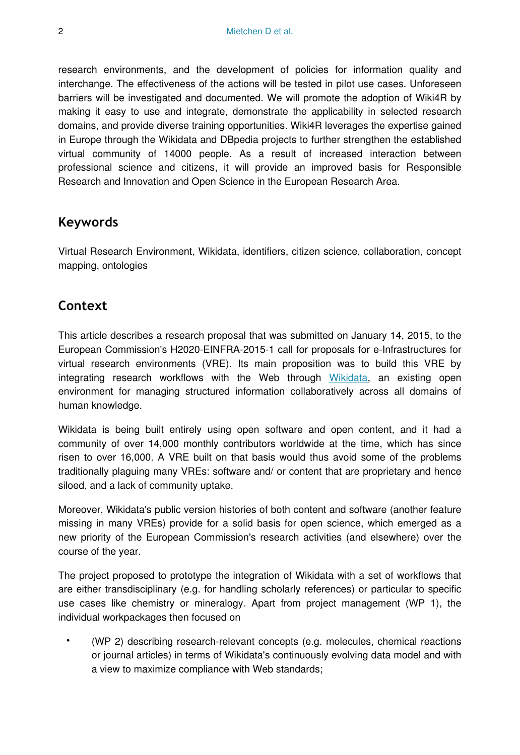research environments, and the development of policies for information quality and interchange. The effectiveness of the actions will be tested in pilot use cases. Unforeseen barriers will be investigated and documented. We will promote the adoption of Wiki4R by making it easy to use and integrate, demonstrate the applicability in selected research domains, and provide diverse training opportunities. Wiki4R leverages the expertise gained in Europe through the Wikidata and DBpedia projects to further strengthen the established virtual community of 14000 people. As a result of increased interaction between professional science and citizens, it will provide an improved basis for Responsible Research and Innovation and Open Science in the European Research Area.

## **Keywords**

Virtual Research Environment, Wikidata, identifiers, citizen science, collaboration, concept mapping, ontologies

## **Context**

This article describes a research proposal that was submitted on January 14, 2015, to the European Commission's H2020-EINFRA-2015-1 call for proposals for e-Infrastructures for virtual research environments (VRE). Its main proposition was to build this VRE by integrating research workflows with the Web through [Wikidata,](http://wikidata.org/) an existing open environment for managing structured information collaboratively across all domains of human knowledge.

Wikidata is being built entirely using open software and open content, and it had a community of over 14,000 monthly contributors worldwide at the time, which has since risen to over 16,000. A VRE built on that basis would thus avoid some of the problems traditionally plaguing many VREs: software and/ or content that are proprietary and hence siloed, and a lack of community uptake.

Moreover, Wikidata's public version histories of both content and software (another feature missing in many VREs) provide for a solid basis for open science, which emerged as a new priority of the European Commission's research activities (and elsewhere) over the course of the year.

The project proposed to prototype the integration of Wikidata with a set of workflows that are either transdisciplinary (e.g. for handling scholarly references) or particular to specific use cases like chemistry or mineralogy. Apart from project management (WP 1), the individual workpackages then focused on

• (WP 2) describing research-relevant concepts (e.g. molecules, chemical reactions or journal articles) in terms of Wikidata's continuously evolving data model and with a view to maximize compliance with Web standards;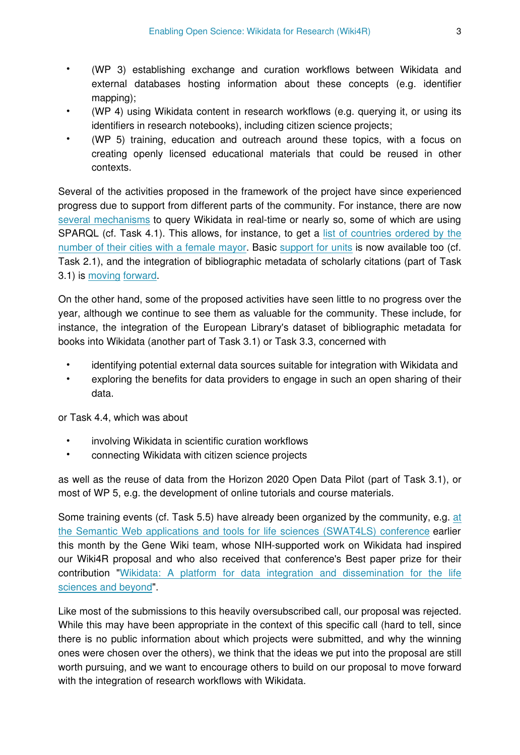- (WP 3) establishing exchange and curation workflows between Wikidata and external databases hosting information about these concepts (e.g. identifier mapping);
- (WP 4) using Wikidata content in research workflows (e.g. querying it, or using its identifiers in research notebooks), including citizen science projects;
- (WP 5) training, education and outreach around these topics, with a focus on creating openly licensed educational materials that could be reused in other contexts.

Several of the activities proposed in the framework of the project have since experienced progress due to support from different parts of the community. For instance, there are now [several mechanisms](https://www.wikidata.org/wiki/Wikidata:Data_access) to query Wikidata in real-time or nearly so, some of which are using SPARQL (cf. Task 4.1). This allows, for instance, to get a [list of countries ordered by the](https://query.wikidata.org/#PREFIX%20wikibase%3A%20%3Chttp%3A%2F%2Fwikiba.se%2Fontology%23%3E%0APREFIX%20wd%3A%20%3Chttp%3A%2F%2Fwww.wikidata.org%2Fentity%2F%3E%20%0APREFIX%20wdt%3A%20%3Chttp%3A%2F%2Fwww.wikidata.org%2Fprop%2Fdirect%2F%3E%0APREFIX%20rdfs%3A%20%3Chttp%3A%2F%2Fwww.w3.org%2F2000%2F01%2Frdf-schema%23%3E%0APREFIX%20p%3A%20%3Chttp%3A%2F%2Fwww.wikidata.org%2Fprop%2F%3E%0APREFIX%20q%3A%20%3Chttp%3A%2F%2Fwww.wikidata.org%2Fprop%2Fqualifier%2F%3E%0APREFIX%20v%3A%20%3Chttp%3A%2F%2Fwww.wikidata.org%2Fprop%2Fstatement%2F%3E%0A%0ASELECT%20%3Fcountry%20%3FcountryLabel%20%28count%28*%29%20as%20%3Fcount%29%20WHERE%20%7B%0A%20%20%3Fcity%20wdt%3AP31%2Fwdt%3AP279*%20wd%3AQ515%20.%20%20%23%20find%20instances%20of%20subclasses%20of%20city%0A%20%20%3Fcity%20p%3AP6%20%3Fstatement%20.%20%20%20%20%20%20%23%20with%20a%20P6%20%28head%20of%20goverment%29%20statement%0A%20%20%3Fstatement%20v%3AP6%20%3Fmayor%20.%20%20%20%20%20%23%20...%20that%20has%20the%20value%20%3Fmayor%0A%20%20%3Fmayor%20wdt%3AP21%20wd%3AQ6581072%20.%20%20%20%20%20%23%20...%20where%20the%20%3Fmayor%20has%20P21%20%28sex%20or%20gender%29%20female%0A%20%20FILTER%20NOT%20EXISTS%20%7B%20%3Fstatement%20q%3AP582%20%3Fx%20%7D%20%20%23%20...%20but%20the%20statement%20has%20no%20P582%20%28end%20date%29%20qualifier%0A%20%20%3Fcity%20wdt%3AP17%20%3Fcountry%20%20%20%23%20Also%20find%20the%20country%20of%20the%20city%0A%20%0A%20%20%23%20If%20available%2C%20get%20the%20%22en%22%20label%20of%20the%20country%2C%20use%20%22de%22%20as%20fallback%3A%0A%20%20SERVICE%20wikibase%3Alabel%20%7B%0A%20%20%20%20bd%3AserviceParam%20wikibase%3Alanguage%20%22en%2C%20de%22%20.%0A%20%20%7D%0A%20%7D%20GROUP%20BY%20%3Fcountry%20%3FcountryLabel%20ORDER%20BY%20DESC%28%3Fcount%29%20LIMIT%20100) [number of their cities with a female mayor.](https://query.wikidata.org/#PREFIX%20wikibase%3A%20%3Chttp%3A%2F%2Fwikiba.se%2Fontology%23%3E%0APREFIX%20wd%3A%20%3Chttp%3A%2F%2Fwww.wikidata.org%2Fentity%2F%3E%20%0APREFIX%20wdt%3A%20%3Chttp%3A%2F%2Fwww.wikidata.org%2Fprop%2Fdirect%2F%3E%0APREFIX%20rdfs%3A%20%3Chttp%3A%2F%2Fwww.w3.org%2F2000%2F01%2Frdf-schema%23%3E%0APREFIX%20p%3A%20%3Chttp%3A%2F%2Fwww.wikidata.org%2Fprop%2F%3E%0APREFIX%20q%3A%20%3Chttp%3A%2F%2Fwww.wikidata.org%2Fprop%2Fqualifier%2F%3E%0APREFIX%20v%3A%20%3Chttp%3A%2F%2Fwww.wikidata.org%2Fprop%2Fstatement%2F%3E%0A%0ASELECT%20%3Fcountry%20%3FcountryLabel%20%28count%28*%29%20as%20%3Fcount%29%20WHERE%20%7B%0A%20%20%3Fcity%20wdt%3AP31%2Fwdt%3AP279*%20wd%3AQ515%20.%20%20%23%20find%20instances%20of%20subclasses%20of%20city%0A%20%20%3Fcity%20p%3AP6%20%3Fstatement%20.%20%20%20%20%20%20%23%20with%20a%20P6%20%28head%20of%20goverment%29%20statement%0A%20%20%3Fstatement%20v%3AP6%20%3Fmayor%20.%20%20%20%20%20%23%20...%20that%20has%20the%20value%20%3Fmayor%0A%20%20%3Fmayor%20wdt%3AP21%20wd%3AQ6581072%20.%20%20%20%20%20%23%20...%20where%20the%20%3Fmayor%20has%20P21%20%28sex%20or%20gender%29%20female%0A%20%20FILTER%20NOT%20EXISTS%20%7B%20%3Fstatement%20q%3AP582%20%3Fx%20%7D%20%20%23%20...%20but%20the%20statement%20has%20no%20P582%20%28end%20date%29%20qualifier%0A%20%20%3Fcity%20wdt%3AP17%20%3Fcountry%20%20%20%23%20Also%20find%20the%20country%20of%20the%20city%0A%20%0A%20%20%23%20If%20available%2C%20get%20the%20%22en%22%20label%20of%20the%20country%2C%20use%20%22de%22%20as%20fallback%3A%0A%20%20SERVICE%20wikibase%3Alabel%20%7B%0A%20%20%20%20bd%3AserviceParam%20wikibase%3Alanguage%20%22en%2C%20de%22%20.%0A%20%20%7D%0A%20%7D%20GROUP%20BY%20%3Fcountry%20%3FcountryLabel%20ORDER%20BY%20DESC%28%3Fcount%29%20LIMIT%20100) Basic [support for units](https://www.wikidata.org/wiki/Wikidata:Units) is now available too (cf. Task 2.1), and the integration of bibliographic metadata of scholarly citations (part of Task 3.1) is [moving](https://www.wikidata.org/wiki/Wikidata:WikiProject_Source_MetaData) [forward.](https://meta.wikimedia.org/wiki/Wikipedia_as_the_front_matter_to_all_research)

On the other hand, some of the proposed activities have seen little to no progress over the year, although we continue to see them as valuable for the community. These include, for instance, the integration of the European Library's dataset of bibliographic metadata for books into Wikidata (another part of Task 3.1) or Task 3.3, concerned with

- identifying potential external data sources suitable for integration with Wikidata and
- exploring the benefits for data providers to engage in such an open sharing of their data.

or Task 4.4, which was about

- involving Wikidata in scientific curation workflows
- connecting Wikidata with citizen science projects

as well as the reuse of data from the Horizon 2020 Open Data Pilot (part of Task 3.1), or most of WP 5, e.g. the development of online tutorials and course materials.

Some training events (cf. Task 5.5) have already been organized by the community, e.g. [at](http://www.swat4ls.org/workshops/cambridge2015/programme/tutorials/#wikidata) [the Semantic Web applications and tools for life sciences \(SWAT4LS\) conference](http://www.swat4ls.org/workshops/cambridge2015/programme/tutorials/#wikidata) earlier this month by the Gene Wiki team, whose NIH-supported work on Wikidata had inspired our Wiki4R proposal and who also received that conference's Best paper prize for their contribution "[Wikidata: A platform for data integration and dissemination for the life](http://dx.doi.org/10.1101/031971) [sciences and beyond"](http://dx.doi.org/10.1101/031971).

Like most of the submissions to this heavily oversubscribed call, our proposal was rejected. While this may have been appropriate in the context of this specific call (hard to tell, since there is no public information about which projects were submitted, and why the winning ones were chosen over the others), we think that the ideas we put into the proposal are still worth pursuing, and we want to encourage others to build on our proposal to move forward with the integration of research workflows with Wikidata.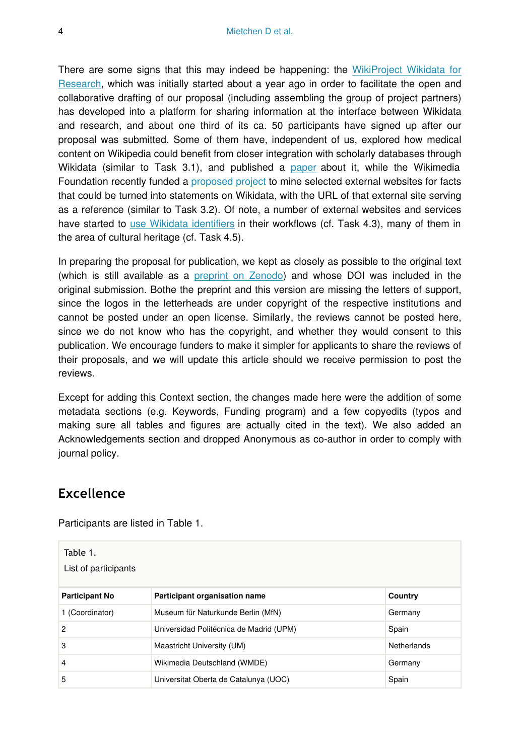There are some signs that this may indeed be happening: the [WikiProject Wikidata for](https://www.wikidata.org/wiki/Wikidata:WikiProject_Wikidata_for_research) [Research,](https://www.wikidata.org/wiki/Wikidata:WikiProject_Wikidata_for_research) which was initially started about a year ago in order to facilitate the open and collaborative drafting of our proposal (including assembling the group of project partners) has developed into a platform for sharing information at the interface between Wikidata and research, and about one third of its ca. 50 participants have signed up after our proposal was submitted. Some of them have, independent of us, explored how medical content on Wikipedia could benefit from closer integration with scholarly databases through Wikidata (similar to Task 3.1), and published a [paper](http://doi.org/10.2196/jmir.4163) about it, while the Wikimedia Foundation recently funded a [proposed project](https://meta.wikimedia.org/wiki/Grants:IEG/StrepHit:_Wikidata_Statements_Validation_via_References) to mine selected external websites for facts that could be turned into statements on Wikidata, with the URL of that external site serving as a reference (similar to Task 3.2). Of note, a number of external websites and services have started to [use Wikidata identifiers](https://www.wikidata.org/wiki/Wikidata:Wikidata_for_authority_control) in their workflows (cf. Task 4.3), many of them in the area of cultural heritage (cf. Task 4.5).

In preparing the proposal for publication, we kept as closely as possible to the original text (which is still available as a [preprint on Zenodo\)](https://dx.doi.org/10.5281/zenodo.13906) and whose DOI was included in the original submission. Bothe the preprint and this version are missing the letters of support, since the logos in the letterheads are under copyright of the respective institutions and cannot be posted under an open license. Similarly, the reviews cannot be posted here, since we do not know who has the copyright, and whether they would consent to this publication. We encourage funders to make it simpler for applicants to share the reviews of their proposals, and we will update this article should we receive permission to post the reviews.

Except for adding this Context section, the changes made here were the addition of some metadata sections (e.g. Keywords, Funding program) and a few copyedits (typos and making sure all tables and figures are actually cited in the text). We also added an Acknowledgements section and dropped Anonymous as co-author in order to comply with journal policy.

## **Excellence**

Participants are listed in Table 1.

| Table 1.<br>List of participants |                                         |             |
|----------------------------------|-----------------------------------------|-------------|
| <b>Participant No</b>            | Participant organisation name           | Country     |
| 1 (Coordinator)                  | Museum für Naturkunde Berlin (MfN)      | Germany     |
| $\overline{2}$                   | Universidad Politécnica de Madrid (UPM) | Spain       |
| 3                                | Maastricht University (UM)              | Netherlands |
| $\overline{4}$                   | Wikimedia Deutschland (WMDE)            | Germany     |
| 5                                | Universitat Oberta de Catalunya (UOC)   | Spain       |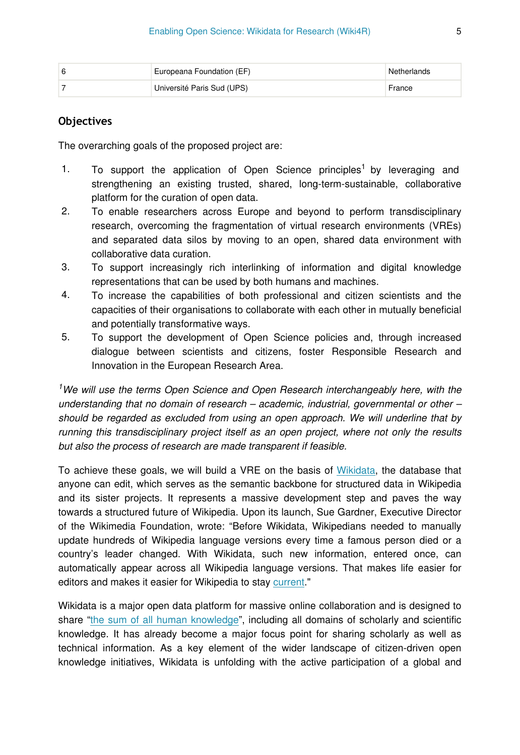| 6 | Europeana Foundation (EF)  | Netherlands |
|---|----------------------------|-------------|
|   | Université Paris Sud (UPS) | France      |

## **Objectives**

The overarching goals of the proposed project are:

- 1. To support the application of Open Science principles<sup>1</sup> by leveraging and strengthening an existing trusted, shared, long-term-sustainable, collaborative platform for the curation of open data.
- 2. To enable researchers across Europe and beyond to perform transdisciplinary research, overcoming the fragmentation of virtual research environments (VREs) and separated data silos by moving to an open, shared data environment with collaborative data curation.
- 3. To support increasingly rich interlinking of information and digital knowledge representations that can be used by both humans and machines.
- 4. To increase the capabilities of both professional and citizen scientists and the capacities of their organisations to collaborate with each other in mutually beneficial and potentially transformative ways.
- 5. To support the development of Open Science policies and, through increased dialogue between scientists and citizens, foster Responsible Research and Innovation in the European Research Area.

<sup>1</sup>We will use the terms Open Science and Open Research interchangeably here, with the *understanding that no domain of research – academic, industrial, governmental or other – should be regarded as excluded from using an open approach. We will underline that by running this transdisciplinary project itself as an open project, where not only the results but also the process of research are made transparent if feasible.* 

To achieve these goals, we will build a VRE on the basis of [Wikidata,](https://www.wikidata.org) the database that anyone can edit, which serves as the semantic backbone for structured data in Wikipedia and its sister projects. It represents a massive development step and paves the way towards a structured future of Wikipedia. Upon its launch, Sue Gardner, Executive Director of the Wikimedia Foundation, wrote: "Before Wikidata, Wikipedians needed to manually update hundreds of Wikipedia language versions every time a famous person died or a country's leader changed. With Wikidata, such new information, entered once, can automatically appear across all Wikipedia language versions. That makes life easier for editors and makes it easier for Wikipedia to stay [current](http://blog.wikimedia.org/2013/04/25/the-wikidata-revolution)."

Wikidata is a major open data platform for massive online collaboration and is designed to share ["the sum of all human knowledge"](http://wikimediafoundation.org/wiki/Vision), including all domains of scholarly and scientific knowledge. It has already become a major focus point for sharing scholarly as well as technical information. As a key element of the wider landscape of citizen-driven open knowledge initiatives, Wikidata is unfolding with the active participation of a global and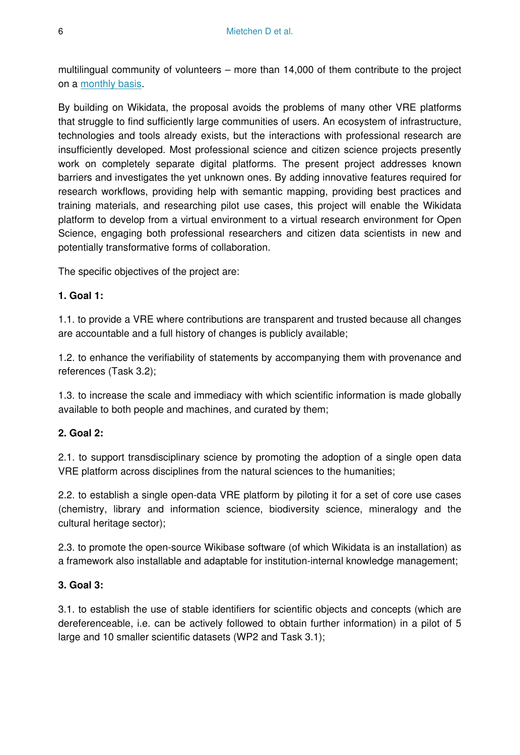multilingual community of volunteers – more than 14,000 of them contribute to the project on a [monthly basis](https://www.wikidata.org/wiki/Special:Statistics).

By building on Wikidata, the proposal avoids the problems of many other VRE platforms that struggle to find sufficiently large communities of users. An ecosystem of infrastructure, technologies and tools already exists, but the interactions with professional research are insufficiently developed. Most professional science and citizen science projects presently work on completely separate digital platforms. The present project addresses known barriers and investigates the yet unknown ones. By adding innovative features required for research workflows, providing help with semantic mapping, providing best practices and training materials, and researching pilot use cases, this project will enable the Wikidata platform to develop from a virtual environment to a virtual research environment for Open Science, engaging both professional researchers and citizen data scientists in new and potentially transformative forms of collaboration.

The specific objectives of the project are:

#### **1. Goal 1:**

1.1. to provide a VRE where contributions are transparent and trusted because all changes are accountable and a full history of changes is publicly available;

1.2. to enhance the verifiability of statements by accompanying them with provenance and references (Task 3.2);

1.3. to increase the scale and immediacy with which scientific information is made globally available to both people and machines, and curated by them;

## **2. Goal 2:**

2.1. to support transdisciplinary science by promoting the adoption of a single open data VRE platform across disciplines from the natural sciences to the humanities;

2.2. to establish a single open-data VRE platform by piloting it for a set of core use cases (chemistry, library and information science, biodiversity science, mineralogy and the cultural heritage sector);

2.3. to promote the open-source Wikibase software (of which Wikidata is an installation) as a framework also installable and adaptable for institution-internal knowledge management;

#### **3. Goal 3:**

3.1. to establish the use of stable identifiers for scientific objects and concepts (which are dereferenceable, i.e. can be actively followed to obtain further information) in a pilot of 5 large and 10 smaller scientific datasets (WP2 and Task 3.1);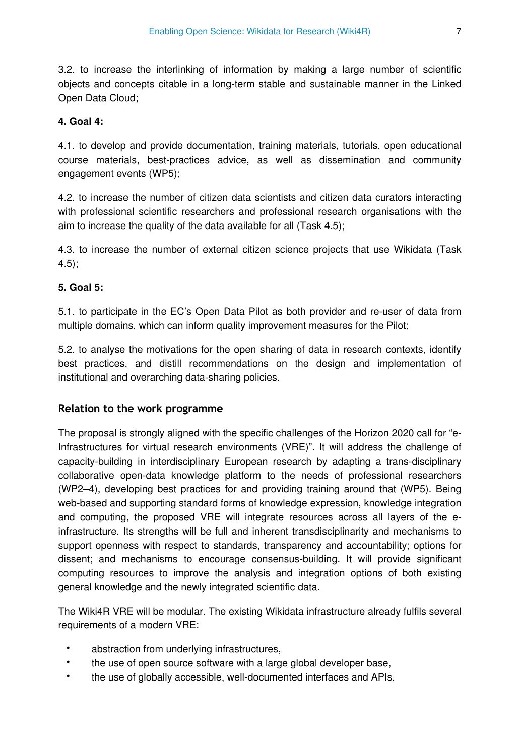3.2. to increase the interlinking of information by making a large number of scientific objects and concepts citable in a long-term stable and sustainable manner in the Linked Open Data Cloud;

## **4. Goal 4:**

4.1. to develop and provide documentation, training materials, tutorials, open educational course materials, best-practices advice, as well as dissemination and community engagement events (WP5);

4.2. to increase the number of citizen data scientists and citizen data curators interacting with professional scientific researchers and professional research organisations with the aim to increase the quality of the data available for all (Task 4.5);

4.3. to increase the number of external citizen science projects that use Wikidata (Task 4.5);

## **5. Goal 5:**

5.1. to participate in the EC's Open Data Pilot as both provider and re-user of data from multiple domains, which can inform quality improvement measures for the Pilot;

5.2. to analyse the motivations for the open sharing of data in research contexts, identify best practices, and distill recommendations on the design and implementation of institutional and overarching data-sharing policies.

## **Relation to the work programme**

The proposal is strongly aligned with the specific challenges of the Horizon 2020 call for "e-Infrastructures for virtual research environments (VRE)". It will address the challenge of capacity-building in interdisciplinary European research by adapting a trans-disciplinary collaborative open-data knowledge platform to the needs of professional researchers (WP2–4), developing best practices for and providing training around that (WP5). Being web-based and supporting standard forms of knowledge expression, knowledge integration and computing, the proposed VRE will integrate resources across all layers of the einfrastructure. Its strengths will be full and inherent transdisciplinarity and mechanisms to support openness with respect to standards, transparency and accountability; options for dissent; and mechanisms to encourage consensus-building. It will provide significant computing resources to improve the analysis and integration options of both existing general knowledge and the newly integrated scientific data.

The Wiki4R VRE will be modular. The existing Wikidata infrastructure already fulfils several requirements of a modern VRE:

- abstraction from underlying infrastructures,
- the use of open source software with a large global developer base,
- the use of globally accessible, well-documented interfaces and APIs,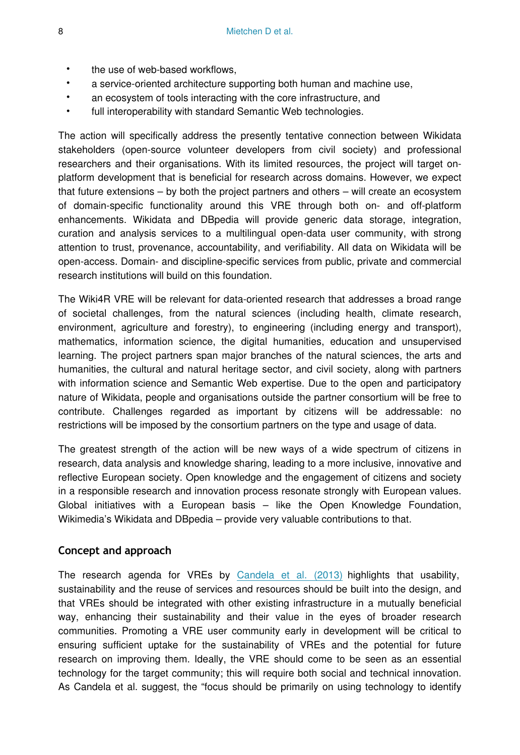- the use of web-based workflows,
- a service-oriented architecture supporting both human and machine use,
- an ecosystem of tools interacting with the core infrastructure, and
- full interoperability with standard Semantic Web technologies.

The action will specifically address the presently tentative connection between Wikidata stakeholders (open-source volunteer developers from civil society) and professional researchers and their organisations. With its limited resources, the project will target onplatform development that is beneficial for research across domains. However, we expect that future extensions – by both the project partners and others – will create an ecosystem of domain-specific functionality around this VRE through both on- and off-platform enhancements. Wikidata and DBpedia will provide generic data storage, integration, curation and analysis services to a multilingual open-data user community, with strong attention to trust, provenance, accountability, and verifiability. All data on Wikidata will be open-access. Domain- and discipline-specific services from public, private and commercial research institutions will build on this foundation.

The Wiki4R VRE will be relevant for data-oriented research that addresses a broad range of societal challenges, from the natural sciences (including health, climate research, environment, agriculture and forestry), to engineering (including energy and transport), mathematics, information science, the digital humanities, education and unsupervised learning. The project partners span major branches of the natural sciences, the arts and humanities, the cultural and natural heritage sector, and civil society, along with partners with information science and Semantic Web expertise. Due to the open and participatory nature of Wikidata, people and organisations outside the partner consortium will be free to contribute. Challenges regarded as important by citizens will be addressable: no restrictions will be imposed by the consortium partners on the type and usage of data.

The greatest strength of the action will be new ways of a wide spectrum of citizens in research, data analysis and knowledge sharing, leading to a more inclusive, innovative and reflective European society. Open knowledge and the engagement of citizens and society in a responsible research and innovation process resonate strongly with European values. Global initiatives with a European basis – like the Open Knowledge Foundation, Wikimedia's Wikidata and DBpedia – provide very valuable contributions to that.

#### **Concept and approach**

The research agenda for VREs by [Candela et al. \(2013\)](http://dx.doi.org/10.2481/dsj.GRDI-013) highlights that usability, sustainability and the reuse of services and resources should be built into the design, and that VREs should be integrated with other existing infrastructure in a mutually beneficial way, enhancing their sustainability and their value in the eyes of broader research communities. Promoting a VRE user community early in development will be critical to ensuring sufficient uptake for the sustainability of VREs and the potential for future research on improving them. Ideally, the VRE should come to be seen as an essential technology for the target community; this will require both social and technical innovation. As Candela et al. suggest, the "focus should be primarily on using technology to identify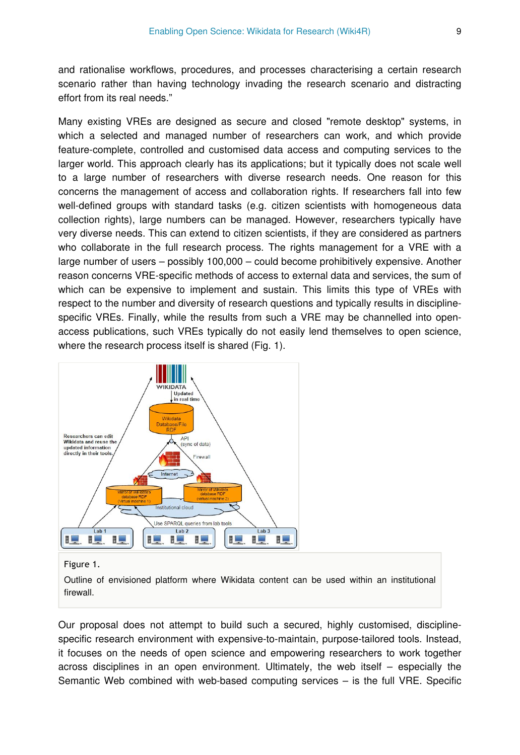and rationalise workflows, procedures, and processes characterising a certain research scenario rather than having technology invading the research scenario and distracting effort from its real needs."

Many existing VREs are designed as secure and closed "remote desktop" systems, in which a selected and managed number of researchers can work, and which provide feature-complete, controlled and customised data access and computing services to the larger world. This approach clearly has its applications; but it typically does not scale well to a large number of researchers with diverse research needs. One reason for this concerns the management of access and collaboration rights. If researchers fall into few well-defined groups with standard tasks (e.g. citizen scientists with homogeneous data collection rights), large numbers can be managed. However, researchers typically have very diverse needs. This can extend to citizen scientists, if they are considered as partners who collaborate in the full research process. The rights management for a VRE with a large number of users – possibly 100,000 – could become prohibitively expensive. Another reason concerns VRE-specific methods of access to external data and services, the sum of which can be expensive to implement and sustain. This limits this type of VREs with respect to the number and diversity of research questions and typically results in disciplinespecific VREs. Finally, while the results from such a VRE may be channelled into openaccess publications, such VREs typically do not easily lend themselves to open science, where the research process itself is shared (Fig. 1).



#### Figure 1.

Outline of envisioned platform where Wikidata content can be used within an institutional firewall.

Our proposal does not attempt to build such a secured, highly customised, disciplinespecific research environment with expensive-to-maintain, purpose-tailored tools. Instead, it focuses on the needs of open science and empowering researchers to work together across disciplines in an open environment. Ultimately, the web itself – especially the Semantic Web combined with web-based computing services – is the full VRE. Specific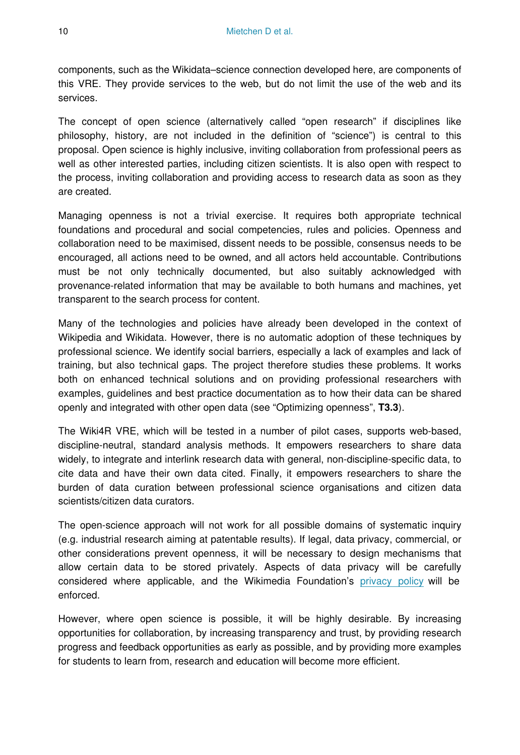components, such as the Wikidata–science connection developed here, are components of this VRE. They provide services to the web, but do not limit the use of the web and its services.

The concept of open science (alternatively called "open research" if disciplines like philosophy, history, are not included in the definition of "science") is central to this proposal. Open science is highly inclusive, inviting collaboration from professional peers as well as other interested parties, including citizen scientists. It is also open with respect to the process, inviting collaboration and providing access to research data as soon as they are created.

Managing openness is not a trivial exercise. It requires both appropriate technical foundations and procedural and social competencies, rules and policies. Openness and collaboration need to be maximised, dissent needs to be possible, consensus needs to be encouraged, all actions need to be owned, and all actors held accountable. Contributions must be not only technically documented, but also suitably acknowledged with provenance-related information that may be available to both humans and machines, yet transparent to the search process for content.

Many of the technologies and policies have already been developed in the context of Wikipedia and Wikidata. However, there is no automatic adoption of these techniques by professional science. We identify social barriers, especially a lack of examples and lack of training, but also technical gaps. The project therefore studies these problems. It works both on enhanced technical solutions and on providing professional researchers with examples, guidelines and best practice documentation as to how their data can be shared openly and integrated with other open data (see "Optimizing openness", **T3.3**).

The Wiki4R VRE, which will be tested in a number of pilot cases, supports web-based, discipline-neutral, standard analysis methods. It empowers researchers to share data widely, to integrate and interlink research data with general, non-discipline-specific data, to cite data and have their own data cited. Finally, it empowers researchers to share the burden of data curation between professional science organisations and citizen data scientists/citizen data curators.

The open-science approach will not work for all possible domains of systematic inquiry (e.g. industrial research aiming at patentable results). If legal, data privacy, commercial, or other considerations prevent openness, it will be necessary to design mechanisms that allow certain data to be stored privately. Aspects of data privacy will be carefully considered where applicable, and the Wikimedia Foundation's [privacy policy](http://wikimediafoundation.org/wiki/Privacy_policy) will be enforced.

However, where open science is possible, it will be highly desirable. By increasing opportunities for collaboration, by increasing transparency and trust, by providing research progress and feedback opportunities as early as possible, and by providing more examples for students to learn from, research and education will become more efficient.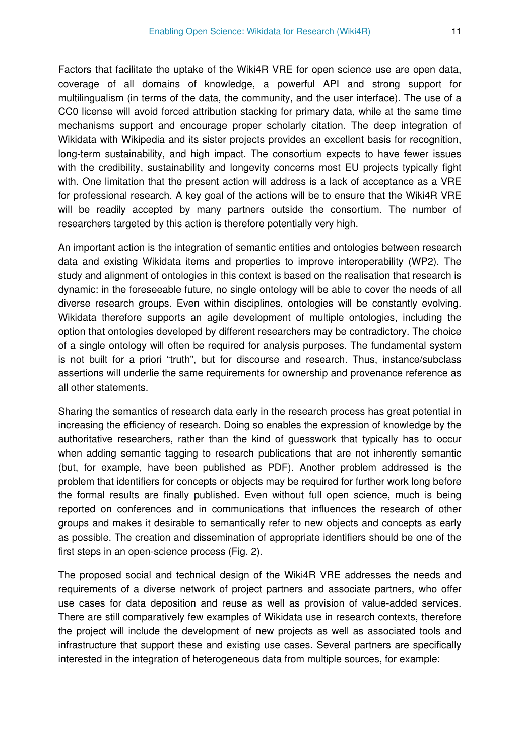Factors that facilitate the uptake of the Wiki4R VRE for open science use are open data, coverage of all domains of knowledge, a powerful API and strong support for multilingualism (in terms of the data, the community, and the user interface). The use of a CC0 license will avoid forced attribution stacking for primary data, while at the same time mechanisms support and encourage proper scholarly citation. The deep integration of Wikidata with Wikipedia and its sister projects provides an excellent basis for recognition, long-term sustainability, and high impact. The consortium expects to have fewer issues with the credibility, sustainability and longevity concerns most EU projects typically fight with. One limitation that the present action will address is a lack of acceptance as a VRE for professional research. A key goal of the actions will be to ensure that the Wiki4R VRE will be readily accepted by many partners outside the consortium. The number of researchers targeted by this action is therefore potentially very high.

An important action is the integration of semantic entities and ontologies between research data and existing Wikidata items and properties to improve interoperability (WP2). The study and alignment of ontologies in this context is based on the realisation that research is dynamic: in the foreseeable future, no single ontology will be able to cover the needs of all diverse research groups. Even within disciplines, ontologies will be constantly evolving. Wikidata therefore supports an agile development of multiple ontologies, including the option that ontologies developed by different researchers may be contradictory. The choice of a single ontology will often be required for analysis purposes. The fundamental system is not built for a priori "truth", but for discourse and research. Thus, instance/subclass assertions will underlie the same requirements for ownership and provenance reference as all other statements.

Sharing the semantics of research data early in the research process has great potential in increasing the efficiency of research. Doing so enables the expression of knowledge by the authoritative researchers, rather than the kind of guesswork that typically has to occur when adding semantic tagging to research publications that are not inherently semantic (but, for example, have been published as PDF). Another problem addressed is the problem that identifiers for concepts or objects may be required for further work long before the formal results are finally published. Even without full open science, much is being reported on conferences and in communications that influences the research of other groups and makes it desirable to semantically refer to new objects and concepts as early as possible. The creation and dissemination of appropriate identifiers should be one of the first steps in an open-science process (Fig. 2).

The proposed social and technical design of the Wiki4R VRE addresses the needs and requirements of a diverse network of project partners and associate partners, who offer use cases for data deposition and reuse as well as provision of value-added services. There are still comparatively few examples of Wikidata use in research contexts, therefore the project will include the development of new projects as well as associated tools and infrastructure that support these and existing use cases. Several partners are specifically interested in the integration of heterogeneous data from multiple sources, for example: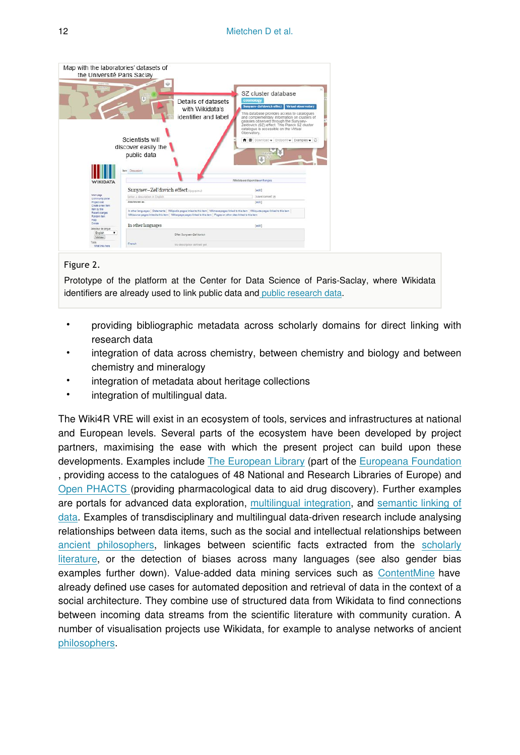

#### Figure 2.

Prototype of the platform at the Center for Data Science of Paris-Saclay, where Wikidata identifiers are already used to link public data an[d public research data.](https://io.datascience-paris-saclay.fr)

- providing bibliographic metadata across scholarly domains for direct linking with research data
- integration of data across chemistry, between chemistry and biology and between chemistry and mineralogy
- integration of metadata about heritage collections
- integration of multilingual data.

The Wiki4R VRE will exist in an ecosystem of tools, services and infrastructures at national and European levels. Several parts of the ecosystem have been developed by project partners, maximising the ease with which the present project can build upon these developments. Examples include [The European Library](http://www.theeuropeanlibrary.org/tel4/) (part of the [Europeana Foundation](http://www.europeana.eu/) , providing access to the catalogues of 48 National and Research Libraries of Europe) and [Open PHACTS \(](http://www.openphacts.org/)providing pharmacological data to aid drug discovery). Further examples are portals for advanced data exploration, [multilingual integration,](http://tools.wmflabs.org/wikidata-todo/cloudy_concept.php?q=42240&lang=en) and [semantic linking of](http://tools.wmflabs.org/reasonator/?&q=42240) [data.](http://tools.wmflabs.org/reasonator/?&q=42240) Examples of transdisciplinary and multilingual data-driven research include analysing relationships between data items, such as the social and intellectual relationships between [ancient philosophers,](http://projetjourdain.org/network/index.html) linkages between scientific facts extracted from the [scholarly](http://magnusmanske.de/wordpress/?p=245) [literature](http://magnusmanske.de/wordpress/?p=245), or the detection of biases across many languages (see also gender bias examples further down). Value-added data mining services such as [ContentMine](http://contentmine.org) have already defined use cases for automated deposition and retrieval of data in the context of a social architecture. They combine use of structured data from Wikidata to find connections between incoming data streams from the scientific literature with community curation. A number of visualisation projects use Wikidata, for example to analyse networks of ancient [philosophers](http://scoms.hypotheses.org/357).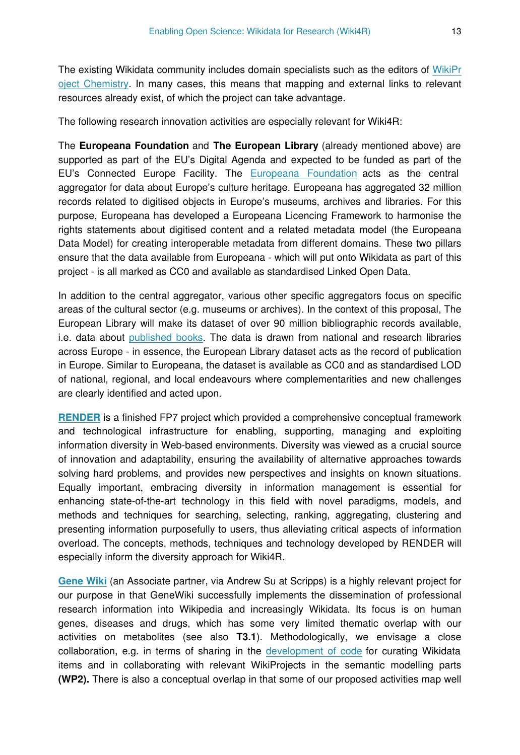The existing Wikidata community includes domain specialists such as the editors of [WikiPr](https://www.wikidata.org/wiki/Wikidata:WikiProject_Chemistry) [oject Chemistry.](https://www.wikidata.org/wiki/Wikidata:WikiProject_Chemistry) In many cases, this means that mapping and external links to relevant resources already exist, of which the project can take advantage.

The following research innovation activities are especially relevant for Wiki4R:

The **Europeana Foundation** and **The European Library** (already mentioned above) are supported as part of the EU's Digital Agenda and expected to be funded as part of the EU's Connected Europe Facility. The [Europeana Foundation](http://www.europeana.eu/) acts as the central aggregator for data about Europe's culture heritage. Europeana has aggregated 32 million records related to digitised objects in Europe's museums, archives and libraries. For this purpose, Europeana has developed a Europeana Licencing Framework to harmonise the rights statements about digitised content and a related metadata model (the Europeana Data Model) for creating interoperable metadata from different domains. These two pillars ensure that the data available from Europeana - which will put onto Wikidata as part of this project - is all marked as CC0 and available as standardised Linked Open Data.

In addition to the central aggregator, various other specific aggregators focus on specific areas of the cultural sector (e.g. museums or archives). In the context of this proposal, The European Library will make its dataset of over 90 million bibliographic records available, i.e. data about [published books.](http://www.theeuropeanlibrary.org/tel4/access) The data is drawn from national and research libraries across Europe - in essence, the European Library dataset acts as the record of publication in Europe. Similar to Europeana, the dataset is available as CC0 and as standardised LOD of national, regional, and local endeavours where complementarities and new challenges are clearly identified and acted upon.

**[RENDER](http://render-project.eu/)** is a finished FP7 project which provided a comprehensive conceptual framework and technological infrastructure for enabling, supporting, managing and exploiting information diversity in Web-based environments. Diversity was viewed as a crucial source of innovation and adaptability, ensuring the availability of alternative approaches towards solving hard problems, and provides new perspectives and insights on known situations. Equally important, embracing diversity in information management is essential for enhancing state-of-the-art technology in this field with novel paradigms, models, and methods and techniques for searching, selecting, ranking, aggregating, clustering and presenting information purposefully to users, thus alleviating critical aspects of information overload. The concepts, methods, techniques and technology developed by RENDER will especially inform the diversity approach for Wiki4R.

**[Gene Wiki](http://dx.doi.org/10.6084/m9.figshare.1242817)** (an Associate partner, via Andrew Su at Scripps) is a highly relevant project for our purpose in that GeneWiki successfully implements the dissemination of professional research information into Wikipedia and increasingly Wikidata. Its focus is on human genes, diseases and drugs, which has some very limited thematic overlap with our activities on metabolites (see also **T3.1**). Methodologically, we envisage a close collaboration, e.g. in terms of sharing in the [development of code](https://bitbucket.org/sulab/wikidatabots) for curating Wikidata items and in collaborating with relevant WikiProjects in the semantic modelling parts **(WP2).** There is also a conceptual overlap in that some of our proposed activities map well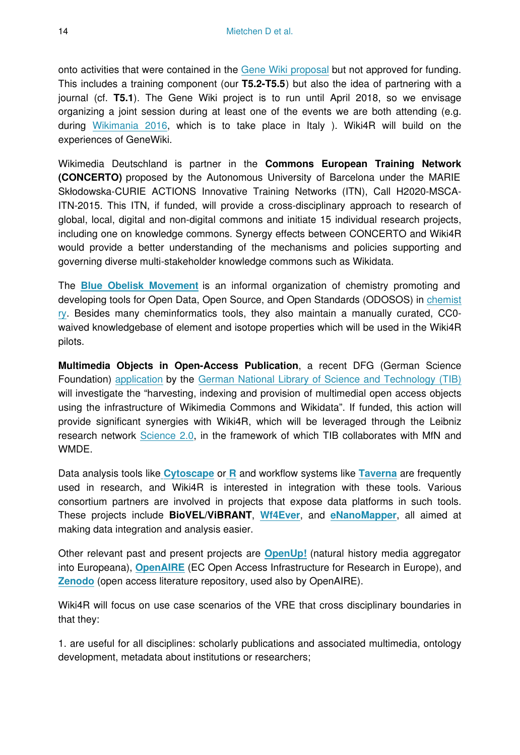onto activities that were contained in the [Gene Wiki proposal](http://dx.doi.org/10.6084/m9.figshare.1242817) but not approved for funding. This includes a training component (our **T5.2-T5.5**) but also the idea of partnering with a journal (cf. **T5.1**). The Gene Wiki project is to run until April 2018, so we envisage organizing a joint session during at least one of the events we are both attending (e.g. during [Wikimania 2016,](https://meta.wikimedia.org/wiki/Wikimania_2016) which is to take place in Italy ). Wiki4R will build on the experiences of GeneWiki.

Wikimedia Deutschland is partner in the **Commons European Training Network (CONCERTO)** proposed by the Autonomous University of Barcelona under the MARIE Skłodowska-CURIE ACTIONS Innovative Training Networks (ITN), Call H2020-MSCA-ITN-2015. This ITN, if funded, will provide a cross-disciplinary approach to research of global, local, digital and non-digital commons and initiate 15 individual research projects, including one on knowledge commons. Synergy effects between CONCERTO and Wiki4R would provide a better understanding of the mechanisms and policies supporting and governing diverse multi-stakeholder knowledge commons such as Wikidata.

The **[Blue Obelisk Movement](http://blueobelisk.org/)** is an informal organization of chemistry promoting and developing tools for Open Data, Open Source, and Open Standards (ODOSOS) in [chemist](http://dx.doi.org/10.1186/1758-2946-3-37) [ry.](http://dx.doi.org/10.1186/1758-2946-3-37) Besides many cheminformatics tools, they also maintain a manually curated, CC0 waived knowledgebase of element and isotope properties which will be used in the Wiki4R pilots.

**Multimedia Objects in Open-Access Publication**, a recent DFG (German Science Foundation) [application](http://dx.doi.org/10.5281/zenodo.12745) by the [German National Library of Science and Technology \(TIB\)](http://www.tib.uni-hannover.de/) will investigate the "harvesting, indexing and provision of multimedial open access objects using the infrastructure of Wikimedia Commons and Wikidata". If funded, this action will provide significant synergies with Wiki4R, which will be leveraged through the Leibniz research network [Science 2.0](http://www.leibniz-science20.de/), in the framework of which TIB collaborates with MfN and WMDE.

Data analysis tools like **[Cytoscape](http://www.cytoscape.org/)** or **[R](http://www.r-project.org/)** and workflow systems like **[Taverna](http://www.taverna.org.uk/)** are frequently used in research, and Wiki4R is interested in integration with these tools. Various consortium partners are involved in projects that expose data platforms in such tools. These projects include **BioVEL/ViBRANT**, **[Wf4Ever](http://www.wf4ever-project.org/)**, and **[eNanoMapper](http://enanomapper.net/)**, all aimed at making data integration and analysis easier.

Other relevant past and present projects are **[OpenUp!](http://open-up.eu/)** (natural history media aggregator into Europeana), **[OpenAIRE](https://www.openaire.eu/)** (EC Open Access Infrastructure for Research in Europe), and **[Zenodo](https://zenodo.org/)** (open access literature repository, used also by OpenAIRE).

Wiki4R will focus on use case scenarios of the VRE that cross disciplinary boundaries in that they:

1. are useful for all disciplines: scholarly publications and associated multimedia, ontology development, metadata about institutions or researchers;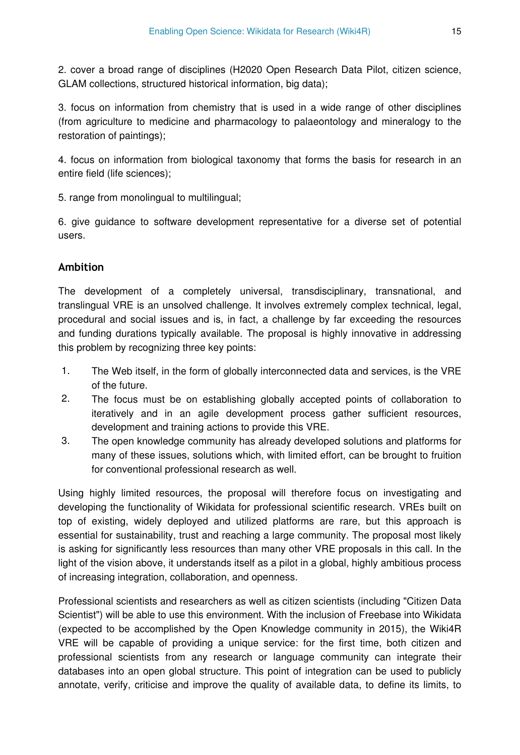2. cover a broad range of disciplines (H2020 Open Research Data Pilot, citizen science, GLAM collections, structured historical information, big data);

3. focus on information from chemistry that is used in a wide range of other disciplines (from agriculture to medicine and pharmacology to palaeontology and mineralogy to the restoration of paintings);

4. focus on information from biological taxonomy that forms the basis for research in an entire field (life sciences);

5. range from monolingual to multilingual;

6. give guidance to software development representative for a diverse set of potential users.

## **Ambition**

The development of a completely universal, transdisciplinary, transnational, and translingual VRE is an unsolved challenge. It involves extremely complex technical, legal, procedural and social issues and is, in fact, a challenge by far exceeding the resources and funding durations typically available. The proposal is highly innovative in addressing this problem by recognizing three key points:

- 1. The Web itself, in the form of globally interconnected data and services, is the VRE of the future.
- 2. The focus must be on establishing globally accepted points of collaboration to iteratively and in an agile development process gather sufficient resources, development and training actions to provide this VRE.
- 3. The open knowledge community has already developed solutions and platforms for many of these issues, solutions which, with limited effort, can be brought to fruition for conventional professional research as well.

Using highly limited resources, the proposal will therefore focus on investigating and developing the functionality of Wikidata for professional scientific research. VREs built on top of existing, widely deployed and utilized platforms are rare, but this approach is essential for sustainability, trust and reaching a large community. The proposal most likely is asking for significantly less resources than many other VRE proposals in this call. In the light of the vision above, it understands itself as a pilot in a global, highly ambitious process of increasing integration, collaboration, and openness.

Professional scientists and researchers as well as citizen scientists (including "Citizen Data Scientist") will be able to use this environment. With the inclusion of Freebase into Wikidata (expected to be accomplished by the Open Knowledge community in 2015), the Wiki4R VRE will be capable of providing a unique service: for the first time, both citizen and professional scientists from any research or language community can integrate their databases into an open global structure. This point of integration can be used to publicly annotate, verify, criticise and improve the quality of available data, to define its limits, to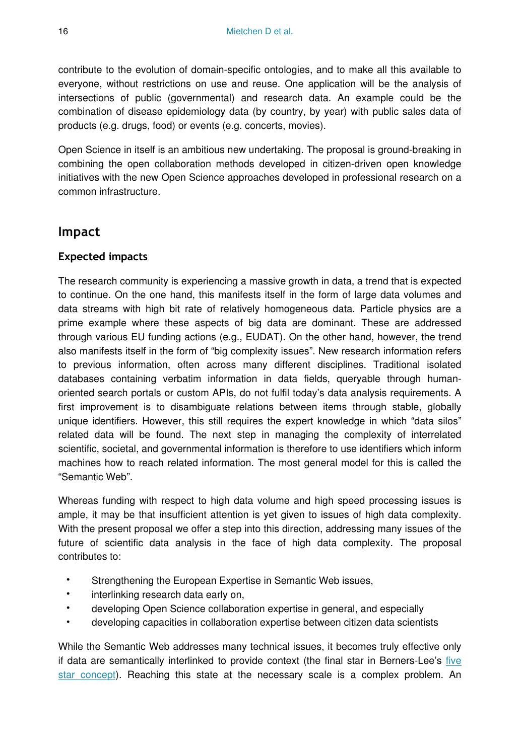contribute to the evolution of domain-specific ontologies, and to make all this available to everyone, without restrictions on use and reuse. One application will be the analysis of intersections of public (governmental) and research data. An example could be the combination of disease epidemiology data (by country, by year) with public sales data of products (e.g. drugs, food) or events (e.g. concerts, movies).

Open Science in itself is an ambitious new undertaking. The proposal is ground-breaking in combining the open collaboration methods developed in citizen-driven open knowledge initiatives with the new Open Science approaches developed in professional research on a common infrastructure.

## **Impact**

## **Expected impacts**

The research community is experiencing a massive growth in data, a trend that is expected to continue. On the one hand, this manifests itself in the form of large data volumes and data streams with high bit rate of relatively homogeneous data. Particle physics are a prime example where these aspects of big data are dominant. These are addressed through various EU funding actions (e.g., EUDAT). On the other hand, however, the trend also manifests itself in the form of "big complexity issues". New research information refers to previous information, often across many different disciplines. Traditional isolated databases containing verbatim information in data fields, queryable through humanoriented search portals or custom APIs, do not fulfil today's data analysis requirements. A first improvement is to disambiguate relations between items through stable, globally unique identifiers. However, this still requires the expert knowledge in which "data silos" related data will be found. The next step in managing the complexity of interrelated scientific, societal, and governmental information is therefore to use identifiers which inform machines how to reach related information. The most general model for this is called the "Semantic Web".

Whereas funding with respect to high data volume and high speed processing issues is ample, it may be that insufficient attention is yet given to issues of high data complexity. With the present proposal we offer a step into this direction, addressing many issues of the future of scientific data analysis in the face of high data complexity. The proposal contributes to:

- Strengthening the European Expertise in Semantic Web issues,
- interlinking research data early on,
- developing Open Science collaboration expertise in general, and especially
- developing capacities in collaboration expertise between citizen data scientists

While the Semantic Web addresses many technical issues, it becomes truly effective only if data are semantically interlinked to provide context (the final star in Berners-Lee's [five](http://www.w3.org/DesignIssues/LinkedData.html) [star concept](http://www.w3.org/DesignIssues/LinkedData.html)). Reaching this state at the necessary scale is a complex problem. An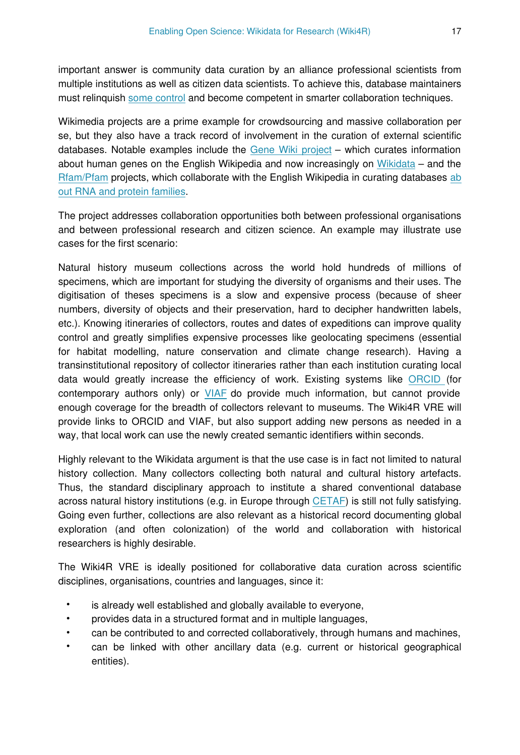important answer is community data curation by an alliance professional scientists from multiple institutions as well as citizen data scientists. To achieve this, database maintainers must relinquish [some control](http://dx.doi.org/10.1371/journal.pbio.0060184) and become competent in smarter collaboration techniques.

Wikimedia projects are a prime example for crowdsourcing and massive collaboration per se, but they also have a track record of involvement in the curation of external scientific databases. Notable examples include the [Gene Wiki project](https://en.wikipedia.org/wiki/Portal:Gene_Wiki) – which curates information about human genes on the English Wikipedia and now increasingly on [Wikidata](http://blog.wikimedia.de/2014/10/22/establishing-wikidata-as-the-central-hub-for-linked-open-life-science-data) – and the [Rfam/Pfam](http://dx.doi.org/10.1093/nar/gkr1195) projects, which collaborate with the English Wikipedia in curating databases [ab](http://dx.doi.org/10.1093/nar/gkr1195) [out RNA and protein families.](http://dx.doi.org/10.1093/nar/gkr1195)

The project addresses collaboration opportunities both between professional organisations and between professional research and citizen science. An example may illustrate use cases for the first scenario:

Natural history museum collections across the world hold hundreds of millions of specimens, which are important for studying the diversity of organisms and their uses. The digitisation of theses specimens is a slow and expensive process (because of sheer numbers, diversity of objects and their preservation, hard to decipher handwritten labels, etc.). Knowing itineraries of collectors, routes and dates of expeditions can improve quality control and greatly simplifies expensive processes like geolocating specimens (essential for habitat modelling, nature conservation and climate change research). Having a transinstitutional repository of collector itineraries rather than each institution curating local data would greatly increase the efficiency of work. Existing systems like [ORCID \(](http://orcid.org/)for contemporary authors only) or [VIAF](http://viaf.org/) do provide much information, but cannot provide enough coverage for the breadth of collectors relevant to museums. The Wiki4R VRE will provide links to ORCID and VIAF, but also support adding new persons as needed in a way, that local work can use the newly created semantic identifiers within seconds.

Highly relevant to the Wikidata argument is that the use case is in fact not limited to natural history collection. Many collectors collecting both natural and cultural history artefacts. Thus, the standard disciplinary approach to institute a shared conventional database across natural history institutions (e.g. in Europe through [CETAF\)](http://www.cetaf.org/) is still not fully satisfying. Going even further, collections are also relevant as a historical record documenting global exploration (and often colonization) of the world and collaboration with historical researchers is highly desirable.

The Wiki4R VRE is ideally positioned for collaborative data curation across scientific disciplines, organisations, countries and languages, since it:

- is already well established and globally available to everyone,
- provides data in a structured format and in multiple languages,
- can be contributed to and corrected collaboratively, through humans and machines,
- can be linked with other ancillary data (e.g. current or historical geographical entities).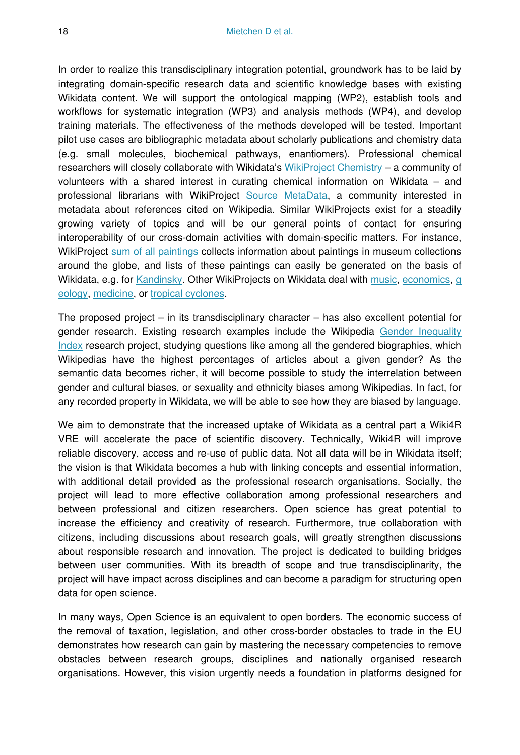In order to realize this transdisciplinary integration potential, groundwork has to be laid by integrating domain-specific research data and scientific knowledge bases with existing Wikidata content. We will support the ontological mapping (WP2), establish tools and workflows for systematic integration (WP3) and analysis methods (WP4), and develop training materials. The effectiveness of the methods developed will be tested. Important pilot use cases are bibliographic metadata about scholarly publications and chemistry data (e.g. small molecules, biochemical pathways, enantiomers). Professional chemical researchers will closely collaborate with Wikidata's [WikiProject Chemistry](https://www.wikidata.org/wiki/Wikidata:WikiProject_Chemistry) – a community of volunteers with a shared interest in curating chemical information on Wikidata – and professional librarians with WikiProject [Source MetaData,](https://www.wikidata.org/wiki/Wikidata:WikiProject_Source_MetaData) a community interested in metadata about references cited on Wikipedia. Similar WikiProjects exist for a steadily growing variety of topics and will be our general points of contact for ensuring interoperability of our cross-domain activities with domain-specific matters. For instance, WikiProject [sum of all paintings](https://www.wikidata.org/wiki/Wikidata:WikiProject_sum_of_all_paintings) collects information about paintings in museum collections around the globe, and lists of these paintings can easily be generated on the basis of Wikidata, e.g. for [Kandinsky](http://tools.wmflabs.org/autolist/autolist1.html?q=claim%5B170%3A61064%5D). Other WikiProjects on Wikidata deal with [music](https://www.wikidata.org/wiki/Wikidata:WikiProject_Music), [economics](https://www.wikidata.org/wiki/Wikidata:WikiProject_Economics), [g](https://www.wikidata.org/wiki/Wikidata:WikiProject_Geology) [eology,](https://www.wikidata.org/wiki/Wikidata:WikiProject_Geology) [medicine,](https://www.wikidata.org/wiki/Wikidata:WikiProject_Medicine) or [tropical cyclones.](https://www.wikidata.org/wiki/Wikidata:WikiProject_Medicine)

The proposed project – in its transdisciplinary character – has also excellent potential for gender research. Existing research examples include the Wikipedia [Gender Inequality](https://github.com/notconfusing/WIGI) [Index](https://github.com/notconfusing/WIGI) research project, studying questions like among all the gendered biographies, which Wikipedias have the highest percentages of articles about a given gender? As the semantic data becomes richer, it will become possible to study the interrelation between gender and cultural biases, or sexuality and ethnicity biases among Wikipedias. In fact, for any recorded property in Wikidata, we will be able to see how they are biased by language.

We aim to demonstrate that the increased uptake of Wikidata as a central part a Wiki4R VRE will accelerate the pace of scientific discovery. Technically, Wiki4R will improve reliable discovery, access and re-use of public data. Not all data will be in Wikidata itself; the vision is that Wikidata becomes a hub with linking concepts and essential information, with additional detail provided as the professional research organisations. Socially, the project will lead to more effective collaboration among professional researchers and between professional and citizen researchers. Open science has great potential to increase the efficiency and creativity of research. Furthermore, true collaboration with citizens, including discussions about research goals, will greatly strengthen discussions about responsible research and innovation. The project is dedicated to building bridges between user communities. With its breadth of scope and true transdisciplinarity, the project will have impact across disciplines and can become a paradigm for structuring open data for open science.

In many ways, Open Science is an equivalent to open borders. The economic success of the removal of taxation, legislation, and other cross-border obstacles to trade in the EU demonstrates how research can gain by mastering the necessary competencies to remove obstacles between research groups, disciplines and nationally organised research organisations. However, this vision urgently needs a foundation in platforms designed for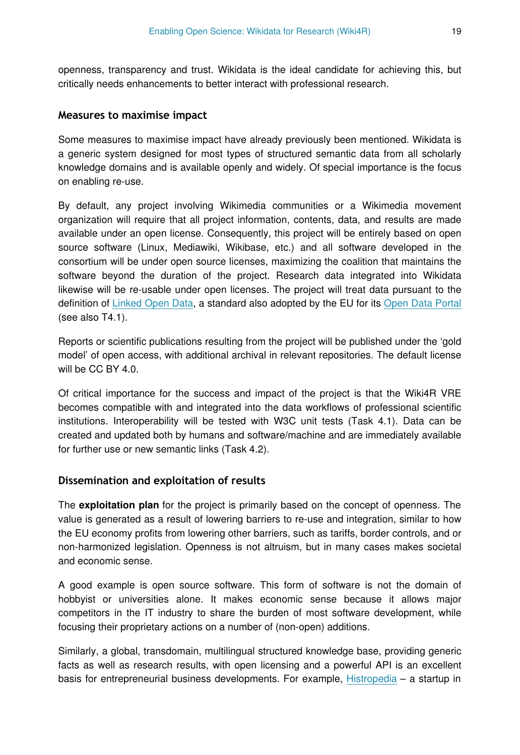openness, transparency and trust. Wikidata is the ideal candidate for achieving this, but critically needs enhancements to better interact with professional research.

#### **Measures to maximise impact**

Some measures to maximise impact have already previously been mentioned. Wikidata is a generic system designed for most types of structured semantic data from all scholarly knowledge domains and is available openly and widely. Of special importance is the focus on enabling re-use.

By default, any project involving Wikimedia communities or a Wikimedia movement organization will require that all project information, contents, data, and results are made available under an open license. Consequently, this project will be entirely based on open source software (Linux, Mediawiki, Wikibase, etc.) and all software developed in the consortium will be under open source licenses, maximizing the coalition that maintains the software beyond the duration of the project. Research data integrated into Wikidata likewise will be re-usable under open licenses. The project will treat data pursuant to the definition of [Linked Open Data,](http://en.wikipedia.org/wiki/Linked_open_data) a standard also adopted by the EU for its [Open Data Portal](http://open-data.europa.eu/en/linked-data) (see also T4.1).

Reports or scientific publications resulting from the project will be published under the 'gold model' of open access, with additional archival in relevant repositories. The default license will be CC BY 4.0.

Of critical importance for the success and impact of the project is that the Wiki4R VRE becomes compatible with and integrated into the data workflows of professional scientific institutions. Interoperability will be tested with W3C unit tests (Task 4.1). Data can be created and updated both by humans and software/machine and are immediately available for further use or new semantic links (Task 4.2).

## **Dissemination and exploitation of results**

The **exploitation plan** for the project is primarily based on the concept of openness. The value is generated as a result of lowering barriers to re-use and integration, similar to how the EU economy profits from lowering other barriers, such as tariffs, border controls, and or non-harmonized legislation. Openness is not altruism, but in many cases makes societal and economic sense.

A good example is open source software. This form of software is not the domain of hobbyist or universities alone. It makes economic sense because it allows major competitors in the IT industry to share the burden of most software development, while focusing their proprietary actions on a number of (non-open) additions.

Similarly, a global, transdomain, multilingual structured knowledge base, providing generic facts as well as research results, with open licensing and a powerful API is an excellent basis for entrepreneurial business developments. For example, [Histropedia](http://www.histropedia.com/) – a startup in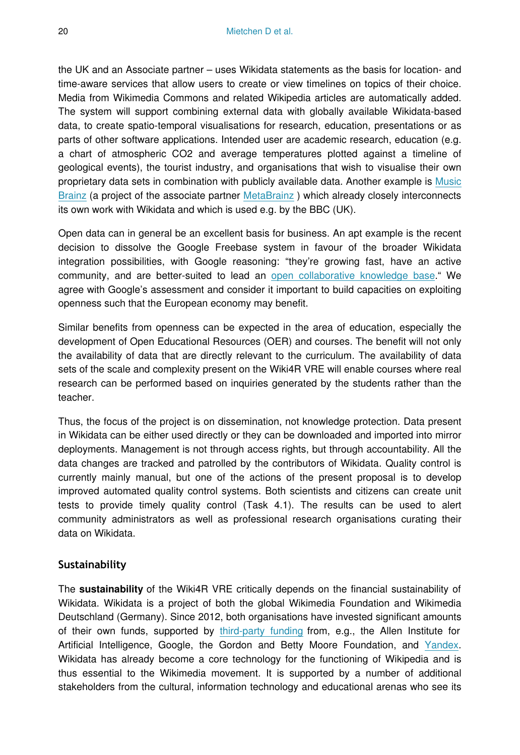the UK and an Associate partner – uses Wikidata statements as the basis for location- and time-aware services that allow users to create or view timelines on topics of their choice. Media from Wikimedia Commons and related Wikipedia articles are automatically added. The system will support combining external data with globally available Wikidata-based data, to create spatio-temporal visualisations for research, education, presentations or as parts of other software applications. Intended user are academic research, education (e.g. a chart of atmospheric CO2 and average temperatures plotted against a timeline of geological events), the tourist industry, and organisations that wish to visualise their own proprietary data sets in combination with publicly available data. Another example is [Music](https://musicbrainz.org/) [Brainz](https://musicbrainz.org/) (a project of the associate partner MetaBrainz) which already closely interconnects its own work with Wikidata and which is used e.g. by the BBC (UK).

Open data can in general be an excellent basis for business. An apt example is the recent decision to dissolve the Google Freebase system in favour of the broader Wikidata integration possibilities, with Google reasoning: "they're growing fast, have an active community, and are better-suited to lead an [open collaborative knowledge base.](https://plus.google.com/109936836907132434202/posts/bu3z2wVqcQc)" We agree with Google's assessment and consider it important to build capacities on exploiting openness such that the European economy may benefit.

Similar benefits from openness can be expected in the area of education, especially the development of Open Educational Resources (OER) and courses. The benefit will not only the availability of data that are directly relevant to the curriculum. The availability of data sets of the scale and complexity present on the Wiki4R VRE will enable courses where real research can be performed based on inquiries generated by the students rather than the teacher.

Thus, the focus of the project is on dissemination, not knowledge protection. Data present in Wikidata can be either used directly or they can be downloaded and imported into mirror deployments. Management is not through access rights, but through accountability. All the data changes are tracked and patrolled by the contributors of Wikidata. Quality control is currently mainly manual, but one of the actions of the present proposal is to develop improved automated quality control systems. Both scientists and citizens can create unit tests to provide timely quality control (Task 4.1). The results can be used to alert community administrators as well as professional research organisations curating their data on Wikidata.

## **Sustainability**

The **sustainability** of the Wiki4R VRE critically depends on the financial sustainability of Wikidata. Wikidata is a project of both the global Wikimedia Foundation and Wikimedia Deutschland (Germany). Since 2012, both organisations have invested significant amounts of their own funds, supported by [third-party funding](https://grantpros2011.wordpress.com/2012/03/30/paul-allen-google-and-gordon-betty-%20moore-foundation-back-1-7-million-wikidata-project/) from, e.g., the Allen Institute for Artificial Intelligence, Google, the Gordon and Betty Moore Foundation, and [Yandex.](http://blog.wikimedia.de/2013/06/05/grosspende-fur-wikidata/) Wikidata has already become a core technology for the functioning of Wikipedia and is thus essential to the Wikimedia movement. It is supported by a number of additional stakeholders from the cultural, information technology and educational arenas who see its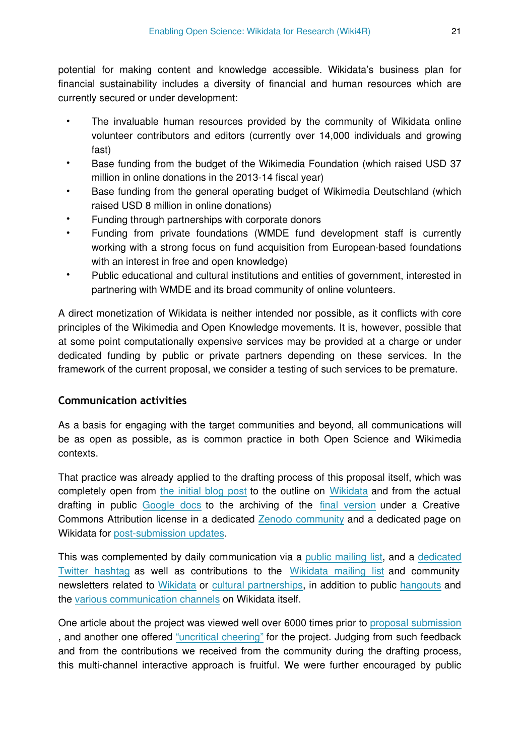potential for making content and knowledge accessible. Wikidata's business plan for financial sustainability includes a diversity of financial and human resources which are currently secured or under development:

- The invaluable human resources provided by the community of Wikidata online volunteer contributors and editors (currently over 14,000 individuals and growing fast)
- Base funding from the budget of the Wikimedia Foundation (which raised USD 37 million in online donations in the 2013-14 fiscal year)
- Base funding from the general operating budget of Wikimedia Deutschland (which raised USD 8 million in online donations)
- Funding through partnerships with corporate donors
- Funding from private foundations (WMDE fund development staff is currently working with a strong focus on fund acquisition from European-based foundations with an interest in free and open knowledge)
- Public educational and cultural institutions and entities of government, interested in partnering with WMDE and its broad community of online volunteers.

A direct monetization of Wikidata is neither intended nor possible, as it conflicts with core principles of the Wikimedia and Open Knowledge movements. It is, however, possible that at some point computationally expensive services may be provided at a charge or under dedicated funding by public or private partners depending on these services. In the framework of the current proposal, we consider a testing of such services to be premature.

## **Communication activities**

As a basis for engaging with the target communities and beyond, all communications will be as open as possible, as is common practice in both Open Science and Wikimedia contexts.

That practice was already applied to the drafting process of this proposal itself, which was completely open from [the initial blog post](http://blog.wikimedia.de/2014/12/05/wikidata-for-research-a-grant-proposal-that-anyone-can-edit/) to the outline on [Wikidata](https://www.wikidata.org/wiki/Wikidata:WikiProject_Wikidata_for_research) and from the actual drafting in public [Google docs](https://drive.google.com/?usp=folder&authuser=0#folders/0ByQvcnWHnwgmSTVlN2xPMXZVNEU) to the archiving of the [final version](https://drive.google.com/?usp=folder&authuser=0#folders/0ByQvcnWHnwgmSTVlN2xPMXZVNEU) under a Creative Commons Attribution license in a dedicated [Zenodo community](https://zenodo.org/collection/user-wiki4r) and a dedicated page on Wikidata for [post-submission updates.](http://https://www.wikidata.org/wiki/Wikidata:WikiProject_Wikidata_for_research/EINFRA-9-2015)

This was complemented by daily communication via a [public mailing list](https://groups.google.com/a/wikimedia.de/forum/#!forum/wd4r), and a [dedicated](https://twitter.com/hashtag/WD4R) [Twitter hashtag](https://twitter.com/hashtag/WD4R) as well as contributions to the [Wikidata mailing list](https://lists.wikimedia.org/pipermail/wikidata-l/2014-December/005058.html) and community newsletters related to [Wikidata](https://www.wikidata.org/wiki/Wikidata:Status_updates/2015_01_03#Events.2FPress.2FBlogs) or [cultural partnerships,](https://outreach.wikimedia.org/wiki/GLAM/Newsletter/December_2014/Contents/Special_story) in addition to public [hangouts](https://plus.google.com/u/0/events/c2ajejk0i09f1h5arq1n7kdn1qs) and the [various communication channels](https://www.wikidata.org/wiki/Wikidata:Community_portal) on Wikidata itself.

One article about the project was viewed well over 6000 times prior to [proposal submission](http://stats.grok.se/en/201501/Wikipedia:Wikipedia_Signpost/2014-12-31/News_and_notes) , and another one offered ["uncritical cheering"](http://gondwanaland.com/mlog/2014/12/21/wd4r4a/) for the project. Judging from such feedback and from the contributions we received from the community during the drafting process, this multi-channel interactive approach is fruitful. We were further encouraged by public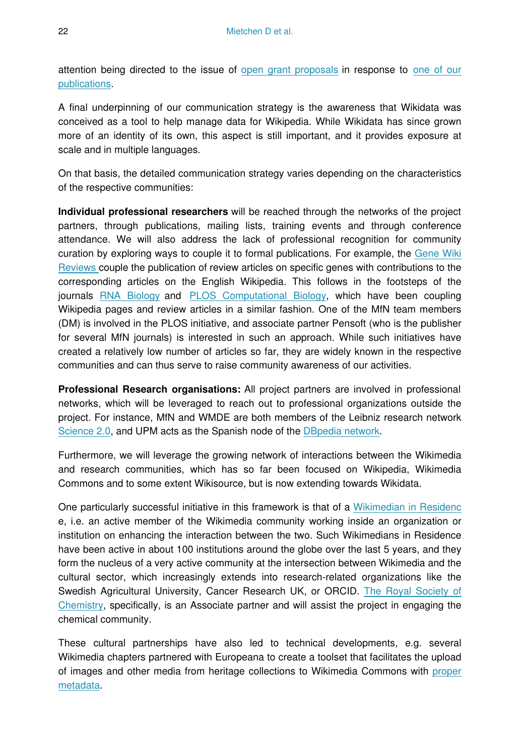attention being directed to the issue of [open grant proposals](http://dx.doi.org/10.1038/517247f) in response to [one of our](http://dx.doi.org/10.1371/journal.pbio.1002027) [publications.](http://dx.doi.org/10.1371/journal.pbio.1002027)

A final underpinning of our communication strategy is the awareness that Wikidata was conceived as a tool to help manage data for Wikipedia. While Wikidata has since grown more of an identity of its own, this aspect is still important, and it provides exposure at scale and in multiple languages.

On that basis, the detailed communication strategy varies depending on the characteristics of the respective communities:

**Individual professional researchers** will be reached through the networks of the project partners, through publications, mailing lists, training events and through conference attendance. We will also address the lack of professional recognition for community curation by exploring ways to couple it to formal publications. For example, the [Gene Wiki](http://dx.doi.org/10.1016/j.gene.2013.08.093) [Reviews c](http://dx.doi.org/10.1016/j.gene.2013.08.093)ouple the publication of review articles on specific genes with contributions to the corresponding articles on the English Wikipedia. This follows in the footsteps of the journals [RNA Biology](http://dx.doi.org/10.4161/rna.6.1.7635) and [PLOS Computational Biology,](http://dx.doi.org/10.1371/journal.pcbi.1002446) which have been coupling Wikipedia pages and review articles in a similar fashion. One of the MfN team members (DM) is involved in the PLOS initiative, and associate partner Pensoft (who is the publisher for several MfN journals) is interested in such an approach. While such initiatives have created a relatively low number of articles so far, they are widely known in the respective communities and can thus serve to raise community awareness of our activities.

**Professional Research organisations:** All project partners are involved in professional networks, which will be leveraged to reach out to professional organizations outside the project. For instance, MfN and WMDE are both members of the Leibniz research network [Science 2.0](http://www.leibniz-science20.de/en/), and UPM acts as the Spanish node of the [DBpedia network.](http://wiki.dbpedia.org/Internationalization/Chapters?v=18mv)

Furthermore, we will leverage the growing network of interactions between the Wikimedia and research communities, which has so far been focused on Wikipedia, Wikimedia Commons and to some extent Wikisource, but is now extending towards Wikidata.

One particularly successful initiative in this framework is that of a [Wikimedian in Residenc](https://outreach.wikimedia.org/wiki/Wikipedian_in_Residence) e, i.e. an active member of the Wikimedia community working inside an organization or institution on enhancing the interaction between the two. Such Wikimedians in Residence have been active in about 100 institutions around the globe over the last 5 years, and they form the nucleus of a very active community at the intersection between Wikimedia and the cultural sector, which increasingly extends into research-related organizations like the Swedish Agricultural University, Cancer Research UK, or ORCID. [The Royal Society of](http://www.rsc.org/) [Chemistry,](http://www.rsc.org/) specifically, is an Associate partner and will assist the project in engaging the chemical community.

These cultural partnerships have also led to technical developments, e.g. several Wikimedia chapters partnered with Europeana to create a toolset that facilitates the upload of images and other media from heritage collections to Wikimedia Commons with [proper](https://commons.wikimedia.org/wiki/Commons:GLAMwiki_Toolset) [metadata.](https://commons.wikimedia.org/wiki/Commons:GLAMwiki_Toolset)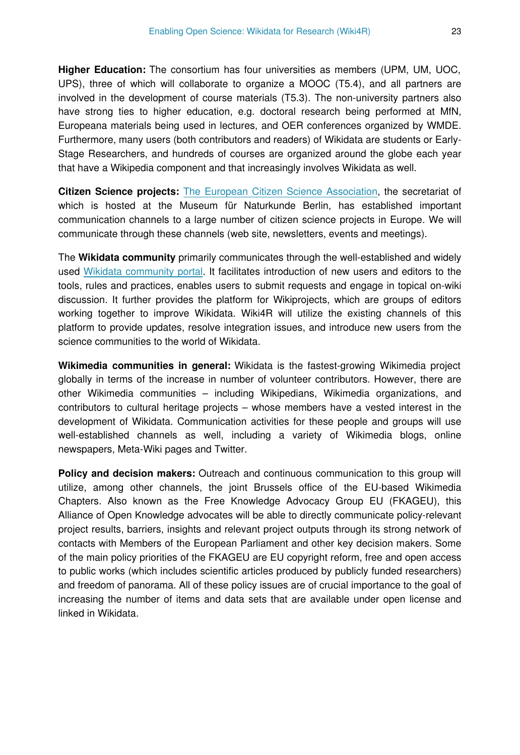**Higher Education:** The consortium has four universities as members (UPM, UM, UOC, UPS), three of which will collaborate to organize a MOOC (T5.4), and all partners are involved in the development of course materials (T5.3). The non-university partners also have strong ties to higher education, e.g. doctoral research being performed at MfN, Europeana materials being used in lectures, and OER conferences organized by WMDE. Furthermore, many users (both contributors and readers) of Wikidata are students or Early-Stage Researchers, and hundreds of courses are organized around the globe each year that have a Wikipedia component and that increasingly involves Wikidata as well.

**Citizen Science projects:** [The European Citizen Science Association,](http://ecsa.biodiv.naturkundemuseum-berlin.de) the secretariat of which is hosted at the Museum für Naturkunde Berlin, has established important communication channels to a large number of citizen science projects in Europe. We will communicate through these channels (web site, newsletters, events and meetings).

The **Wikidata community** primarily communicates through the well-established and widely used [Wikidata community portal](http://www.wikidata.org/wiki/Wikidata:Community_portal). It facilitates introduction of new users and editors to the tools, rules and practices, enables users to submit requests and engage in topical on-wiki discussion. It further provides the platform for Wikiprojects, which are groups of editors working together to improve Wikidata. Wiki4R will utilize the existing channels of this platform to provide updates, resolve integration issues, and introduce new users from the science communities to the world of Wikidata.

**Wikimedia communities in general:** Wikidata is the fastest-growing Wikimedia project globally in terms of the increase in number of volunteer contributors. However, there are other Wikimedia communities – including Wikipedians, Wikimedia organizations, and contributors to cultural heritage projects – whose members have a vested interest in the development of Wikidata. Communication activities for these people and groups will use well-established channels as well, including a variety of Wikimedia blogs, online newspapers, Meta-Wiki pages and Twitter.

**Policy and decision makers:** Outreach and continuous communication to this group will utilize, among other channels, the joint Brussels office of the EU-based Wikimedia Chapters. Also known as the Free Knowledge Advocacy Group EU (FKAGEU), this Alliance of Open Knowledge advocates will be able to directly communicate policy-relevant project results, barriers, insights and relevant project outputs through its strong network of contacts with Members of the European Parliament and other key decision makers. Some of the main policy priorities of the FKAGEU are EU copyright reform, free and open access to public works (which includes scientific articles produced by publicly funded researchers) and freedom of panorama. All of these policy issues are of crucial importance to the goal of increasing the number of items and data sets that are available under open license and linked in Wikidata.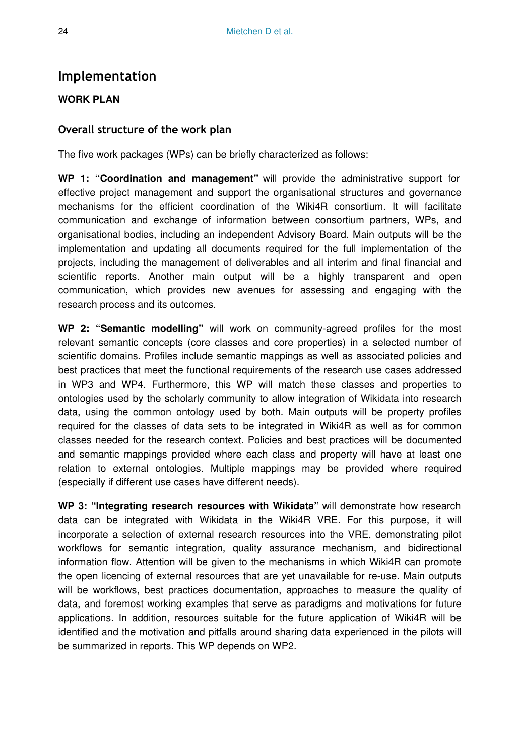# **Implementation**

## **WORK PLAN**

## **Overall structure of the work plan**

The five work packages (WPs) can be briefly characterized as follows:

**WP 1: "Coordination and management"** will provide the administrative support for effective project management and support the organisational structures and governance mechanisms for the efficient coordination of the Wiki4R consortium. It will facilitate communication and exchange of information between consortium partners, WPs, and organisational bodies, including an independent Advisory Board. Main outputs will be the implementation and updating all documents required for the full implementation of the projects, including the management of deliverables and all interim and final financial and scientific reports. Another main output will be a highly transparent and open communication, which provides new avenues for assessing and engaging with the research process and its outcomes.

**WP 2: "Semantic modelling"** will work on community-agreed profiles for the most relevant semantic concepts (core classes and core properties) in a selected number of scientific domains. Profiles include semantic mappings as well as associated policies and best practices that meet the functional requirements of the research use cases addressed in WP3 and WP4. Furthermore, this WP will match these classes and properties to ontologies used by the scholarly community to allow integration of Wikidata into research data, using the common ontology used by both. Main outputs will be property profiles required for the classes of data sets to be integrated in Wiki4R as well as for common classes needed for the research context. Policies and best practices will be documented and semantic mappings provided where each class and property will have at least one relation to external ontologies. Multiple mappings may be provided where required (especially if different use cases have different needs).

**WP 3: "Integrating research resources with Wikidata"** will demonstrate how research data can be integrated with Wikidata in the Wiki4R VRE. For this purpose, it will incorporate a selection of external research resources into the VRE, demonstrating pilot workflows for semantic integration, quality assurance mechanism, and bidirectional information flow. Attention will be given to the mechanisms in which Wiki4R can promote the open licencing of external resources that are yet unavailable for re-use. Main outputs will be workflows, best practices documentation, approaches to measure the quality of data, and foremost working examples that serve as paradigms and motivations for future applications. In addition, resources suitable for the future application of Wiki4R will be identified and the motivation and pitfalls around sharing data experienced in the pilots will be summarized in reports. This WP depends on WP2.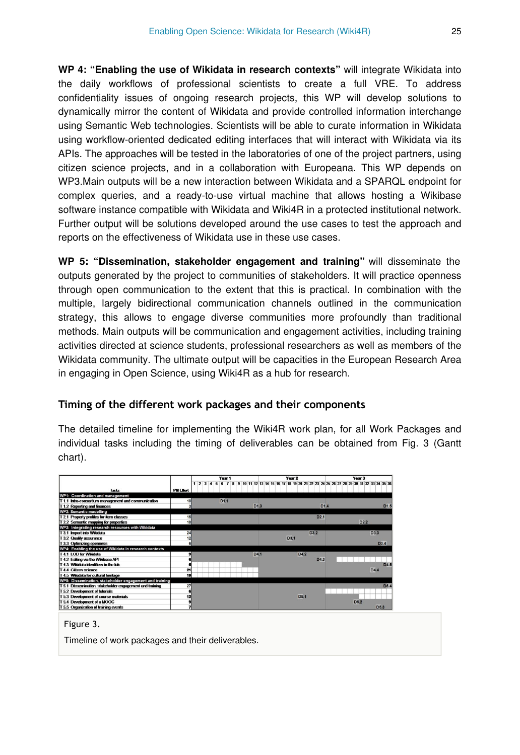**WP 4: "Enabling the use of Wikidata in research contexts"** will integrate Wikidata into the daily workflows of professional scientists to create a full VRE. To address confidentiality issues of ongoing research projects, this WP will develop solutions to dynamically mirror the content of Wikidata and provide controlled information interchange using Semantic Web technologies. Scientists will be able to curate information in Wikidata using workflow-oriented dedicated editing interfaces that will interact with Wikidata via its APIs. The approaches will be tested in the laboratories of one of the project partners, using citizen science projects, and in a collaboration with Europeana. This WP depends on WP3.Main outputs will be a new interaction between Wikidata and a SPARQL endpoint for complex queries, and a ready-to-use virtual machine that allows hosting a Wikibase software instance compatible with Wikidata and Wiki4R in a protected institutional network. Further output will be solutions developed around the use cases to test the approach and reports on the effectiveness of Wikidata use in these use cases.

**WP 5: "Dissemination, stakeholder engagement and training"** will disseminate the outputs generated by the project to communities of stakeholders. It will practice openness through open communication to the extent that this is practical. In combination with the multiple, largely bidirectional communication channels outlined in the communication strategy, this allows to engage diverse communities more profoundly than traditional methods. Main outputs will be communication and engagement activities, including training activities directed at science students, professional researchers as well as members of the Wikidata community. The ultimate output will be capacities in the European Research Area in engaging in Open Science, using Wiki4R as a hub for research.

## **Timing of the different work packages and their components**

The detailed timeline for implementing the Wiki4R work plan, for all Work Packages and individual tasks including the timing of deliverables can be obtained from Fig. 3 (Gantt chart).

|                                                          |                  | Year <sub>1</sub> | Year 2                              | Year <sub>3</sub>                                                                                  |
|----------------------------------------------------------|------------------|-------------------|-------------------------------------|----------------------------------------------------------------------------------------------------|
| Tasks                                                    | <b>PM Effort</b> |                   |                                     | 1 2 3 4 5 6 7 8 9 10 11 12 13 14 15 16 17 18 19 20 21 22 23 24 25 26 27 28 29 30 31 32 33 34 35 36 |
| WP1: Coordination and management                         |                  |                   |                                     |                                                                                                    |
| T 1.1 Intra-consortium management and communication      | 10               | D <sub>1.1</sub>  |                                     |                                                                                                    |
| T 1.2 Reporting and finances                             |                  |                   | D <sub>1.3</sub>                    | D1.4<br>D <sub>1.5</sub>                                                                           |
| <b>WP2: Semantic modelling</b>                           |                  |                   |                                     |                                                                                                    |
| T 2.1 Property profiles for item classes                 | 15               |                   |                                     | D <sub>2.1</sub>                                                                                   |
| T 2.2 Semantic mapping for properties                    | 10               |                   |                                     | D2.2                                                                                               |
| WP3: Integrating research resources with Wikidata        |                  |                   |                                     |                                                                                                    |
| T 3.1 Import into Wikidata                               | 24               |                   | D <sub>3.2</sub>                    | D3.3                                                                                               |
| T 3.2 Quality assurance                                  | 12               |                   | D <sub>3.1</sub>                    |                                                                                                    |
| T 3.3 Optimizing openness                                |                  |                   |                                     | D <sub>3.4</sub>                                                                                   |
| WP4: Enabling the use of Wikidata in research contexts   |                  |                   |                                     |                                                                                                    |
| T4110D for Wikidata                                      |                  |                   | D4 <sub>1</sub><br>D <sub>4.2</sub> |                                                                                                    |
| T 4.2 Editing via the Wikibase API                       |                  |                   |                                     | D4.3                                                                                               |
| T 4.3 Wikidata identifiers in the lab                    |                  |                   |                                     | D <sub>4.5</sub>                                                                                   |
| T 4.4 Citizen science                                    | 21               |                   |                                     | D <sub>4.4</sub>                                                                                   |
| T 4.5 Wikidata for cultural heritage                     | 19               |                   |                                     |                                                                                                    |
| WP5: Dissemination, stakeholder engagement and training  |                  |                   |                                     |                                                                                                    |
| T 5.1 Dissemination, stakeholder engagement and training | 27               |                   |                                     | D5.4                                                                                               |
| T 5.2 Development of tutorials                           |                  |                   |                                     |                                                                                                    |
| T 5.3 Development of course materials                    | 12               |                   | D <sub>5.1</sub>                    |                                                                                                    |
| T 5.4 Development of a MOOC                              |                  |                   |                                     | D <sub>5.2</sub>                                                                                   |
| T 5.5 Organization of training events                    |                  |                   |                                     | D <sub>5</sub> 3                                                                                   |

Figure 3.

Timeline of work packages and their deliverables.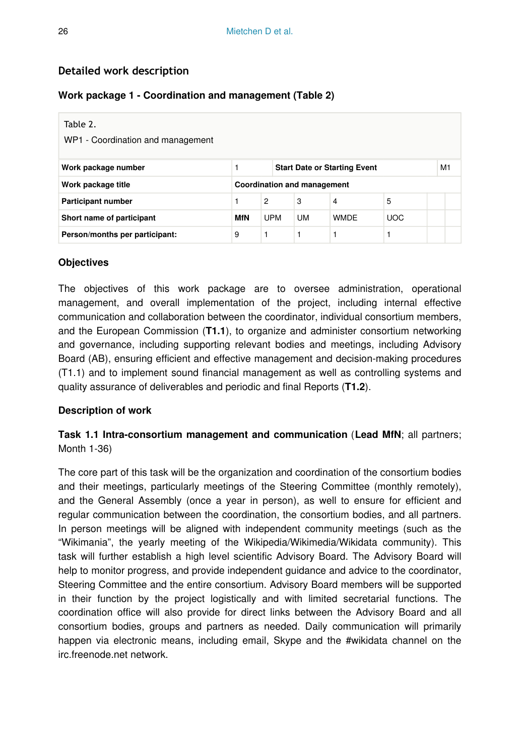## **Detailed work description**

#### **Work package 1 - Coordination and management (Table 2)**

| Table 2.<br>WP1 - Coordination and management            |            |            |    |                                     |            |  |    |  |
|----------------------------------------------------------|------------|------------|----|-------------------------------------|------------|--|----|--|
| Work package number                                      |            |            |    | <b>Start Date or Starting Event</b> |            |  | M1 |  |
| Work package title<br><b>Coordination and management</b> |            |            |    |                                     |            |  |    |  |
| <b>Participant number</b>                                |            | 2          | 3  | 4                                   | 5          |  |    |  |
| Short name of participant                                | <b>MfN</b> | <b>UPM</b> | UM | <b>WMDF</b>                         | <b>UOC</b> |  |    |  |
| Person/months per participant:                           | 9          |            |    |                                     |            |  |    |  |

#### **Objectives**

The objectives of this work package are to oversee administration, operational management, and overall implementation of the project, including internal effective communication and collaboration between the coordinator, individual consortium members, and the European Commission (**T1.1**), to organize and administer consortium networking and governance, including supporting relevant bodies and meetings, including Advisory Board (AB), ensuring efficient and effective management and decision-making procedures (T1.1) and to implement sound financial management as well as controlling systems and quality assurance of deliverables and periodic and final Reports (**T1.2**).

#### **Description of work**

## **Task 1.1 Intra-consortium management and communication** (**Lead MfN**; all partners; Month 1-36)

The core part of this task will be the organization and coordination of the consortium bodies and their meetings, particularly meetings of the Steering Committee (monthly remotely), and the General Assembly (once a year in person), as well to ensure for efficient and regular communication between the coordination, the consortium bodies, and all partners. In person meetings will be aligned with independent community meetings (such as the "Wikimania", the yearly meeting of the Wikipedia/Wikimedia/Wikidata community). This task will further establish a high level scientific Advisory Board. The Advisory Board will help to monitor progress, and provide independent guidance and advice to the coordinator, Steering Committee and the entire consortium. Advisory Board members will be supported in their function by the project logistically and with limited secretarial functions. The coordination office will also provide for direct links between the Advisory Board and all consortium bodies, groups and partners as needed. Daily communication will primarily happen via electronic means, including email, Skype and the #wikidata channel on the irc.freenode.net network.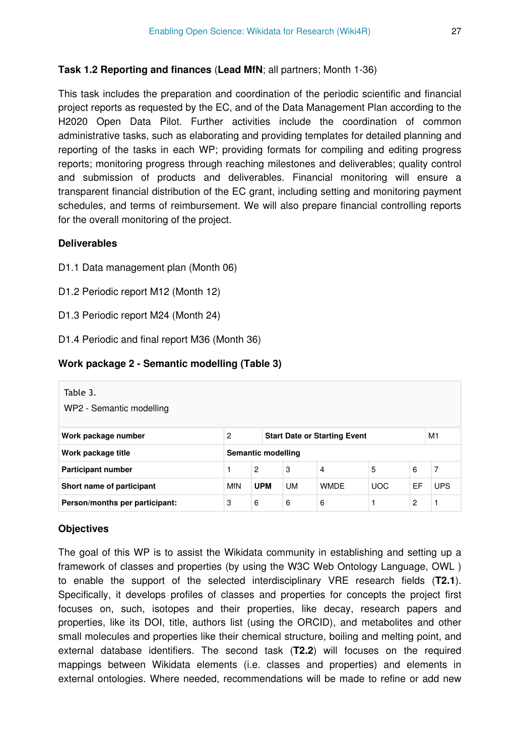#### **Task 1.2 Reporting and finances** (**Lead MfN**; all partners; Month 1-36)

This task includes the preparation and coordination of the periodic scientific and financial project reports as requested by the EC, and of the Data Management Plan according to the H2020 Open Data Pilot. Further activities include the coordination of common administrative tasks, such as elaborating and providing templates for detailed planning and reporting of the tasks in each WP; providing formats for compiling and editing progress reports; monitoring progress through reaching milestones and deliverables; quality control and submission of products and deliverables. Financial monitoring will ensure a transparent financial distribution of the EC grant, including setting and monitoring payment schedules, and terms of reimbursement. We will also prepare financial controlling reports for the overall monitoring of the project.

#### **Deliverables**

- D1.1 Data management plan (Month 06)
- D1.2 Periodic report M12 (Month 12)
- D1.3 Periodic report M24 (Month 24)
- D1.4 Periodic and final report M36 (Month 36)

#### **Work package 2 - Semantic modelling (Table 3)**

| Table 3.<br>WP2 - Semantic modelling |                                                |                |  |           |                |            |                |            |
|--------------------------------------|------------------------------------------------|----------------|--|-----------|----------------|------------|----------------|------------|
| Work package number                  | M1<br>2<br><b>Start Date or Starting Event</b> |                |  |           |                |            |                |            |
| Work package title                   | Semantic modelling                             |                |  |           |                |            |                |            |
| <b>Participant number</b>            |                                                | $\overline{2}$ |  | 3         | $\overline{4}$ | 5          | 6              | 7          |
| Short name of participant            | MfN                                            | <b>UPM</b>     |  | <b>UM</b> | <b>WMDE</b>    | <b>UOC</b> | EF             | <b>UPS</b> |
| Person/months per participant:       | 3                                              | 6              |  | 6         | 6              |            | $\overline{c}$ | 1          |

#### **Objectives**

The goal of this WP is to assist the Wikidata community in establishing and setting up a framework of classes and properties (by using the W3C Web Ontology Language, OWL ) to enable the support of the selected interdisciplinary VRE research fields (**T2.1**). Specifically, it develops profiles of classes and properties for concepts the project first focuses on, such, isotopes and their properties, like decay, research papers and properties, like its DOI, title, authors list (using the ORCID), and metabolites and other small molecules and properties like their chemical structure, boiling and melting point, and external database identifiers. The second task (**T2.2**) will focuses on the required mappings between Wikidata elements (i.e. classes and properties) and elements in external ontologies. Where needed, recommendations will be made to refine or add new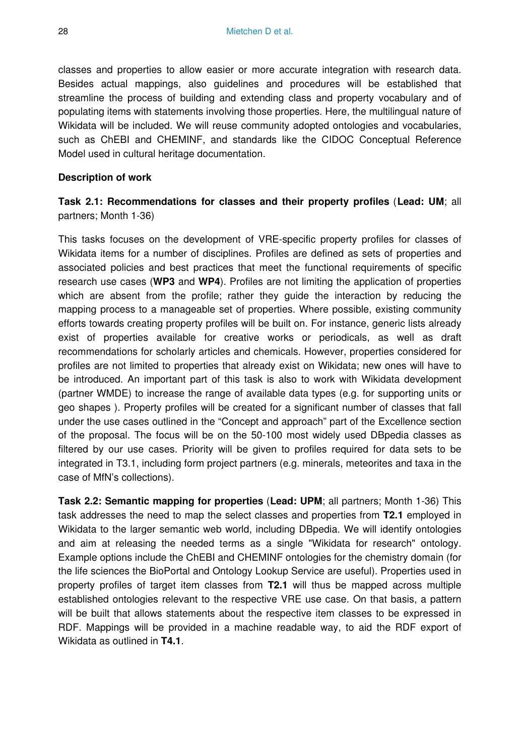classes and properties to allow easier or more accurate integration with research data. Besides actual mappings, also guidelines and procedures will be established that streamline the process of building and extending class and property vocabulary and of populating items with statements involving those properties. Here, the multilingual nature of Wikidata will be included. We will reuse community adopted ontologies and vocabularies, such as ChEBI and CHEMINF, and standards like the CIDOC Conceptual Reference Model used in cultural heritage documentation.

#### **Description of work**

## **Task 2.1: Recommendations for classes and their property profiles** (**Lead: UM**; all partners; Month 1-36)

This tasks focuses on the development of VRE-specific property profiles for classes of Wikidata items for a number of disciplines. Profiles are defined as sets of properties and associated policies and best practices that meet the functional requirements of specific research use cases (**WP3** and **WP4**). Profiles are not limiting the application of properties which are absent from the profile; rather they guide the interaction by reducing the mapping process to a manageable set of properties. Where possible, existing community efforts towards creating property profiles will be built on. For instance, generic lists already exist of properties available for creative works or periodicals, as well as draft recommendations for scholarly articles and chemicals. However, properties considered for profiles are not limited to properties that already exist on Wikidata; new ones will have to be introduced. An important part of this task is also to work with Wikidata development (partner WMDE) to increase the range of available data types (e.g. for supporting units or geo shapes ). Property profiles will be created for a significant number of classes that fall under the use cases outlined in the "Concept and approach" part of the Excellence section of the proposal. The focus will be on the 50-100 most widely used DBpedia classes as filtered by our use cases. Priority will be given to profiles required for data sets to be integrated in T3.1, including form project partners (e.g. minerals, meteorites and taxa in the case of MfN's collections).

**Task 2.2: Semantic mapping for properties** (**Lead: UPM**; all partners; Month 1-36) This task addresses the need to map the select classes and properties from **T2.1** employed in Wikidata to the larger semantic web world, including DBpedia. We will identify ontologies and aim at releasing the needed terms as a single "Wikidata for research" ontology. Example options include the ChEBI and CHEMINF ontologies for the chemistry domain (for the life sciences the BioPortal and Ontology Lookup Service are useful). Properties used in property profiles of target item classes from **T2.1** will thus be mapped across multiple established ontologies relevant to the respective VRE use case. On that basis, a pattern will be built that allows statements about the respective item classes to be expressed in RDF. Mappings will be provided in a machine readable way, to aid the RDF export of Wikidata as outlined in **T4.1**.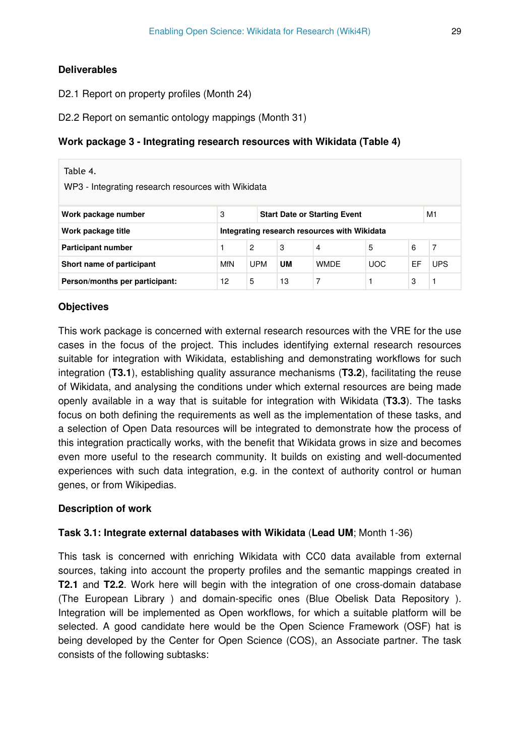## **Deliverables**

D2.1 Report on property profiles (Month 24)

D2.2 Report on semantic ontology mappings (Month 31)

## **Work package 3 - Integrating research resources with Wikidata (Table 4)**

| Table 4.<br>WP3 - Integrating research resources with Wikidata        |            |                |           |                                              |            |    |                |  |  |
|-----------------------------------------------------------------------|------------|----------------|-----------|----------------------------------------------|------------|----|----------------|--|--|
| M1<br>3<br>Work package number<br><b>Start Date or Starting Event</b> |            |                |           |                                              |            |    |                |  |  |
| Work package title                                                    |            |                |           | Integrating research resources with Wikidata |            |    |                |  |  |
| Participant number                                                    |            | $\overline{2}$ | 3         | $\overline{4}$                               | 5          | 6  | $\overline{7}$ |  |  |
| Short name of participant                                             | <b>MfN</b> | <b>UPM</b>     | <b>UM</b> | <b>WMDF</b>                                  | <b>UOC</b> | EF | <b>UPS</b>     |  |  |
| Person/months per participant:                                        | 12         | 5              | 13        | 7                                            |            | 3  |                |  |  |

## **Objectives**

This work package is concerned with external research resources with the VRE for the use cases in the focus of the project. This includes identifying external research resources suitable for integration with Wikidata, establishing and demonstrating workflows for such integration (**T3.1**), establishing quality assurance mechanisms (**T3.2**), facilitating the reuse of Wikidata, and analysing the conditions under which external resources are being made openly available in a way that is suitable for integration with Wikidata (**T3.3**). The tasks focus on both defining the requirements as well as the implementation of these tasks, and a selection of Open Data resources will be integrated to demonstrate how the process of this integration practically works, with the benefit that Wikidata grows in size and becomes even more useful to the research community. It builds on existing and well-documented experiences with such data integration, e.g. in the context of authority control or human genes, or from Wikipedias.

## **Description of work**

## **Task 3.1: Integrate external databases with Wikidata** (**Lead UM**; Month 1-36)

This task is concerned with enriching Wikidata with CC0 data available from external sources, taking into account the property profiles and the semantic mappings created in **T2.1** and **T2.2**. Work here will begin with the integration of one cross-domain database (The European Library ) and domain-specific ones (Blue Obelisk Data Repository ). Integration will be implemented as Open workflows, for which a suitable platform will be selected. A good candidate here would be the Open Science Framework (OSF) hat is being developed by the Center for Open Science (COS), an Associate partner. The task consists of the following subtasks: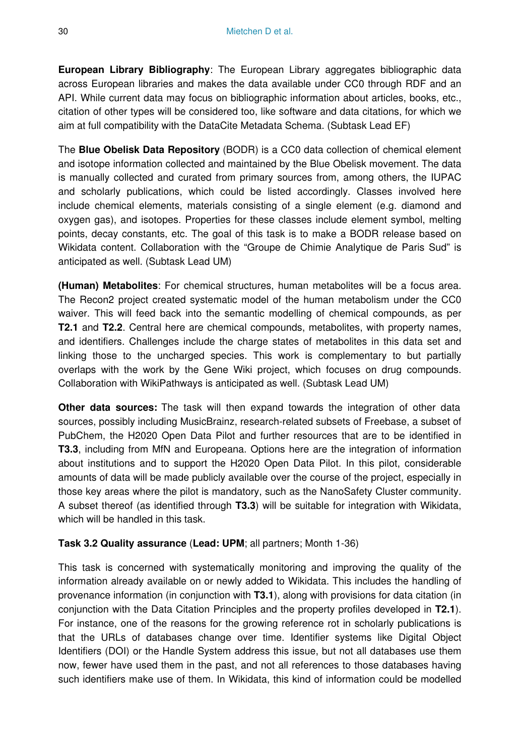**European Library Bibliography**: The European Library aggregates bibliographic data across European libraries and makes the data available under CC0 through RDF and an API. While current data may focus on bibliographic information about articles, books, etc., citation of other types will be considered too, like software and data citations, for which we aim at full compatibility with the DataCite Metadata Schema. (Subtask Lead EF)

The **Blue Obelisk Data Repository** (BODR) is a CC0 data collection of chemical element and isotope information collected and maintained by the Blue Obelisk movement. The data is manually collected and curated from primary sources from, among others, the IUPAC and scholarly publications, which could be listed accordingly. Classes involved here include chemical elements, materials consisting of a single element (e.g. diamond and oxygen gas), and isotopes. Properties for these classes include element symbol, melting points, decay constants, etc. The goal of this task is to make a BODR release based on Wikidata content. Collaboration with the "Groupe de Chimie Analytique de Paris Sud" is anticipated as well. (Subtask Lead UM)

**(Human) Metabolites**: For chemical structures, human metabolites will be a focus area. The Recon2 project created systematic model of the human metabolism under the CC0 waiver. This will feed back into the semantic modelling of chemical compounds, as per **T2.1** and **T2.2**. Central here are chemical compounds, metabolites, with property names, and identifiers. Challenges include the charge states of metabolites in this data set and linking those to the uncharged species. This work is complementary to but partially overlaps with the work by the Gene Wiki project, which focuses on drug compounds. Collaboration with WikiPathways is anticipated as well. (Subtask Lead UM)

**Other data sources:** The task will then expand towards the integration of other data sources, possibly including MusicBrainz, research-related subsets of Freebase, a subset of PubChem, the H2020 Open Data Pilot and further resources that are to be identified in **T3.3**, including from MfN and Europeana. Options here are the integration of information about institutions and to support the H2020 Open Data Pilot. In this pilot, considerable amounts of data will be made publicly available over the course of the project, especially in those key areas where the pilot is mandatory, such as the NanoSafety Cluster community. A subset thereof (as identified through **T3.3**) will be suitable for integration with Wikidata, which will be handled in this task.

## **Task 3.2 Quality assurance** (**Lead: UPM**; all partners; Month 1-36)

This task is concerned with systematically monitoring and improving the quality of the information already available on or newly added to Wikidata. This includes the handling of provenance information (in conjunction with **T3.1**), along with provisions for data citation (in conjunction with the Data Citation Principles and the property profiles developed in **T2.1**). For instance, one of the reasons for the growing reference rot in scholarly publications is that the URLs of databases change over time. Identifier systems like Digital Object Identifiers (DOI) or the Handle System address this issue, but not all databases use them now, fewer have used them in the past, and not all references to those databases having such identifiers make use of them. In Wikidata, this kind of information could be modelled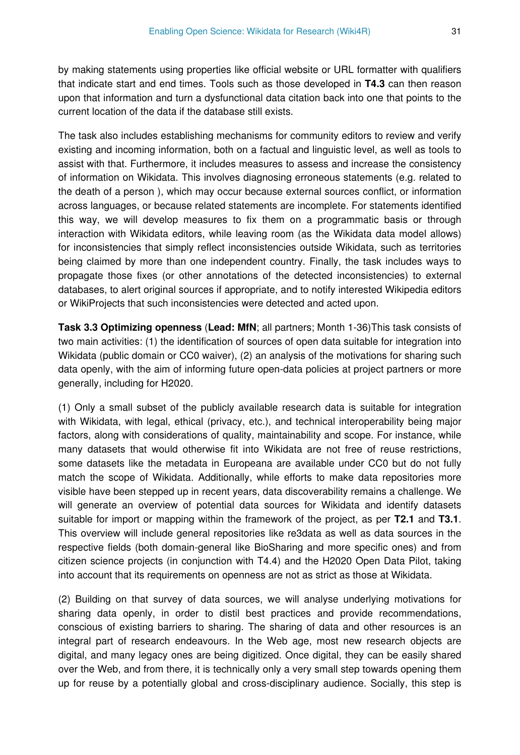by making statements using properties like official website or URL formatter with qualifiers that indicate start and end times. Tools such as those developed in **T4.3** can then reason upon that information and turn a dysfunctional data citation back into one that points to the current location of the data if the database still exists.

The task also includes establishing mechanisms for community editors to review and verify existing and incoming information, both on a factual and linguistic level, as well as tools to assist with that. Furthermore, it includes measures to assess and increase the consistency of information on Wikidata. This involves diagnosing erroneous statements (e.g. related to the death of a person ), which may occur because external sources conflict, or information across languages, or because related statements are incomplete. For statements identified this way, we will develop measures to fix them on a programmatic basis or through interaction with Wikidata editors, while leaving room (as the Wikidata data model allows) for inconsistencies that simply reflect inconsistencies outside Wikidata, such as territories being claimed by more than one independent country. Finally, the task includes ways to propagate those fixes (or other annotations of the detected inconsistencies) to external databases, to alert original sources if appropriate, and to notify interested Wikipedia editors or WikiProjects that such inconsistencies were detected and acted upon.

**Task 3.3 Optimizing openness** (**Lead: MfN**; all partners; Month 1-36)This task consists of two main activities: (1) the identification of sources of open data suitable for integration into Wikidata (public domain or CC0 waiver), (2) an analysis of the motivations for sharing such data openly, with the aim of informing future open-data policies at project partners or more generally, including for H2020.

(1) Only a small subset of the publicly available research data is suitable for integration with Wikidata, with legal, ethical (privacy, etc.), and technical interoperability being major factors, along with considerations of quality, maintainability and scope. For instance, while many datasets that would otherwise fit into Wikidata are not free of reuse restrictions, some datasets like the metadata in Europeana are available under CC0 but do not fully match the scope of Wikidata. Additionally, while efforts to make data repositories more visible have been stepped up in recent years, data discoverability remains a challenge. We will generate an overview of potential data sources for Wikidata and identify datasets suitable for import or mapping within the framework of the project, as per **T2.1** and **T3.1**. This overview will include general repositories like re3data as well as data sources in the respective fields (both domain-general like BioSharing and more specific ones) and from citizen science projects (in conjunction with T4.4) and the H2020 Open Data Pilot, taking into account that its requirements on openness are not as strict as those at Wikidata.

(2) Building on that survey of data sources, we will analyse underlying motivations for sharing data openly, in order to distil best practices and provide recommendations, conscious of existing barriers to sharing. The sharing of data and other resources is an integral part of research endeavours. In the Web age, most new research objects are digital, and many legacy ones are being digitized. Once digital, they can be easily shared over the Web, and from there, it is technically only a very small step towards opening them up for reuse by a potentially global and cross-disciplinary audience. Socially, this step is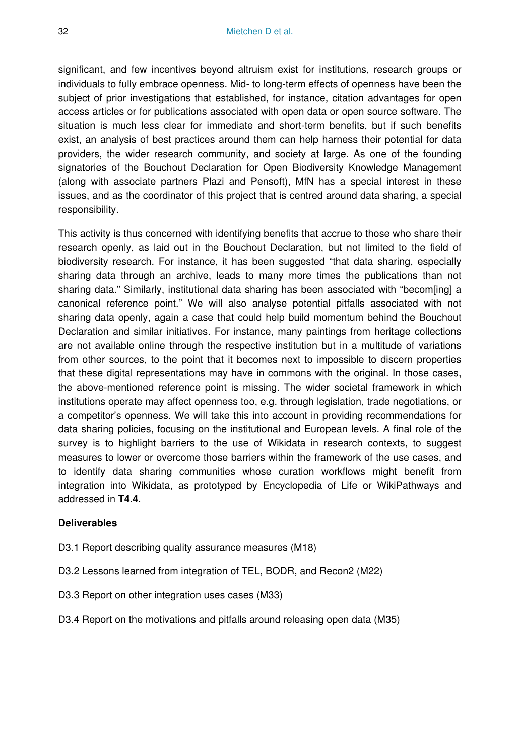significant, and few incentives beyond altruism exist for institutions, research groups or individuals to fully embrace openness. Mid- to long-term effects of openness have been the subject of prior investigations that established, for instance, citation advantages for open access articles or for publications associated with open data or open source software. The situation is much less clear for immediate and short-term benefits, but if such benefits exist, an analysis of best practices around them can help harness their potential for data providers, the wider research community, and society at large. As one of the founding signatories of the Bouchout Declaration for Open Biodiversity Knowledge Management (along with associate partners Plazi and Pensoft), MfN has a special interest in these issues, and as the coordinator of this project that is centred around data sharing, a special responsibility.

This activity is thus concerned with identifying benefits that accrue to those who share their research openly, as laid out in the Bouchout Declaration, but not limited to the field of biodiversity research. For instance, it has been suggested "that data sharing, especially sharing data through an archive, leads to many more times the publications than not sharing data." Similarly, institutional data sharing has been associated with "becom[ing] a canonical reference point." We will also analyse potential pitfalls associated with not sharing data openly, again a case that could help build momentum behind the Bouchout Declaration and similar initiatives. For instance, many paintings from heritage collections are not available online through the respective institution but in a multitude of variations from other sources, to the point that it becomes next to impossible to discern properties that these digital representations may have in commons with the original. In those cases, the above-mentioned reference point is missing. The wider societal framework in which institutions operate may affect openness too, e.g. through legislation, trade negotiations, or a competitor's openness. We will take this into account in providing recommendations for data sharing policies, focusing on the institutional and European levels. A final role of the survey is to highlight barriers to the use of Wikidata in research contexts, to suggest measures to lower or overcome those barriers within the framework of the use cases, and to identify data sharing communities whose curation workflows might benefit from integration into Wikidata, as prototyped by Encyclopedia of Life or WikiPathways and addressed in **T4.4**.

#### **Deliverables**

- D3.1 Report describing quality assurance measures (M18)
- D3.2 Lessons learned from integration of TEL, BODR, and Recon2 (M22)
- D3.3 Report on other integration uses cases (M33)
- D3.4 Report on the motivations and pitfalls around releasing open data (M35)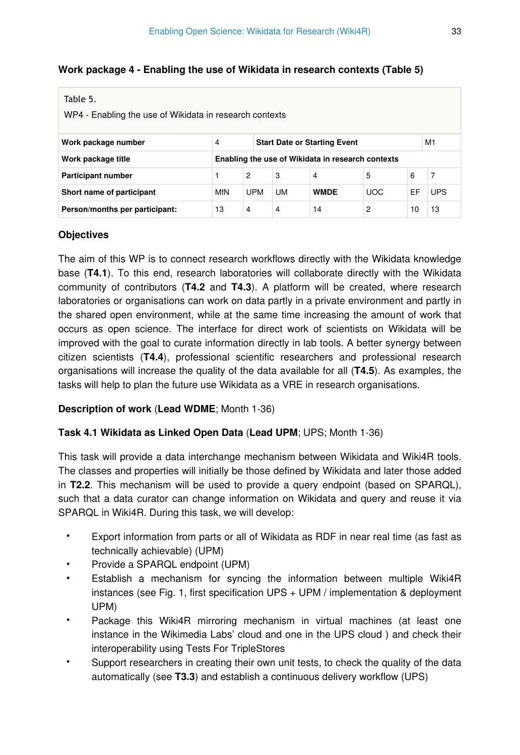## **Work package 4 - Enabling the use of Wikidata in research contexts (Table 5)**

| Table 5.<br>WP4 - Enabling the use of Wikidata in research contexts   |     |                |           |                                                   |            |    |            |  |  |  |
|-----------------------------------------------------------------------|-----|----------------|-----------|---------------------------------------------------|------------|----|------------|--|--|--|
| M1<br>4<br>Work package number<br><b>Start Date or Starting Event</b> |     |                |           |                                                   |            |    |            |  |  |  |
| Work package title                                                    |     |                |           | Enabling the use of Wikidata in research contexts |            |    |            |  |  |  |
| Participant number                                                    |     | $\overline{2}$ | 3         | $\overline{4}$                                    | 5          | 6  | 7          |  |  |  |
| Short name of participant                                             | MfN | <b>UPM</b>     | <b>UM</b> | <b>WMDE</b>                                       | <b>UOC</b> | EF | <b>UPS</b> |  |  |  |
| Person/months per participant:                                        | 13  | 4              | 4         | 14                                                | 2          | 10 | 13         |  |  |  |

## **Objectives**

The aim of this WP is to connect research workflows directly with the Wikidata knowledge base (**T4.1**). To this end, research laboratories will collaborate directly with the Wikidata community of contributors (**T4.2** and **T4.3**). A platform will be created, where research laboratories or organisations can work on data partly in a private environment and partly in the shared open environment, while at the same time increasing the amount of work that occurs as open science. The interface for direct work of scientists on Wikidata will be improved with the goal to curate information directly in lab tools. A better synergy between citizen scientists (**T4.4**), professional scientific researchers and professional research organisations will increase the quality of the data available for all (**T4.5**). As examples, the tasks will help to plan the future use Wikidata as a VRE in research organisations.

## **Description of work** (**Lead WDME**; Month 1-36)

#### **Task 4.1 Wikidata as Linked Open Data** (**Lead UPM**; UPS; Month 1-36)

This task will provide a data interchange mechanism between Wikidata and Wiki4R tools. The classes and properties will initially be those defined by Wikidata and later those added in **T2.2**. This mechanism will be used to provide a query endpoint (based on SPARQL), such that a data curator can change information on Wikidata and query and reuse it via SPARQL in Wiki4R. During this task, we will develop:

- Export information from parts or all of Wikidata as RDF in near real time (as fast as technically achievable) (UPM)
- Provide a SPARQL endpoint (UPM)
- Establish a mechanism for syncing the information between multiple Wiki4R instances (see Fig. 1, first specification UPS + UPM / implementation & deployment UPM)
- Package this Wiki4R mirroring mechanism in virtual machines (at least one instance in the Wikimedia Labs' cloud and one in the UPS cloud ) and check their interoperability using Tests For TripleStores
- Support researchers in creating their own unit tests, to check the quality of the data automatically (see **T3.3**) and establish a continuous delivery workflow (UPS)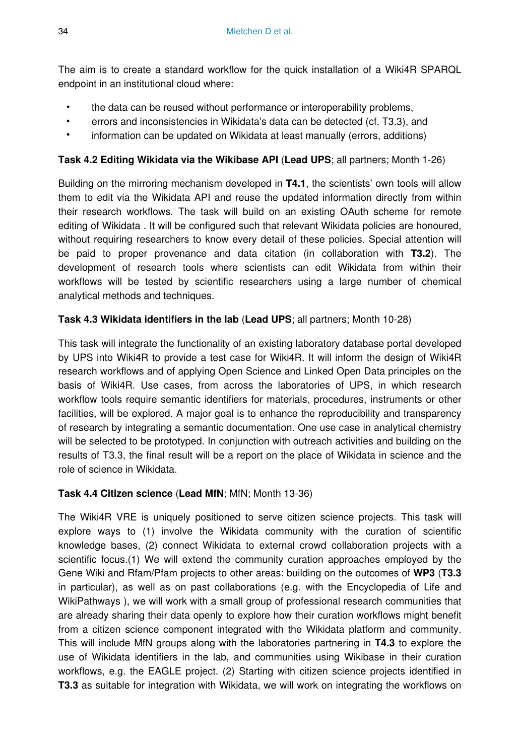The aim is to create a standard workflow for the quick installation of a Wiki4R SPARQL endpoint in an institutional cloud where:

- the data can be reused without performance or interoperability problems,
- errors and inconsistencies in Wikidata's data can be detected (cf. T3.3), and
- information can be updated on Wikidata at least manually (errors, additions)

## **Task 4.2 Editing Wikidata via the Wikibase API** (**Lead UPS**; all partners; Month 1-26)

Building on the mirroring mechanism developed in **T4.1**, the scientists' own tools will allow them to edit via the Wikidata API and reuse the updated information directly from within their research workflows. The task will build on an existing OAuth scheme for remote editing of Wikidata . It will be configured such that relevant Wikidata policies are honoured, without requiring researchers to know every detail of these policies. Special attention will be paid to proper provenance and data citation (in collaboration with **T3.2**). The development of research tools where scientists can edit Wikidata from within their workflows will be tested by scientific researchers using a large number of chemical analytical methods and techniques.

## **Task 4.3 Wikidata identifiers in the lab** (**Lead UPS**; all partners; Month 10-28)

This task will integrate the functionality of an existing laboratory database portal developed by UPS into Wiki4R to provide a test case for Wiki4R. It will inform the design of Wiki4R research workflows and of applying Open Science and Linked Open Data principles on the basis of Wiki4R. Use cases, from across the laboratories of UPS, in which research workflow tools require semantic identifiers for materials, procedures, instruments or other facilities, will be explored. A major goal is to enhance the reproducibility and transparency of research by integrating a semantic documentation. One use case in analytical chemistry will be selected to be prototyped. In conjunction with outreach activities and building on the results of T3.3, the final result will be a report on the place of Wikidata in science and the role of science in Wikidata.

## **Task 4.4 Citizen science** (**Lead MfN**; MfN; Month 13-36)

The Wiki4R VRE is uniquely positioned to serve citizen science projects. This task will explore ways to (1) involve the Wikidata community with the curation of scientific knowledge bases, (2) connect Wikidata to external crowd collaboration projects with a scientific focus.(1) We will extend the community curation approaches employed by the Gene Wiki and Rfam/Pfam projects to other areas: building on the outcomes of **WP3** (**T3.3**  in particular), as well as on past collaborations (e.g. with the Encyclopedia of Life and WikiPathways ), we will work with a small group of professional research communities that are already sharing their data openly to explore how their curation workflows might benefit from a citizen science component integrated with the Wikidata platform and community. This will include MfN groups along with the laboratories partnering in **T4.3** to explore the use of Wikidata identifiers in the lab, and communities using Wikibase in their curation workflows, e.g. the EAGLE project. (2) Starting with citizen science projects identified in **T3.3** as suitable for integration with Wikidata, we will work on integrating the workflows on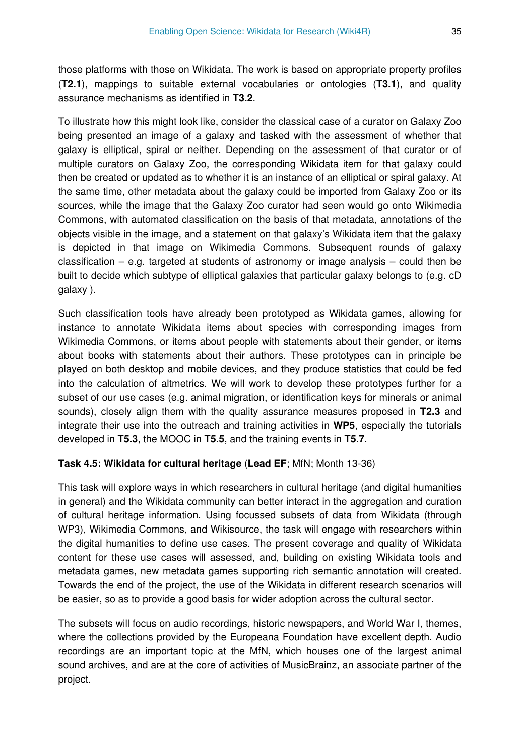those platforms with those on Wikidata. The work is based on appropriate property profiles (**T2.1**), mappings to suitable external vocabularies or ontologies (**T3.1**), and quality assurance mechanisms as identified in **T3.2**.

To illustrate how this might look like, consider the classical case of a curator on Galaxy Zoo being presented an image of a galaxy and tasked with the assessment of whether that galaxy is elliptical, spiral or neither. Depending on the assessment of that curator or of multiple curators on Galaxy Zoo, the corresponding Wikidata item for that galaxy could then be created or updated as to whether it is an instance of an elliptical or spiral galaxy. At the same time, other metadata about the galaxy could be imported from Galaxy Zoo or its sources, while the image that the Galaxy Zoo curator had seen would go onto Wikimedia Commons, with automated classification on the basis of that metadata, annotations of the objects visible in the image, and a statement on that galaxy's Wikidata item that the galaxy is depicted in that image on Wikimedia Commons. Subsequent rounds of galaxy classification – e.g. targeted at students of astronomy or image analysis – could then be built to decide which subtype of elliptical galaxies that particular galaxy belongs to (e.g. cD galaxy ).

Such classification tools have already been prototyped as Wikidata games, allowing for instance to annotate Wikidata items about species with corresponding images from Wikimedia Commons, or items about people with statements about their gender, or items about books with statements about their authors. These prototypes can in principle be played on both desktop and mobile devices, and they produce statistics that could be fed into the calculation of altmetrics. We will work to develop these prototypes further for a subset of our use cases (e.g. animal migration, or identification keys for minerals or animal sounds), closely align them with the quality assurance measures proposed in **T2.3** and integrate their use into the outreach and training activities in **WP5**, especially the tutorials developed in **T5.3**, the MOOC in **T5.5**, and the training events in **T5.7**.

## **Task 4.5: Wikidata for cultural heritage** (**Lead EF**; MfN; Month 13-36)

This task will explore ways in which researchers in cultural heritage (and digital humanities in general) and the Wikidata community can better interact in the aggregation and curation of cultural heritage information. Using focussed subsets of data from Wikidata (through WP3), Wikimedia Commons, and Wikisource, the task will engage with researchers within the digital humanities to define use cases. The present coverage and quality of Wikidata content for these use cases will assessed, and, building on existing Wikidata tools and metadata games, new metadata games supporting rich semantic annotation will created. Towards the end of the project, the use of the Wikidata in different research scenarios will be easier, so as to provide a good basis for wider adoption across the cultural sector.

The subsets will focus on audio recordings, historic newspapers, and World War I, themes, where the collections provided by the Europeana Foundation have excellent depth. Audio recordings are an important topic at the MfN, which houses one of the largest animal sound archives, and are at the core of activities of MusicBrainz, an associate partner of the project.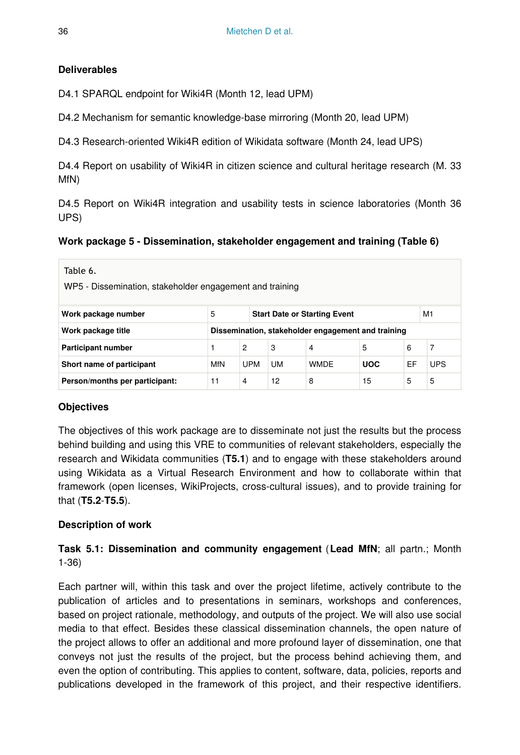## **Deliverables**

D4.1 SPARQL endpoint for Wiki4R (Month 12, lead UPM)

D4.2 Mechanism for semantic knowledge-base mirroring (Month 20, lead UPM)

D4.3 Research-oriented Wiki4R edition of Wikidata software (Month 24, lead UPS)

D4.4 Report on usability of Wiki4R in citizen science and cultural heritage research (M. 33 MfN)

D4.5 Report on Wiki4R integration and usability tests in science laboratories (Month 36 UPS)

## **Work package 5 - Dissemination, stakeholder engagement and training (Table 6)**

| Table 6.<br>WP5 - Dissemination, stakeholder engagement and training  |                                                                                 |                |    |                                                    |    |   |   |  |  |  |
|-----------------------------------------------------------------------|---------------------------------------------------------------------------------|----------------|----|----------------------------------------------------|----|---|---|--|--|--|
| 5<br>M1<br>Work package number<br><b>Start Date or Starting Event</b> |                                                                                 |                |    |                                                    |    |   |   |  |  |  |
| Work package title                                                    |                                                                                 |                |    | Dissemination, stakeholder engagement and training |    |   |   |  |  |  |
| Participant number                                                    |                                                                                 | $\overline{2}$ | 3  | 4                                                  | 5  | 6 | 7 |  |  |  |
| Short name of participant                                             | EF<br><b>UPS</b><br>MfN<br><b>UPM</b><br><b>UM</b><br><b>WMDE</b><br><b>UOC</b> |                |    |                                                    |    |   |   |  |  |  |
| Person/months per participant:                                        | 11                                                                              | 4              | 12 | 8                                                  | 15 | 5 | 5 |  |  |  |

## **Objectives**

The objectives of this work package are to disseminate not just the results but the process behind building and using this VRE to communities of relevant stakeholders, especially the research and Wikidata communities (**T5.1**) and to engage with these stakeholders around using Wikidata as a Virtual Research Environment and how to collaborate within that framework (open licenses, WikiProjects, cross-cultural issues), and to provide training for that (**T5.2**-**T5.5**).

## **Description of work**

## **Task 5.1: Dissemination and community engagement** (**Lead MfN**; all partn.; Month 1-36)

Each partner will, within this task and over the project lifetime, actively contribute to the publication of articles and to presentations in seminars, workshops and conferences, based on project rationale, methodology, and outputs of the project. We will also use social media to that effect. Besides these classical dissemination channels, the open nature of the project allows to offer an additional and more profound layer of dissemination, one that conveys not just the results of the project, but the process behind achieving them, and even the option of contributing. This applies to content, software, data, policies, reports and publications developed in the framework of this project, and their respective identifiers.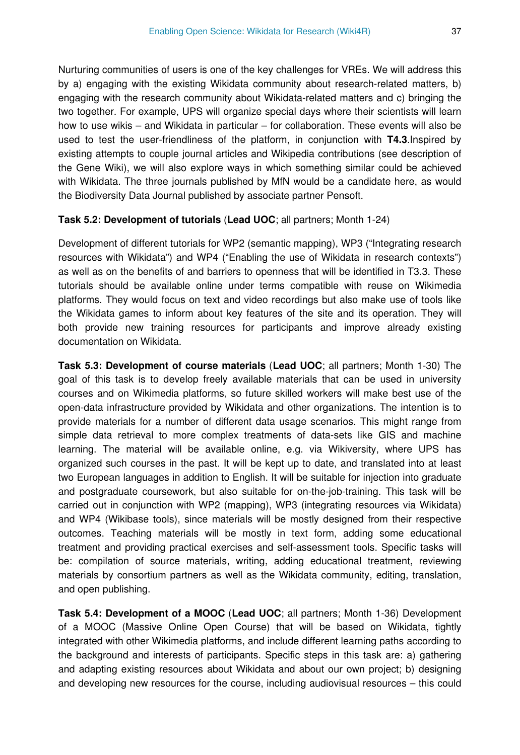Nurturing communities of users is one of the key challenges for VREs. We will address this by a) engaging with the existing Wikidata community about research-related matters, b) engaging with the research community about Wikidata-related matters and c) bringing the two together. For example, UPS will organize special days where their scientists will learn how to use wikis – and Wikidata in particular – for collaboration. These events will also be used to test the user-friendliness of the platform, in conjunction with **T4.3**.Inspired by existing attempts to couple journal articles and Wikipedia contributions (see description of the Gene Wiki), we will also explore ways in which something similar could be achieved with Wikidata. The three journals published by MfN would be a candidate here, as would the Biodiversity Data Journal published by associate partner Pensoft.

#### **Task 5.2: Development of tutorials** (**Lead UOC**; all partners; Month 1-24)

Development of different tutorials for WP2 (semantic mapping), WP3 ("Integrating research resources with Wikidata") and WP4 ("Enabling the use of Wikidata in research contexts") as well as on the benefits of and barriers to openness that will be identified in T3.3. These tutorials should be available online under terms compatible with reuse on Wikimedia platforms. They would focus on text and video recordings but also make use of tools like the Wikidata games to inform about key features of the site and its operation. They will both provide new training resources for participants and improve already existing documentation on Wikidata.

**Task 5.3: Development of course materials** (**Lead UOC**; all partners; Month 1-30) The goal of this task is to develop freely available materials that can be used in university courses and on Wikimedia platforms, so future skilled workers will make best use of the open-data infrastructure provided by Wikidata and other organizations. The intention is to provide materials for a number of different data usage scenarios. This might range from simple data retrieval to more complex treatments of data-sets like GIS and machine learning. The material will be available online, e.g. via Wikiversity, where UPS has organized such courses in the past. It will be kept up to date, and translated into at least two European languages in addition to English. It will be suitable for injection into graduate and postgraduate coursework, but also suitable for on-the-job-training. This task will be carried out in conjunction with WP2 (mapping), WP3 (integrating resources via Wikidata) and WP4 (Wikibase tools), since materials will be mostly designed from their respective outcomes. Teaching materials will be mostly in text form, adding some educational treatment and providing practical exercises and self-assessment tools. Specific tasks will be: compilation of source materials, writing, adding educational treatment, reviewing materials by consortium partners as well as the Wikidata community, editing, translation, and open publishing.

**Task 5.4: Development of a MOOC** (**Lead UOC**; all partners; Month 1-36) Development of a MOOC (Massive Online Open Course) that will be based on Wikidata, tightly integrated with other Wikimedia platforms, and include different learning paths according to the background and interests of participants. Specific steps in this task are: a) gathering and adapting existing resources about Wikidata and about our own project; b) designing and developing new resources for the course, including audiovisual resources – this could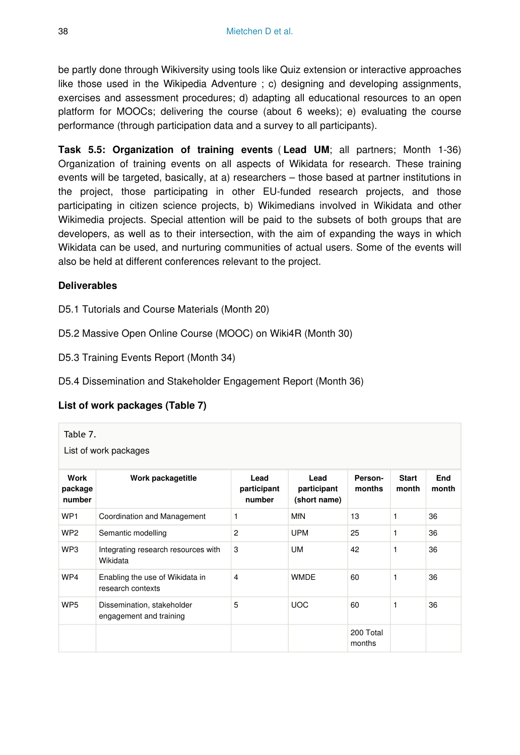be partly done through Wikiversity using tools like Quiz extension or interactive approaches like those used in the Wikipedia Adventure ; c) designing and developing assignments, exercises and assessment procedures; d) adapting all educational resources to an open platform for MOOCs; delivering the course (about 6 weeks); e) evaluating the course performance (through participation data and a survey to all participants).

**Task 5.5: Organization of training events** ( **Lead UM**; all partners; Month 1-36) Organization of training events on all aspects of Wikidata for research. These training events will be targeted, basically, at a) researchers – those based at partner institutions in the project, those participating in other EU-funded research projects, and those participating in citizen science projects, b) Wikimedians involved in Wikidata and other Wikimedia projects. Special attention will be paid to the subsets of both groups that are developers, as well as to their intersection, with the aim of expanding the ways in which Wikidata can be used, and nurturing communities of actual users. Some of the events will also be held at different conferences relevant to the project.

## **Deliverables**

D5.1 Tutorials and Course Materials (Month 20)

D5.2 Massive Open Online Course (MOOC) on Wiki4R (Month 30)

D5.3 Training Events Report (Month 34)

D5.4 Dissemination and Stakeholder Engagement Report (Month 36)

### **List of work packages (Table 7)**

| Table 7.<br>List of work packages |                                                       |                               |                                     |                     |                       |              |  |  |  |  |
|-----------------------------------|-------------------------------------------------------|-------------------------------|-------------------------------------|---------------------|-----------------------|--------------|--|--|--|--|
| Work<br>package<br>number         | Work packagetitle                                     | Lead<br>participant<br>number | Lead<br>participant<br>(short name) | Person-<br>months   | <b>Start</b><br>month | End<br>month |  |  |  |  |
| WP <sub>1</sub>                   | Coordination and Management                           | 1                             | <b>MfN</b>                          | 13                  | 1                     | 36           |  |  |  |  |
| WP <sub>2</sub>                   | Semantic modelling                                    | 2                             | <b>UPM</b>                          | 25                  | 1                     | 36           |  |  |  |  |
| WP3                               | Integrating research resources with<br>Wikidata       | 3                             | <b>UM</b>                           | 42                  | 1                     | 36           |  |  |  |  |
| WP4                               | Enabling the use of Wikidata in<br>research contexts  | 4                             | <b>WMDE</b>                         | 60                  | 1                     | 36           |  |  |  |  |
| WP <sub>5</sub>                   | Dissemination, stakeholder<br>engagement and training | 5                             | <b>UOC</b>                          | 60                  | 1                     | 36           |  |  |  |  |
|                                   |                                                       |                               |                                     | 200 Total<br>months |                       |              |  |  |  |  |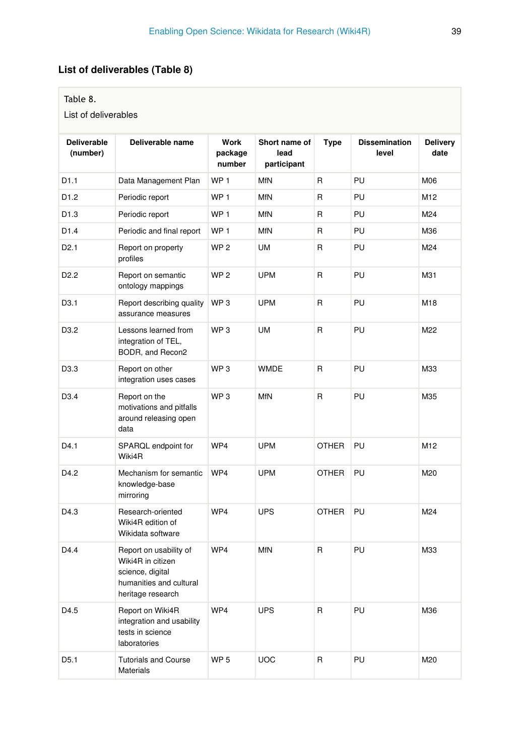# **List of deliverables (Table 8)**

### Table 8.

List of deliverables

| <b>Deliverable</b><br>(number) | Deliverable name                                                                                                | Work<br>package<br>number | Short name of<br>lead<br>participant | <b>Type</b>  | <b>Dissemination</b><br>level | <b>Delivery</b><br>date |
|--------------------------------|-----------------------------------------------------------------------------------------------------------------|---------------------------|--------------------------------------|--------------|-------------------------------|-------------------------|
| D1.1                           | Data Management Plan                                                                                            | WP <sub>1</sub>           | <b>MfN</b>                           | R            | PU                            | M06                     |
| D <sub>1.2</sub>               | Periodic report                                                                                                 | WP <sub>1</sub>           | <b>MfN</b>                           | R            | PU                            | M12                     |
| D1.3                           | Periodic report                                                                                                 | WP <sub>1</sub>           | <b>MfN</b>                           | R            | PU                            | M24                     |
| D1.4                           | Periodic and final report                                                                                       | WP <sub>1</sub>           | <b>MfN</b>                           | R            | PU                            | M36                     |
| D <sub>2.1</sub>               | Report on property<br>profiles                                                                                  | WP <sub>2</sub>           | <b>UM</b>                            | R            | PU                            | M24                     |
| D <sub>2.2</sub>               | Report on semantic<br>ontology mappings                                                                         | WP <sub>2</sub>           | <b>UPM</b>                           | R            | PU                            | M31                     |
| D <sub>3.1</sub>               | Report describing quality<br>assurance measures                                                                 | WP <sub>3</sub>           | <b>UPM</b>                           | R            | PU                            | M18                     |
| D <sub>3.2</sub>               | Lessons learned from<br>integration of TEL,<br>BODR, and Recon2                                                 | WP <sub>3</sub>           | <b>UM</b>                            | R            | PU                            | M22                     |
| D3.3                           | Report on other<br>integration uses cases                                                                       | WP <sub>3</sub>           | <b>WMDE</b>                          | R            | PU                            | M33                     |
| D <sub>3.4</sub>               | Report on the<br>motivations and pitfalls<br>around releasing open<br>data                                      | WP <sub>3</sub>           | <b>MfN</b>                           | R            | PU                            | M35                     |
| D4.1                           | SPARQL endpoint for<br>Wiki4R                                                                                   | WP4                       | <b>UPM</b>                           | <b>OTHER</b> | PU                            | M12                     |
| D4.2                           | Mechanism for semantic<br>knowledge-base<br>mirroring                                                           | WP4                       | <b>UPM</b>                           | <b>OTHER</b> | PU                            | M20                     |
| D4.3                           | Research-oriented<br>Wiki4R edition of<br>Wikidata software                                                     | WP4                       | <b>UPS</b>                           | <b>OTHER</b> | PU                            | M24                     |
| D4.4                           | Report on usability of<br>Wiki4R in citizen<br>science, digital<br>humanities and cultural<br>heritage research | WP4                       | <b>MfN</b>                           | R            | PU                            | M33                     |
| D4.5                           | Report on Wiki4R<br>integration and usability<br>tests in science<br>laboratories                               | WP4                       | <b>UPS</b>                           | R            | PU                            | M36                     |
| D <sub>5.1</sub>               | <b>Tutorials and Course</b><br><b>Materials</b>                                                                 | WP <sub>5</sub>           | <b>UOC</b>                           | R            | PU                            | M20                     |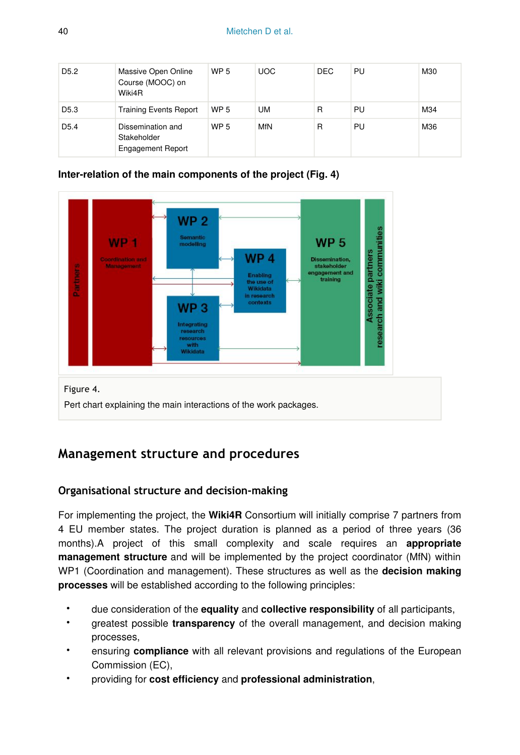| D <sub>5.2</sub> | Massive Open Online<br>Course (MOOC) on<br>Wiki4R            | <b>WP 5</b> | <b>UOC</b> | DEC. | PU | M30 |
|------------------|--------------------------------------------------------------|-------------|------------|------|----|-----|
| D <sub>5.3</sub> | <b>Training Events Report</b>                                | <b>WP 5</b> | <b>UM</b>  | R    | PU | M34 |
| D <sub>5.4</sub> | Dissemination and<br>Stakeholder<br><b>Engagement Report</b> | <b>WP 5</b> | MfN        | R    | PU | M36 |

### **Inter-relation of the main components of the project (Fig. 4)**



# **Management structure and procedures**

# **Organisational structure and decision-making**

For implementing the project, the **Wiki4R** Consortium will initially comprise 7 partners from 4 EU member states. The project duration is planned as a period of three years (36 months).A project of this small complexity and scale requires an **appropriate management structure** and will be implemented by the project coordinator (MfN) within WP1 (Coordination and management). These structures as well as the **decision making processes** will be established according to the following principles:

- due consideration of the **equality** and **collective responsibility** of all participants,
- greatest possible **transparency** of the overall management, and decision making processes,
- ensuring **compliance** with all relevant provisions and regulations of the European Commission (EC),
- providing for **cost efficiency** and **professional administration**,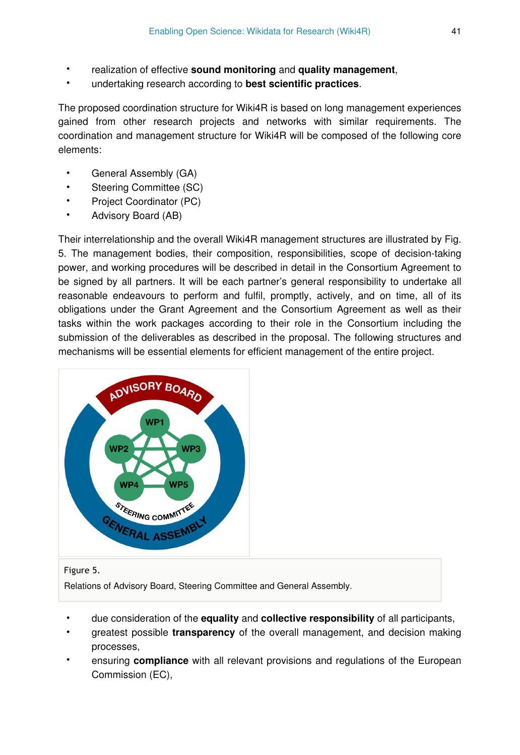- realization of effective **sound monitoring** and **quality management**,
- undertaking research according to **best scientific practices**.

The proposed coordination structure for Wiki4R is based on long management experiences gained from other research projects and networks with similar requirements. The coordination and management structure for Wiki4R will be composed of the following core elements:

- General Assembly (GA)
- Steering Committee (SC)
- Project Coordinator (PC)
- Advisory Board (AB)

Their interrelationship and the overall Wiki4R management structures are illustrated by Fig. 5. The management bodies, their composition, responsibilities, scope of decision-taking power, and working procedures will be described in detail in the Consortium Agreement to be signed by all partners. It will be each partner's general responsibility to undertake all reasonable endeavours to perform and fulfil, promptly, actively, and on time, all of its obligations under the Grant Agreement and the Consortium Agreement as well as their tasks within the work packages according to their role in the Consortium including the submission of the deliverables as described in the proposal. The following structures and mechanisms will be essential elements for efficient management of the entire project.



#### Figure 5.

Relations of Advisory Board, Steering Committee and General Assembly.

- due consideration of the **equality** and **collective responsibility** of all participants,
- greatest possible **transparency** of the overall management, and decision making processes,
- ensuring **compliance** with all relevant provisions and regulations of the European Commission (EC),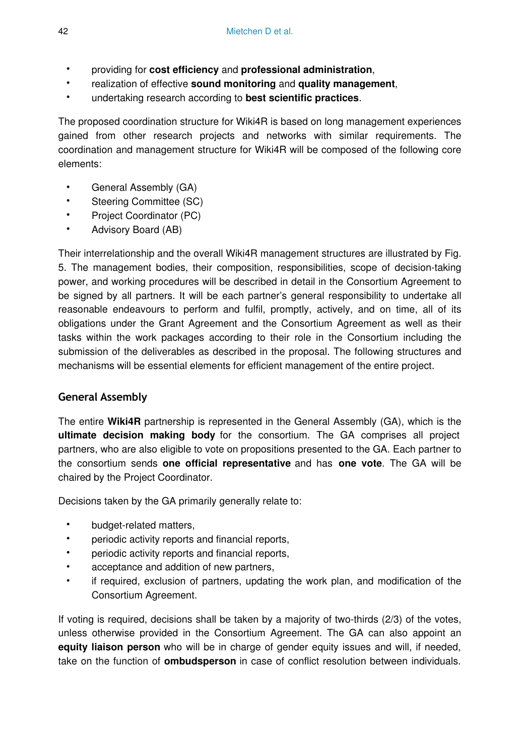- providing for **cost efficiency** and **professional administration**,
- realization of effective **sound monitoring** and **quality management**,
- undertaking research according to **best scientific practices**.

The proposed coordination structure for Wiki4R is based on long management experiences gained from other research projects and networks with similar requirements. The coordination and management structure for Wiki4R will be composed of the following core elements:

- General Assembly (GA)
- Steering Committee (SC)
- Project Coordinator (PC)
- Advisory Board (AB)

Their interrelationship and the overall Wiki4R management structures are illustrated by Fig. 5. The management bodies, their composition, responsibilities, scope of decision-taking power, and working procedures will be described in detail in the Consortium Agreement to be signed by all partners. It will be each partner's general responsibility to undertake all reasonable endeavours to perform and fulfil, promptly, actively, and on time, all of its obligations under the Grant Agreement and the Consortium Agreement as well as their tasks within the work packages according to their role in the Consortium including the submission of the deliverables as described in the proposal. The following structures and mechanisms will be essential elements for efficient management of the entire project.

# **General Assembly**

The entire **Wiki4R** partnership is represented in the General Assembly (GA), which is the **ultimate decision making body** for the consortium. The GA comprises all project partners, who are also eligible to vote on propositions presented to the GA. Each partner to the consortium sends **one official representative** and has **one vote**. The GA will be chaired by the Project Coordinator.

Decisions taken by the GA primarily generally relate to:

- budget-related matters,
- periodic activity reports and financial reports,
- periodic activity reports and financial reports,
- acceptance and addition of new partners,
- if required, exclusion of partners, updating the work plan, and modification of the Consortium Agreement.

If voting is required, decisions shall be taken by a majority of two-thirds (2/3) of the votes, unless otherwise provided in the Consortium Agreement. The GA can also appoint an **equity liaison person** who will be in charge of gender equity issues and will, if needed, take on the function of **ombudsperson** in case of conflict resolution between individuals.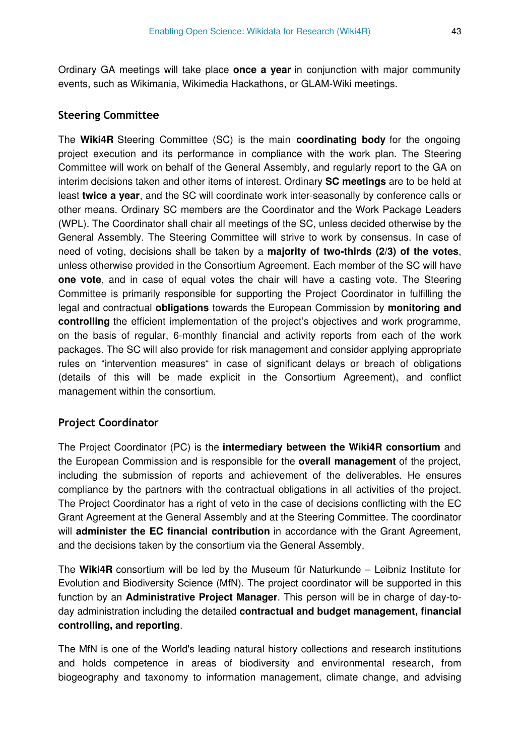Ordinary GA meetings will take place **once a year** in conjunction with major community events, such as Wikimania, Wikimedia Hackathons, or GLAM-Wiki meetings.

#### **Steering Committee**

The **Wiki4R** Steering Committee (SC) is the main **coordinating body** for the ongoing project execution and its performance in compliance with the work plan. The Steering Committee will work on behalf of the General Assembly, and regularly report to the GA on interim decisions taken and other items of interest. Ordinary **SC meetings** are to be held at least **twice a year**, and the SC will coordinate work inter-seasonally by conference calls or other means. Ordinary SC members are the Coordinator and the Work Package Leaders (WPL). The Coordinator shall chair all meetings of the SC, unless decided otherwise by the General Assembly. The Steering Committee will strive to work by consensus. In case of need of voting, decisions shall be taken by a **majority of two-thirds (2/3) of the votes**, unless otherwise provided in the Consortium Agreement. Each member of the SC will have **one vote**, and in case of equal votes the chair will have a casting vote. The Steering Committee is primarily responsible for supporting the Project Coordinator in fulfilling the legal and contractual **obligations** towards the European Commission by **monitoring and controlling** the efficient implementation of the project's objectives and work programme, on the basis of regular, 6-monthly financial and activity reports from each of the work packages. The SC will also provide for risk management and consider applying appropriate rules on "intervention measures" in case of significant delays or breach of obligations (details of this will be made explicit in the Consortium Agreement), and conflict management within the consortium.

#### **Project Coordinator**

The Project Coordinator (PC) is the **intermediary between the Wiki4R consortium** and the European Commission and is responsible for the **overall management** of the project, including the submission of reports and achievement of the deliverables. He ensures compliance by the partners with the contractual obligations in all activities of the project. The Project Coordinator has a right of veto in the case of decisions conflicting with the EC Grant Agreement at the General Assembly and at the Steering Committee. The coordinator will **administer the EC financial contribution** in accordance with the Grant Agreement, and the decisions taken by the consortium via the General Assembly.

The **Wiki4R** consortium will be led by the Museum für Naturkunde – Leibniz Institute for Evolution and Biodiversity Science (MfN). The project coordinator will be supported in this function by an **Administrative Project Manager**. This person will be in charge of day-today administration including the detailed **contractual and budget management, financial controlling, and reporting**.

The MfN is one of the World's leading natural history collections and research institutions and holds competence in areas of biodiversity and environmental research, from biogeography and taxonomy to information management, climate change, and advising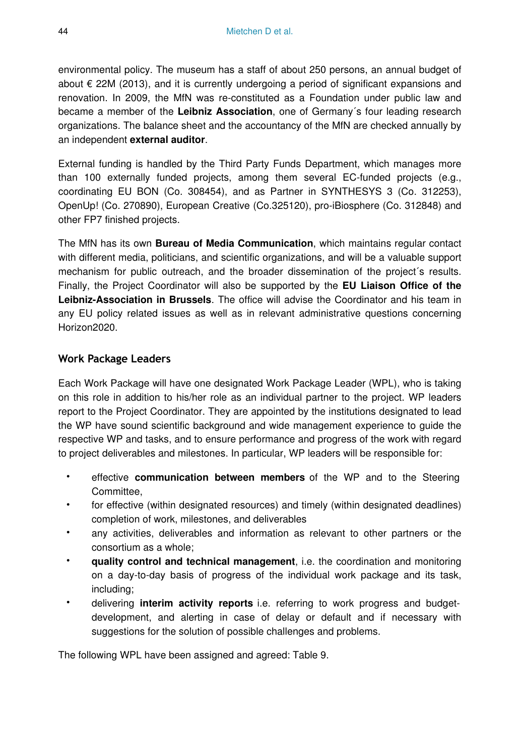environmental policy. The museum has a staff of about 250 persons, an annual budget of about € 22M (2013), and it is currently undergoing a period of significant expansions and renovation. In 2009, the MfN was re-constituted as a Foundation under public law and became a member of the **Leibniz Association**, one of Germany´s four leading research organizations. The balance sheet and the accountancy of the MfN are checked annually by an independent **external auditor**.

External funding is handled by the Third Party Funds Department, which manages more than 100 externally funded projects, among them several EC-funded projects (e.g., coordinating EU BON (Co. 308454), and as Partner in SYNTHESYS 3 (Co. 312253), OpenUp! (Co. 270890), European Creative (Co.325120), pro-iBiosphere (Co. 312848) and other FP7 finished projects.

The MfN has its own **Bureau of Media Communication**, which maintains regular contact with different media, politicians, and scientific organizations, and will be a valuable support mechanism for public outreach, and the broader dissemination of the project´s results. Finally, the Project Coordinator will also be supported by the **EU Liaison Office of the Leibniz-Association in Brussels**. The office will advise the Coordinator and his team in any EU policy related issues as well as in relevant administrative questions concerning Horizon2020.

### **Work Package Leaders**

Each Work Package will have one designated Work Package Leader (WPL), who is taking on this role in addition to his/her role as an individual partner to the project. WP leaders report to the Project Coordinator. They are appointed by the institutions designated to lead the WP have sound scientific background and wide management experience to guide the respective WP and tasks, and to ensure performance and progress of the work with regard to project deliverables and milestones. In particular, WP leaders will be responsible for:

- effective **communication between members** of the WP and to the Steering **Committee**
- for effective (within designated resources) and timely (within designated deadlines) completion of work, milestones, and deliverables
- any activities, deliverables and information as relevant to other partners or the consortium as a whole;
- **quality control and technical management**, i.e. the coordination and monitoring on a day-to-day basis of progress of the individual work package and its task, including;
- delivering **interim activity reports** i.e. referring to work progress and budgetdevelopment, and alerting in case of delay or default and if necessary with suggestions for the solution of possible challenges and problems.

The following WPL have been assigned and agreed: Table 9.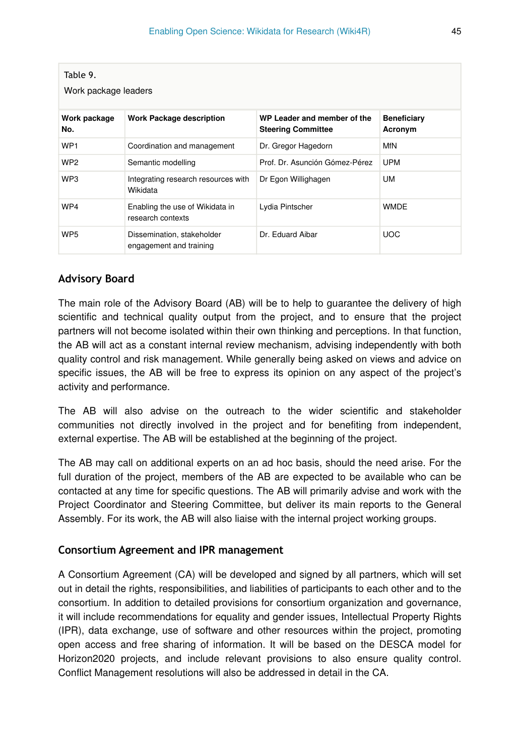| Table 9.<br>Work package leaders |                                                       |                                                          |                               |  |  |  |  |  |  |  |
|----------------------------------|-------------------------------------------------------|----------------------------------------------------------|-------------------------------|--|--|--|--|--|--|--|
| Work package<br>No.              | <b>Work Package description</b>                       | WP Leader and member of the<br><b>Steering Committee</b> | <b>Beneficiary</b><br>Acronym |  |  |  |  |  |  |  |
| WP <sub>1</sub>                  | Coordination and management                           | Dr. Gregor Hagedorn                                      | <b>MfN</b>                    |  |  |  |  |  |  |  |
| WP <sub>2</sub>                  | Semantic modelling                                    | Prof. Dr. Asunción Gómez-Pérez                           | <b>UPM</b>                    |  |  |  |  |  |  |  |
| WP3                              | Integrating research resources with<br>Wikidata       | Dr Egon Willighagen                                      | UM                            |  |  |  |  |  |  |  |
| WP4                              | Enabling the use of Wikidata in<br>research contexts  | Lydia Pintscher                                          | <b>WMDE</b>                   |  |  |  |  |  |  |  |
| WP <sub>5</sub>                  | Dissemination, stakeholder<br>engagement and training | Dr. Eduard Aibar                                         | <b>UOC</b>                    |  |  |  |  |  |  |  |

## **Advisory Board**

The main role of the Advisory Board (AB) will be to help to guarantee the delivery of high scientific and technical quality output from the project, and to ensure that the project partners will not become isolated within their own thinking and perceptions. In that function, the AB will act as a constant internal review mechanism, advising independently with both quality control and risk management. While generally being asked on views and advice on specific issues, the AB will be free to express its opinion on any aspect of the project's activity and performance.

The AB will also advise on the outreach to the wider scientific and stakeholder communities not directly involved in the project and for benefiting from independent, external expertise. The AB will be established at the beginning of the project.

The AB may call on additional experts on an ad hoc basis, should the need arise. For the full duration of the project, members of the AB are expected to be available who can be contacted at any time for specific questions. The AB will primarily advise and work with the Project Coordinator and Steering Committee, but deliver its main reports to the General Assembly. For its work, the AB will also liaise with the internal project working groups.

### **Consortium Agreement and IPR management**

A Consortium Agreement (CA) will be developed and signed by all partners, which will set out in detail the rights, responsibilities, and liabilities of participants to each other and to the consortium. In addition to detailed provisions for consortium organization and governance, it will include recommendations for equality and gender issues, Intellectual Property Rights (IPR), data exchange, use of software and other resources within the project, promoting open access and free sharing of information. It will be based on the DESCA model for Horizon2020 projects, and include relevant provisions to also ensure quality control. Conflict Management resolutions will also be addressed in detail in the CA.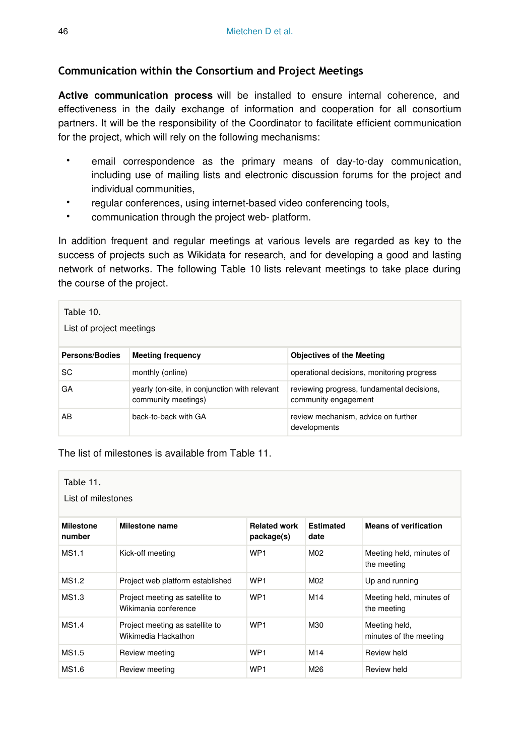# **Communication within the Consortium and Project Meetings**

**Active communication process** will be installed to ensure internal coherence, and effectiveness in the daily exchange of information and cooperation for all consortium partners. It will be the responsibility of the Coordinator to facilitate efficient communication for the project, which will rely on the following mechanisms:

- email correspondence as the primary means of day-to-day communication, including use of mailing lists and electronic discussion forums for the project and individual communities,
- regular conferences, using internet-based video conferencing tools,
- communication through the project web- platform.

In addition frequent and regular meetings at various levels are regarded as key to the success of projects such as Wikidata for research, and for developing a good and lasting network of networks. The following Table 10 lists relevant meetings to take place during the course of the project.

| Table 10.<br>List of project meetings |                                                                      |                                                                    |  |  |  |  |  |  |  |
|---------------------------------------|----------------------------------------------------------------------|--------------------------------------------------------------------|--|--|--|--|--|--|--|
| <b>Persons/Bodies</b>                 | <b>Meeting frequency</b>                                             | <b>Objectives of the Meeting</b>                                   |  |  |  |  |  |  |  |
| SC                                    | monthly (online)                                                     | operational decisions, monitoring progress                         |  |  |  |  |  |  |  |
| GA                                    | yearly (on-site, in conjunction with relevant<br>community meetings) | reviewing progress, fundamental decisions,<br>community engagement |  |  |  |  |  |  |  |
| AB                                    | back-to-back with GA                                                 | review mechanism, advice on further<br>developments                |  |  |  |  |  |  |  |

The list of milestones is available from Table 11.

| Table 11.<br>List of milestones |                                                         |                                   |                          |                                         |  |  |  |  |  |  |
|---------------------------------|---------------------------------------------------------|-----------------------------------|--------------------------|-----------------------------------------|--|--|--|--|--|--|
| <b>Milestone</b><br>number      | Milestone name                                          | <b>Related work</b><br>package(s) | <b>Estimated</b><br>date | <b>Means of verification</b>            |  |  |  |  |  |  |
| <b>MS1.1</b>                    | Kick-off meeting                                        | WP <sub>1</sub>                   | M <sub>02</sub>          | Meeting held, minutes of<br>the meeting |  |  |  |  |  |  |
| MS1.2                           | Project web platform established                        | WP <sub>1</sub>                   | M <sub>02</sub>          | Up and running                          |  |  |  |  |  |  |
| MS1.3                           | Project meeting as satellite to<br>Wikimania conference | WP <sub>1</sub>                   | M14                      | Meeting held, minutes of<br>the meeting |  |  |  |  |  |  |
| MS1.4                           | Project meeting as satellite to<br>Wikimedia Hackathon  | WP <sub>1</sub>                   | M30                      | Meeting held,<br>minutes of the meeting |  |  |  |  |  |  |
| <b>MS1.5</b>                    | Review meeting                                          | WP <sub>1</sub>                   | M14                      | Review held                             |  |  |  |  |  |  |
| <b>MS1.6</b>                    | Review meeting                                          | WP <sub>1</sub>                   | M26                      | Review held                             |  |  |  |  |  |  |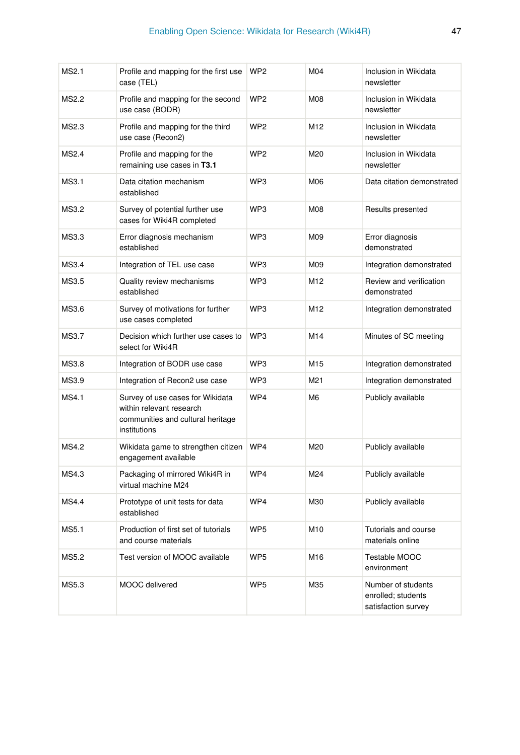| MS2.1        | Profile and mapping for the first use<br>case (TEL)                                                               | WP <sub>2</sub> | M04             | Inclusion in Wikidata<br>newsletter                             |
|--------------|-------------------------------------------------------------------------------------------------------------------|-----------------|-----------------|-----------------------------------------------------------------|
| <b>MS2.2</b> | Profile and mapping for the second<br>use case (BODR)                                                             | WP <sub>2</sub> | M08             | Inclusion in Wikidata<br>newsletter                             |
| MS2.3        | Profile and mapping for the third<br>use case (Recon2)                                                            | WP <sub>2</sub> | M12             | Inclusion in Wikidata<br>newsletter                             |
| MS2.4        | Profile and mapping for the<br>remaining use cases in T3.1                                                        | WP <sub>2</sub> | M20             | Inclusion in Wikidata<br>newsletter                             |
| MS3.1        | Data citation mechanism<br>established                                                                            | WP3             | M06             | Data citation demonstrated                                      |
| MS3.2        | Survey of potential further use<br>cases for Wiki4R completed                                                     | WP3             | M08             | Results presented                                               |
| MS3.3        | Error diagnosis mechanism<br>established                                                                          | WP <sub>3</sub> | M09             | Error diagnosis<br>demonstrated                                 |
| MS3.4        | Integration of TEL use case                                                                                       | WP3             | M09             | Integration demonstrated                                        |
| MS3.5        | Quality review mechanisms<br>established                                                                          | WP <sub>3</sub> | M <sub>12</sub> | Review and verification<br>demonstrated                         |
| MS3.6        | Survey of motivations for further<br>use cases completed                                                          | WP3             | M12             | Integration demonstrated                                        |
| MS3.7        | Decision which further use cases to<br>select for Wiki4R                                                          | WP3             | M14             | Minutes of SC meeting                                           |
| MS3.8        | Integration of BODR use case                                                                                      | WP3             | M15             | Integration demonstrated                                        |
| MS3.9        | Integration of Recon2 use case                                                                                    | WP3             | M21             | Integration demonstrated                                        |
| MS4.1        | Survey of use cases for Wikidata<br>within relevant research<br>communities and cultural heritage<br>institutions | WP4             | M6              | Publicly available                                              |
| MS4.2        | Wikidata game to strengthen citizen<br>engagement available                                                       | WP4             | M20             | Publicly available                                              |
| MS4.3        | Packaging of mirrored Wiki4R in<br>virtual machine M24                                                            | WP4             | M24             | Publicly available                                              |
| <b>MS4.4</b> | Prototype of unit tests for data<br>established                                                                   | WP4             | M30             | Publicly available                                              |
| MS5.1        | Production of first set of tutorials<br>and course materials                                                      | WP <sub>5</sub> | M10             | Tutorials and course<br>materials online                        |
| MS5.2        | Test version of MOOC available                                                                                    | WP5             | M16             | Testable MOOC<br>environment                                    |
| MS5.3        | MOOC delivered                                                                                                    | WP <sub>5</sub> | M35             | Number of students<br>enrolled; students<br>satisfaction survey |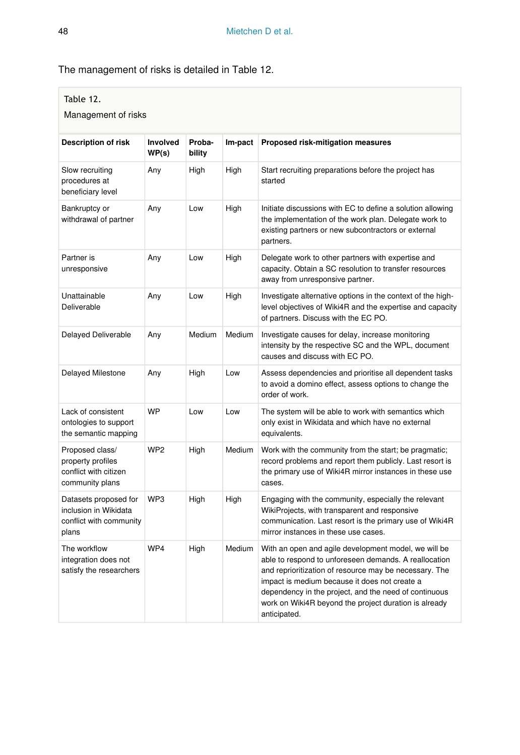# The management of risks is detailed in Table 12.

### Table 12.

#### Management of risks

| Description of risk                                                                | <b>Involved</b><br>WP(s) | Proba-<br>bility | Im-pact | Proposed risk-mitigation measures                                                                                                                                                                                                                                                                                                                          |
|------------------------------------------------------------------------------------|--------------------------|------------------|---------|------------------------------------------------------------------------------------------------------------------------------------------------------------------------------------------------------------------------------------------------------------------------------------------------------------------------------------------------------------|
| Slow recruiting<br>procedures at<br>beneficiary level                              | Any                      | High             | High    | Start recruiting preparations before the project has<br>started                                                                                                                                                                                                                                                                                            |
| Bankruptcy or<br>withdrawal of partner                                             | Any                      | Low              | High    | Initiate discussions with EC to define a solution allowing<br>the implementation of the work plan. Delegate work to<br>existing partners or new subcontractors or external<br>partners.                                                                                                                                                                    |
| Partner is<br>unresponsive                                                         | Any                      | Low              | High    | Delegate work to other partners with expertise and<br>capacity. Obtain a SC resolution to transfer resources<br>away from unresponsive partner.                                                                                                                                                                                                            |
| Unattainable<br>Deliverable                                                        | Any                      | Low              | High    | Investigate alternative options in the context of the high-<br>level objectives of Wiki4R and the expertise and capacity<br>of partners. Discuss with the EC PO.                                                                                                                                                                                           |
| <b>Delayed Deliverable</b>                                                         | Any                      | Medium           | Medium  | Investigate causes for delay, increase monitoring<br>intensity by the respective SC and the WPL, document<br>causes and discuss with EC PO.                                                                                                                                                                                                                |
| Delayed Milestone                                                                  | Any                      | High             | Low     | Assess dependencies and prioritise all dependent tasks<br>to avoid a domino effect, assess options to change the<br>order of work.                                                                                                                                                                                                                         |
| Lack of consistent<br>ontologies to support<br>the semantic mapping                | <b>WP</b>                | Low              | Low     | The system will be able to work with semantics which<br>only exist in Wikidata and which have no external<br>equivalents.                                                                                                                                                                                                                                  |
| Proposed class/<br>property profiles<br>conflict with citizen<br>community plans   | WP <sub>2</sub>          | High             | Medium  | Work with the community from the start; be pragmatic;<br>record problems and report them publicly. Last resort is<br>the primary use of Wiki4R mirror instances in these use<br>cases.                                                                                                                                                                     |
| Datasets proposed for<br>inclusion in Wikidata<br>conflict with community<br>plans | WP <sub>3</sub>          | High             | High    | Engaging with the community, especially the relevant<br>WikiProjects, with transparent and responsive<br>communication. Last resort is the primary use of Wiki4R<br>mirror instances in these use cases.                                                                                                                                                   |
| The workflow<br>integration does not<br>satisfy the researchers                    | WP4                      | High             | Medium  | With an open and agile development model, we will be<br>able to respond to unforeseen demands. A reallocation<br>and reprioritization of resource may be necessary. The<br>impact is medium because it does not create a<br>dependency in the project, and the need of continuous<br>work on Wiki4R beyond the project duration is already<br>anticipated. |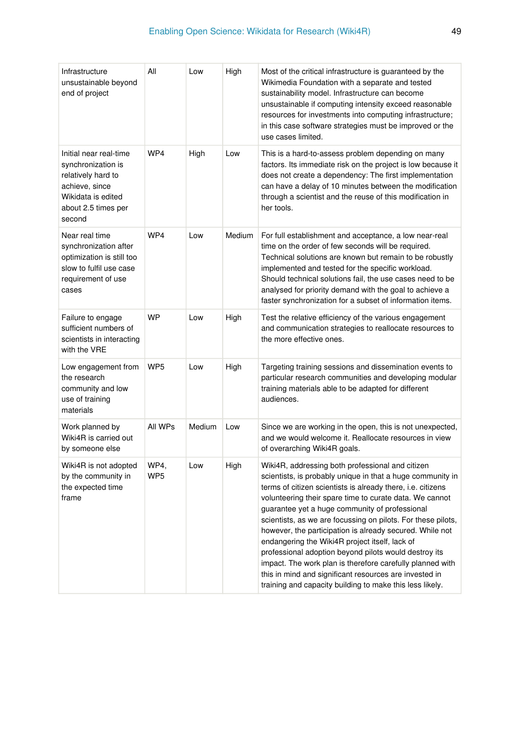| Infrastructure<br>unsustainable beyond<br>end of project                                                                                    | All                     | Low    | High   | Most of the critical infrastructure is guaranteed by the<br>Wikimedia Foundation with a separate and tested<br>sustainability model. Infrastructure can become<br>unsustainable if computing intensity exceed reasonable<br>resources for investments into computing infrastructure;<br>in this case software strategies must be improved or the<br>use cases limited.                                                                                                                                                                                                                                                                                                                                               |
|---------------------------------------------------------------------------------------------------------------------------------------------|-------------------------|--------|--------|----------------------------------------------------------------------------------------------------------------------------------------------------------------------------------------------------------------------------------------------------------------------------------------------------------------------------------------------------------------------------------------------------------------------------------------------------------------------------------------------------------------------------------------------------------------------------------------------------------------------------------------------------------------------------------------------------------------------|
| Initial near real-time<br>synchronization is<br>relatively hard to<br>achieve, since<br>Wikidata is edited<br>about 2.5 times per<br>second | WP4                     | High   | Low    | This is a hard-to-assess problem depending on many<br>factors. Its immediate risk on the project is low because it<br>does not create a dependency: The first implementation<br>can have a delay of 10 minutes between the modification<br>through a scientist and the reuse of this modification in<br>her tools.                                                                                                                                                                                                                                                                                                                                                                                                   |
| Near real time<br>synchronization after<br>optimization is still too<br>slow to fulfil use case<br>requirement of use<br>cases              | WP4                     | Low    | Medium | For full establishment and acceptance, a low near-real<br>time on the order of few seconds will be required.<br>Technical solutions are known but remain to be robustly<br>implemented and tested for the specific workload.<br>Should technical solutions fail, the use cases need to be<br>analysed for priority demand with the goal to achieve a<br>faster synchronization for a subset of information items.                                                                                                                                                                                                                                                                                                    |
| Failure to engage<br>sufficient numbers of<br>scientists in interacting<br>with the VRE                                                     | <b>WP</b>               | Low    | High   | Test the relative efficiency of the various engagement<br>and communication strategies to reallocate resources to<br>the more effective ones.                                                                                                                                                                                                                                                                                                                                                                                                                                                                                                                                                                        |
| Low engagement from<br>the research<br>community and low<br>use of training<br>materials                                                    | WP <sub>5</sub>         | Low    | High   | Targeting training sessions and dissemination events to<br>particular research communities and developing modular<br>training materials able to be adapted for different<br>audiences.                                                                                                                                                                                                                                                                                                                                                                                                                                                                                                                               |
| Work planned by<br>Wiki4R is carried out<br>by someone else                                                                                 | All WPs                 | Medium | Low    | Since we are working in the open, this is not unexpected,<br>and we would welcome it. Reallocate resources in view<br>of overarching Wiki4R goals.                                                                                                                                                                                                                                                                                                                                                                                                                                                                                                                                                                   |
| Wiki4R is not adopted<br>by the community in<br>the expected time<br>frame                                                                  | WP4,<br>WP <sub>5</sub> | Low    | High   | Wiki4R, addressing both professional and citizen<br>scientists, is probably unique in that a huge community in<br>terms of citizen scientists is already there, i.e. citizens<br>volunteering their spare time to curate data. We cannot<br>guarantee yet a huge community of professional<br>scientists, as we are focussing on pilots. For these pilots,<br>however, the participation is already secured. While not<br>endangering the Wiki4R project itself, lack of<br>professional adoption beyond pilots would destroy its<br>impact. The work plan is therefore carefully planned with<br>this in mind and significant resources are invested in<br>training and capacity building to make this less likely. |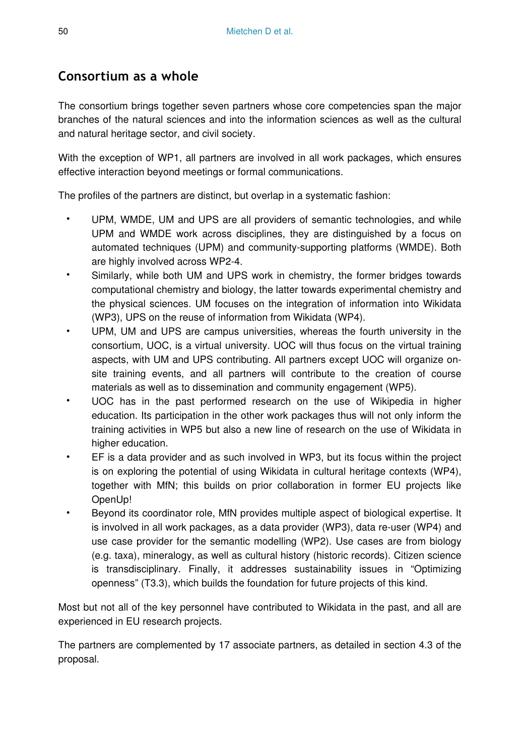# **Consortium as a whole**

The consortium brings together seven partners whose core competencies span the major branches of the natural sciences and into the information sciences as well as the cultural and natural heritage sector, and civil society.

With the exception of WP1, all partners are involved in all work packages, which ensures effective interaction beyond meetings or formal communications.

The profiles of the partners are distinct, but overlap in a systematic fashion:

- UPM, WMDE, UM and UPS are all providers of semantic technologies, and while UPM and WMDE work across disciplines, they are distinguished by a focus on automated techniques (UPM) and community-supporting platforms (WMDE). Both are highly involved across WP2-4.
- Similarly, while both UM and UPS work in chemistry, the former bridges towards computational chemistry and biology, the latter towards experimental chemistry and the physical sciences. UM focuses on the integration of information into Wikidata (WP3), UPS on the reuse of information from Wikidata (WP4).
- UPM, UM and UPS are campus universities, whereas the fourth university in the consortium, UOC, is a virtual university. UOC will thus focus on the virtual training aspects, with UM and UPS contributing. All partners except UOC will organize onsite training events, and all partners will contribute to the creation of course materials as well as to dissemination and community engagement (WP5).
- UOC has in the past performed research on the use of Wikipedia in higher education. Its participation in the other work packages thus will not only inform the training activities in WP5 but also a new line of research on the use of Wikidata in higher education.
- EF is a data provider and as such involved in WP3, but its focus within the project is on exploring the potential of using Wikidata in cultural heritage contexts (WP4), together with MfN; this builds on prior collaboration in former EU projects like OpenUp!
- Beyond its coordinator role, MfN provides multiple aspect of biological expertise. It is involved in all work packages, as a data provider (WP3), data re-user (WP4) and use case provider for the semantic modelling (WP2). Use cases are from biology (e.g. taxa), mineralogy, as well as cultural history (historic records). Citizen science is transdisciplinary. Finally, it addresses sustainability issues in "Optimizing openness" (T3.3), which builds the foundation for future projects of this kind.

Most but not all of the key personnel have contributed to Wikidata in the past, and all are experienced in EU research projects.

The partners are complemented by 17 associate partners, as detailed in section 4.3 of the proposal.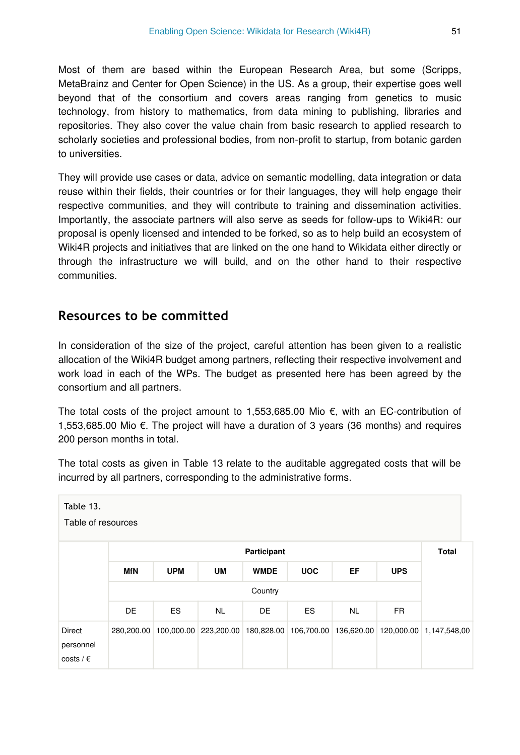Most of them are based within the European Research Area, but some (Scripps, MetaBrainz and Center for Open Science) in the US. As a group, their expertise goes well beyond that of the consortium and covers areas ranging from genetics to music technology, from history to mathematics, from data mining to publishing, libraries and repositories. They also cover the value chain from basic research to applied research to scholarly societies and professional bodies, from non-profit to startup, from botanic garden to universities.

They will provide use cases or data, advice on semantic modelling, data integration or data reuse within their fields, their countries or for their languages, they will help engage their respective communities, and they will contribute to training and dissemination activities. Importantly, the associate partners will also serve as seeds for follow-ups to Wiki4R: our proposal is openly licensed and intended to be forked, so as to help build an ecosystem of Wiki4R projects and initiatives that are linked on the one hand to Wikidata either directly or through the infrastructure we will build, and on the other hand to their respective communities.

# **Resources to be committed**

In consideration of the size of the project, careful attention has been given to a realistic allocation of the Wiki4R budget among partners, reflecting their respective involvement and work load in each of the WPs. The budget as presented here has been agreed by the consortium and all partners.

The total costs of the project amount to 1,553,685.00 Mio €, with an EC-contribution of 1,553,685.00 Mio €. The project will have a duration of 3 years (36 months) and requires 200 person months in total.

The total costs as given in Table 13 relate to the auditable aggregated costs that will be incurred by all partners, corresponding to the administrative forms.

| Table 13.<br>Table of resources           |            |            |           |             |            |           |            |                                                                                           |  |  |  |
|-------------------------------------------|------------|------------|-----------|-------------|------------|-----------|------------|-------------------------------------------------------------------------------------------|--|--|--|
|                                           |            |            |           | Participant |            |           |            | <b>Total</b>                                                                              |  |  |  |
|                                           | <b>MfN</b> | <b>UPM</b> | <b>UM</b> | <b>WMDE</b> | <b>UOC</b> | EF        | <b>UPS</b> |                                                                                           |  |  |  |
|                                           |            |            |           | Country     |            |           |            |                                                                                           |  |  |  |
|                                           | DE         | <b>ES</b>  | <b>NL</b> | DE          | ES.        | <b>NL</b> | <b>FR</b>  |                                                                                           |  |  |  |
| Direct<br>personnel<br>costs / $\epsilon$ |            |            |           |             |            |           |            | 280,200.00 100,000.00 223,200.00 180,828.00 106,700.00 136,620.00 120,000.00 1,147,548.00 |  |  |  |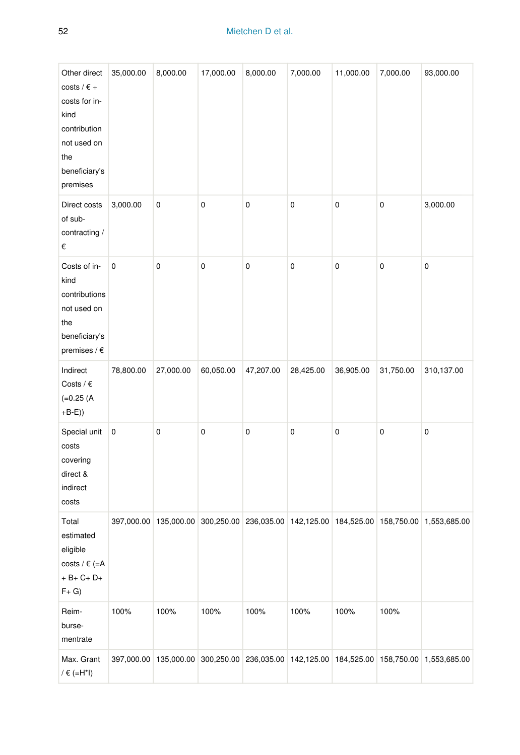| Other direct<br>costs / $\epsilon$ +<br>costs for in-<br>kind<br>contribution<br>not used on<br>the<br>beneficiary's<br>premises | 35,000.00  | 8,000.00   | 17,000.00 | 8,000.00                                    | 7,000.00  | 11,000.00 | 7,000.00  | 93,000.00                                                           |
|----------------------------------------------------------------------------------------------------------------------------------|------------|------------|-----------|---------------------------------------------|-----------|-----------|-----------|---------------------------------------------------------------------|
| Direct costs<br>of sub-<br>contracting /<br>$\in$                                                                                | 3,000.00   | 0          | 0         | 0                                           | 0         | 0         | 0         | 3,000.00                                                            |
| Costs of in-<br>kind<br>contributions<br>not used on<br>the<br>beneficiary's<br>premises / $\epsilon$                            | $\pmb{0}$  | 0          | $\pmb{0}$ | 0                                           | 0         | 0         | 0         | $\pmb{0}$                                                           |
| Indirect<br>Costs / $\epsilon$<br>$(=0.25)$<br>$+B-E)$                                                                           | 78,800.00  | 27,000.00  | 60,050.00 | 47,207.00                                   | 28,425.00 | 36,905.00 | 31,750.00 | 310,137.00                                                          |
| Special unit<br>costs<br>covering<br>direct &<br>indirect<br>costs                                                               | $\pmb{0}$  | 0          | 0         | 0                                           | 0         | 0         | 0         | $\pmb{0}$                                                           |
| Total<br>estimated<br>eligible<br>costs / $\in$ (=A<br>$+ B + C + D +$<br>$F + G$                                                | 397,000.00 | 135,000.00 |           |                                             |           |           |           | 300,250.00 236,035.00 142,125.00 184,525.00 158,750.00 1,553,685.00 |
| Reim-<br>burse-<br>mentrate                                                                                                      | 100%       | 100%       | 100%      | 100%                                        | 100%      | 100%      | 100%      |                                                                     |
| Max. Grant<br>/ $\in$ (=H*I)                                                                                                     | 397,000.00 | 135,000.00 |           | 300,250.00 236,035.00 142,125.00 184,525.00 |           |           |           | 158,750.00 1,553,685.00                                             |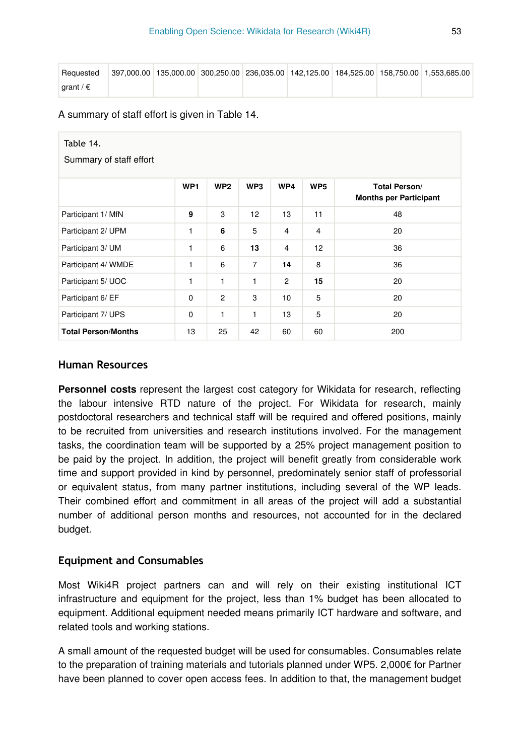| Requested          |  |  |  | 397.000.00 135.000.00 300.250.00 236.035.00 142.125.00 184.525.00 158.750.00 1.553.685.00 |
|--------------------|--|--|--|-------------------------------------------------------------------------------------------|
| arant / $\epsilon$ |  |  |  |                                                                                           |

A summary of staff effort is given in Table 14.

| Table 14.<br>Summary of staff effort |                 |                 |                |                |                 |                                                       |
|--------------------------------------|-----------------|-----------------|----------------|----------------|-----------------|-------------------------------------------------------|
|                                      | WP <sub>1</sub> | WP <sub>2</sub> | WP3            | WP4            | WP <sub>5</sub> | <b>Total Person/</b><br><b>Months per Participant</b> |
| Participant 1/ MfN                   | 9               | 3               | 12             | 13             | 11              | 48                                                    |
| Participant 2/ UPM                   | 1               | 6               | 5              | $\overline{4}$ | $\overline{4}$  | 20                                                    |
| Participant 3/ UM                    | 1               | 6               | 13             | $\overline{4}$ | 12              | 36                                                    |
| Participant 4/ WMDE                  | 1               | 6               | $\overline{7}$ | 14             | 8               | 36                                                    |
| Participant 5/ UOC                   | 1               | 1               | $\mathbf{1}$   | $\overline{2}$ | 15              | 20                                                    |
| Participant 6/ EF                    | 0               | $\overline{c}$  | 3              | 10             | 5               | 20                                                    |
| Participant 7/ UPS                   | 0               | 1               | $\mathbf{1}$   | 13             | 5               | 20                                                    |
| <b>Total Person/Months</b>           | 13              | 25              | 42             | 60             | 60              | 200                                                   |

### **Human Resources**

**Personnel costs** represent the largest cost category for Wikidata for research, reflecting the labour intensive RTD nature of the project. For Wikidata for research, mainly postdoctoral researchers and technical staff will be required and offered positions, mainly to be recruited from universities and research institutions involved. For the management tasks, the coordination team will be supported by a 25% project management position to be paid by the project. In addition, the project will benefit greatly from considerable work time and support provided in kind by personnel, predominately senior staff of professorial or equivalent status, from many partner institutions, including several of the WP leads. Their combined effort and commitment in all areas of the project will add a substantial number of additional person months and resources, not accounted for in the declared budget.

## **Equipment and Consumables**

Most Wiki4R project partners can and will rely on their existing institutional ICT infrastructure and equipment for the project, less than 1% budget has been allocated to equipment. Additional equipment needed means primarily ICT hardware and software, and related tools and working stations.

A small amount of the requested budget will be used for consumables. Consumables relate to the preparation of training materials and tutorials planned under WP5. 2,000€ for Partner have been planned to cover open access fees. In addition to that, the management budget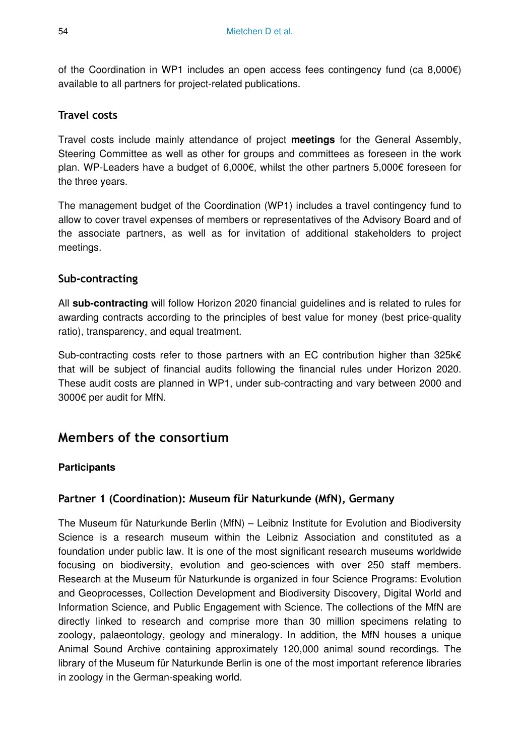of the Coordination in WP1 includes an open access fees contingency fund (ca 8,000€) available to all partners for project-related publications.

# **Travel costs**

Travel costs include mainly attendance of project **meetings** for the General Assembly, Steering Committee as well as other for groups and committees as foreseen in the work plan. WP-Leaders have a budget of 6,000€, whilst the other partners 5,000€ foreseen for the three years.

The management budget of the Coordination (WP1) includes a travel contingency fund to allow to cover travel expenses of members or representatives of the Advisory Board and of the associate partners, as well as for invitation of additional stakeholders to project meetings.

## **Sub-contracting**

All **sub-contracting** will follow Horizon 2020 financial guidelines and is related to rules for awarding contracts according to the principles of best value for money (best price-quality ratio), transparency, and equal treatment.

Sub-contracting costs refer to those partners with an EC contribution higher than 325 $k \in$ that will be subject of financial audits following the financial rules under Horizon 2020. These audit costs are planned in WP1, under sub-contracting and vary between 2000 and 3000€ per audit for MfN.

# **Members of the consortium**

### **Participants**

## **Partner 1 (Coordination): Museum für Naturkunde (MfN), Germany**

The Museum für Naturkunde Berlin (MfN) – Leibniz Institute for Evolution and Biodiversity Science is a research museum within the Leibniz Association and constituted as a foundation under public law. It is one of the most significant research museums worldwide focusing on biodiversity, evolution and geo-sciences with over 250 staff members. Research at the Museum für Naturkunde is organized in four Science Programs: Evolution and Geoprocesses, Collection Development and Biodiversity Discovery, Digital World and Information Science, and Public Engagement with Science. The collections of the MfN are directly linked to research and comprise more than 30 million specimens relating to zoology, palaeontology, geology and mineralogy. In addition, the MfN houses a unique Animal Sound Archive containing approximately 120,000 animal sound recordings. The library of the Museum für Naturkunde Berlin is one of the most important reference libraries in zoology in the German-speaking world.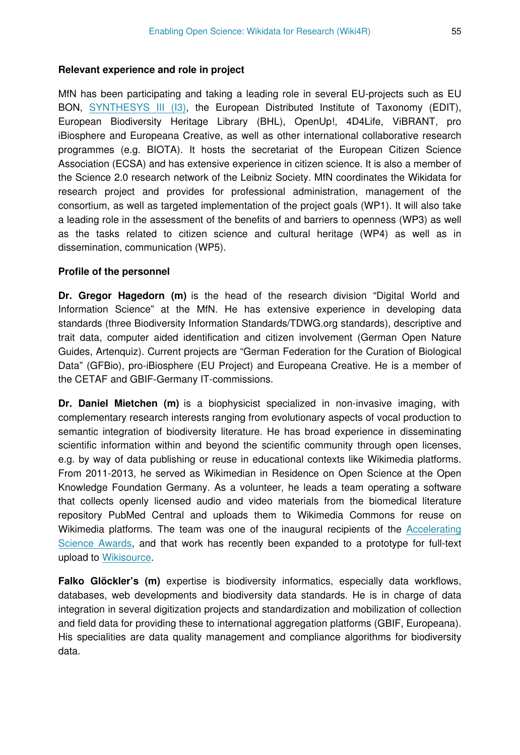#### **Relevant experience and role in project**

MfN has been participating and taking a leading role in several EU-projects such as EU BON, [SYNTHESYS III \(I3\)](http://www.synthesys.info/), the European Distributed Institute of Taxonomy (EDIT), European Biodiversity Heritage Library (BHL), OpenUp!, 4D4Life, ViBRANT, pro iBiosphere and Europeana Creative, as well as other international collaborative research programmes (e.g. BIOTA). It hosts the secretariat of the European Citizen Science Association (ECSA) and has extensive experience in citizen science. It is also a member of the Science 2.0 research network of the Leibniz Society. MfN coordinates the Wikidata for research project and provides for professional administration, management of the consortium, as well as targeted implementation of the project goals (WP1). It will also take a leading role in the assessment of the benefits of and barriers to openness (WP3) as well as the tasks related to citizen science and cultural heritage (WP4) as well as in dissemination, communication (WP5).

#### **Profile of the personnel**

**Dr. Gregor Hagedorn (m)** is the head of the research division "Digital World and Information Science" at the MfN. He has extensive experience in developing data standards (three Biodiversity Information Standards/TDWG.org standards), descriptive and trait data, computer aided identification and citizen involvement (German Open Nature Guides, Artenquiz). Current projects are "German Federation for the Curation of Biological Data" (GFBio), pro-iBiosphere (EU Project) and Europeana Creative. He is a member of the CETAF and GBIF-Germany IT-commissions.

**Dr. Daniel Mietchen (m)** is a biophysicist specialized in non-invasive imaging, with complementary research interests ranging from evolutionary aspects of vocal production to semantic integration of biodiversity literature. He has broad experience in disseminating scientific information within and beyond the scientific community through open licenses, e.g. by way of data publishing or reuse in educational contexts like Wikimedia platforms. From 2011-2013, he served as Wikimedian in Residence on Open Science at the Open Knowledge Foundation Germany. As a volunteer, he leads a team operating a software that collects openly licensed audio and video materials from the biomedical literature repository PubMed Central and uploads them to Wikimedia Commons for reuse on Wikimedia platforms. The team was one of the inaugural recipients of the [Accelerating](http://https://en.wikipedia.org/wiki/Wikipedia:WikiProject_Open_Access/Signalling_OA-ness) [Science Awards,](http://https://en.wikipedia.org/wiki/Wikipedia:WikiProject_Open_Access/Signalling_OA-ness) and that work has recently been expanded to a prototype for full-text upload to [Wikisource.](http://https://en.wikipedia.org/wiki/Wikipedia:WikiProject_Open_Access/Signalling_OA-ness)

**Falko Glöckler's (m)** expertise is biodiversity informatics, especially data workflows, databases, web developments and biodiversity data standards. He is in charge of data integration in several digitization projects and standardization and mobilization of collection and field data for providing these to international aggregation platforms (GBIF, Europeana). His specialities are data quality management and compliance algorithms for biodiversity data.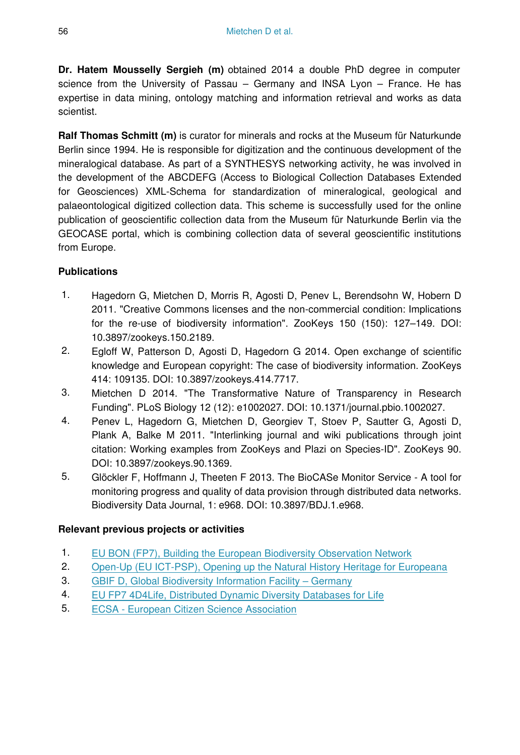**Dr. Hatem Mousselly Sergieh (m)** obtained 2014 a double PhD degree in computer science from the University of Passau – Germany and INSA Lyon – France. He has expertise in data mining, ontology matching and information retrieval and works as data scientist.

**Ralf Thomas Schmitt (m)** is curator for minerals and rocks at the Museum für Naturkunde Berlin since 1994. He is responsible for digitization and the continuous development of the mineralogical database. As part of a SYNTHESYS networking activity, he was involved in the development of the ABCDEFG (Access to Biological Collection Databases Extended for Geosciences) XML-Schema for standardization of mineralogical, geological and palaeontological digitized collection data. This scheme is successfully used for the online publication of geoscientific collection data from the Museum für Naturkunde Berlin via the GEOCASE portal, which is combining collection data of several geoscientific institutions from Europe.

## **Publications**

- 1. Hagedorn G, Mietchen D, Morris R, Agosti D, Penev L, Berendsohn W, Hobern D 2011. "Creative Commons licenses and the non-commercial condition: Implications for the re-use of biodiversity information". ZooKeys 150 (150): 127–149. DOI: 10.3897/zookeys.150.2189.
- 2. Egloff W, Patterson D, Agosti D, Hagedorn G 2014. Open exchange of scientific knowledge and European copyright: The case of biodiversity information. ZooKeys 414: 109135. DOI: 10.3897/zookeys.414.7717.
- 3. Mietchen D 2014. "The Transformative Nature of Transparency in Research Funding". PLoS Biology 12 (12): e1002027. DOI: 10.1371/journal.pbio.1002027.
- 4. Penev L, Hagedorn G, Mietchen D, Georgiev T, Stoev P, Sautter G, Agosti D, Plank A, Balke M 2011. "Interlinking journal and wiki publications through joint citation: Working examples from ZooKeys and Plazi on Species-ID". ZooKeys 90. DOI: 10.3897/zookeys.90.1369.
- 5. Glöckler F, Hoffmann J, Theeten F 2013. The BioCASe Monitor Service A tool for monitoring progress and quality of data provision through distributed data networks. Biodiversity Data Journal, 1: e968. DOI: 10.3897/BDJ.1.e968.

## **Relevant previous projects or activities**

- 1. [EU BON \(FP7\), Building the European Biodiversity Observation Network](http://www.eubon.eu/)
- 2. [Open-Up \(EU ICT-PSP\), Opening up the Natural History Heritage for Europeana](http://open-up.eu/)
- 3. [GBIF D, Global Biodiversity Information Facility Germany](http://www.gbif.de/entomologie)
- 4. [EU FP7 4D4Life, Distributed Dynamic Diversity Databases for Life](http://www.4d4life.eu/)
- 5. [ECSA European Citizen Science Association](http://ecsa.biodiv.naturkundemuseum-berlin.de)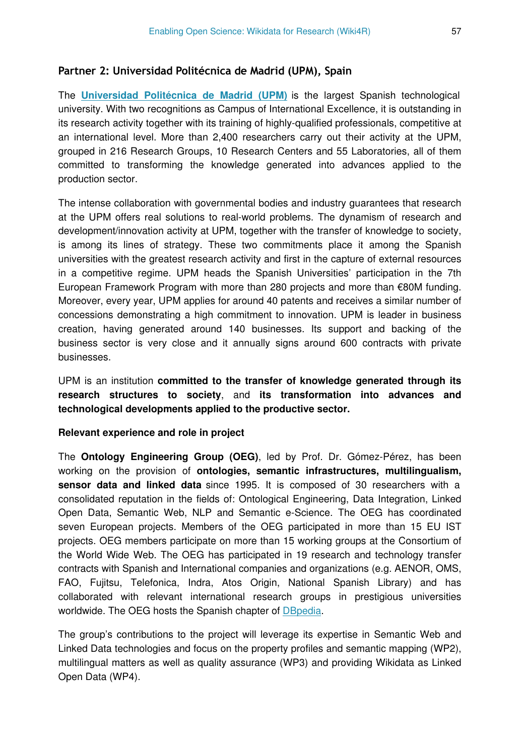#### **Partner 2: Universidad Politécnica de Madrid (UPM), Spain**

The **[Universidad Politécnica de Madrid \(UPM\)](http://www.upm.es/internacional)** is the largest Spanish technological university. With two recognitions as Campus of International Excellence, it is outstanding in its research activity together with its training of highly-qualified professionals, competitive at an international level. More than 2,400 researchers carry out their activity at the UPM, grouped in 216 Research Groups, 10 Research Centers and 55 Laboratories, all of them committed to transforming the knowledge generated into advances applied to the production sector.

The intense collaboration with governmental bodies and industry guarantees that research at the UPM offers real solutions to real-world problems. The dynamism of research and development/innovation activity at UPM, together with the transfer of knowledge to society, is among its lines of strategy. These two commitments place it among the Spanish universities with the greatest research activity and first in the capture of external resources in a competitive regime. UPM heads the Spanish Universities' participation in the 7th European Framework Program with more than 280 projects and more than €80M funding. Moreover, every year, UPM applies for around 40 patents and receives a similar number of concessions demonstrating a high commitment to innovation. UPM is leader in business creation, having generated around 140 businesses. Its support and backing of the business sector is very close and it annually signs around 600 contracts with private businesses.

UPM is an institution **committed to the transfer of knowledge generated through its research structures to society**, and **its transformation into advances and technological developments applied to the productive sector.**

#### **Relevant experience and role in project**

The **Ontology Engineering Group (OEG)**, led by Prof. Dr. Gómez-Pérez, has been working on the provision of **ontologies, semantic infrastructures, multilingualism, sensor data and linked data** since 1995. It is composed of 30 researchers with a consolidated reputation in the fields of: Ontological Engineering, Data Integration, Linked Open Data, Semantic Web, NLP and Semantic e-Science. The OEG has coordinated seven European projects. Members of the OEG participated in more than 15 EU IST projects. OEG members participate on more than 15 working groups at the Consortium of the World Wide Web. The OEG has participated in 19 research and technology transfer contracts with Spanish and International companies and organizations (e.g. AENOR, OMS, FAO, Fujitsu, Telefonica, Indra, Atos Origin, National Spanish Library) and has collaborated with relevant international research groups in prestigious universities worldwide. The OEG hosts the Spanish chapter of [DBpedia](http://es.dbpedia.org/).

The group's contributions to the project will leverage its expertise in Semantic Web and Linked Data technologies and focus on the property profiles and semantic mapping (WP2), multilingual matters as well as quality assurance (WP3) and providing Wikidata as Linked Open Data (WP4).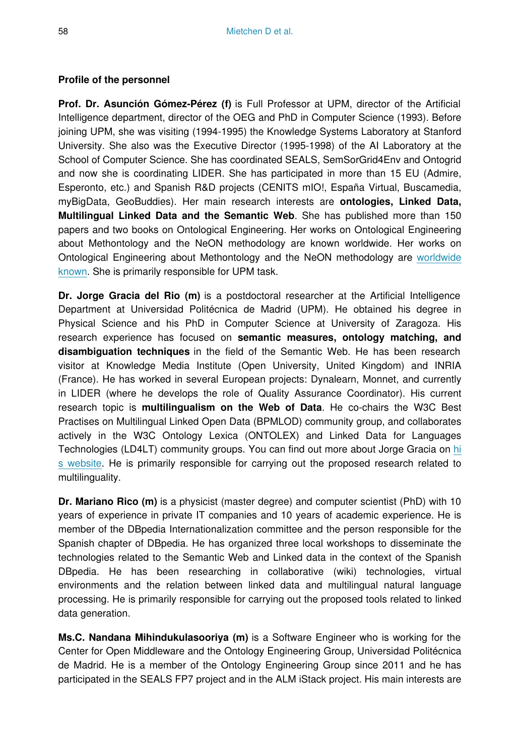#### **Profile of the personnel**

**Prof. Dr. Asunción Gómez-Pérez (f)** is Full Professor at UPM, director of the Artificial Intelligence department, director of the OEG and PhD in Computer Science (1993). Before joining UPM, she was visiting (1994-1995) the Knowledge Systems Laboratory at Stanford University. She also was the Executive Director (1995-1998) of the AI Laboratory at the School of Computer Science. She has coordinated SEALS, SemSorGrid4Env and Ontogrid and now she is coordinating LIDER. She has participated in more than 15 EU (Admire, Esperonto, etc.) and Spanish R&D projects (CENITS mIO!, España Virtual, Buscamedia, myBigData, GeoBuddies). Her main research interests are **ontologies, Linked Data, Multilingual Linked Data and the Semantic Web**. She has published more than 150 papers and two books on Ontological Engineering. Her works on Ontological Engineering about Methontology and the NeON methodology are known worldwide. Her works on Ontological Engineering about Methontology and the NeON methodology are [worldwide](http://www.dia.fi.upm.es/?q=en/node/140) [known](http://www.dia.fi.upm.es/?q=en/node/140). She is primarily responsible for UPM task.

**Dr. Jorge Gracia del Rio (m)** is a postdoctoral researcher at the Artificial Intelligence Department at Universidad Politécnica de Madrid (UPM). He obtained his degree in Physical Science and his PhD in Computer Science at University of Zaragoza. His research experience has focused on **semantic measures, ontology matching, and disambiguation techniques** in the field of the Semantic Web. He has been research visitor at Knowledge Media Institute (Open University, United Kingdom) and INRIA (France). He has worked in several European projects: Dynalearn, Monnet, and currently in LIDER (where he develops the role of Quality Assurance Coordinator). His current research topic is **multilingualism on the Web of Data**. He co-chairs the W3C Best Practises on Multilingual Linked Open Data (BPMLOD) community group, and collaborates actively in the W3C Ontology Lexica (ONTOLEX) and Linked Data for Languages Technologies (LD4LT) community groups. You can find out more about Jorge Gracia on [hi](http://delicias.dia.fi.upm.es/%7Ejgracia) [s website](http://delicias.dia.fi.upm.es/%7Ejgracia). He is primarily responsible for carrying out the proposed research related to multilinguality.

**Dr. Mariano Rico (m)** is a physicist (master degree) and computer scientist (PhD) with 10 years of experience in private IT companies and 10 years of academic experience. He is member of the DBpedia Internationalization committee and the person responsible for the Spanish chapter of DBpedia. He has organized three local workshops to disseminate the technologies related to the Semantic Web and Linked data in the context of the Spanish DBpedia. He has been researching in collaborative (wiki) technologies, virtual environments and the relation between linked data and multilingual natural language processing. He is primarily responsible for carrying out the proposed tools related to linked data generation.

**Ms.C. Nandana Mihindukulasooriya (m)** is a Software Engineer who is working for the Center for Open Middleware and the Ontology Engineering Group, Universidad Politécnica de Madrid. He is a member of the Ontology Engineering Group since 2011 and he has participated in the SEALS FP7 project and in the ALM iStack project. His main interests are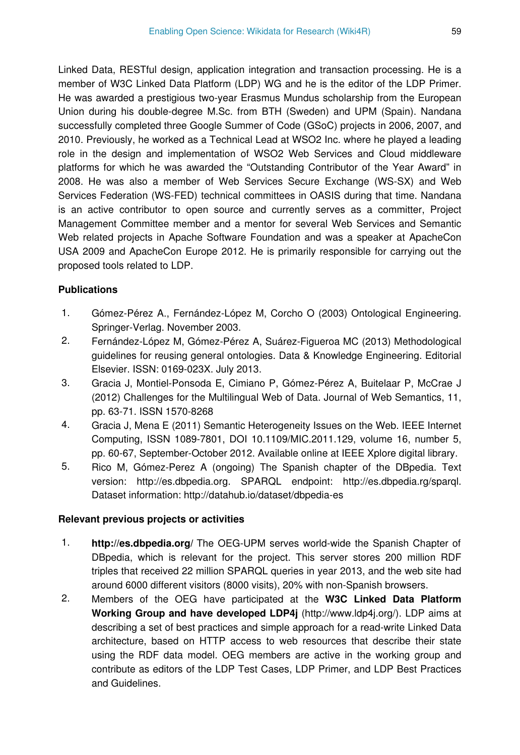Linked Data, RESTful design, application integration and transaction processing. He is a member of W3C Linked Data Platform (LDP) WG and he is the editor of the LDP Primer. He was awarded a prestigious two-year Erasmus Mundus scholarship from the European Union during his double-degree M.Sc. from BTH (Sweden) and UPM (Spain). Nandana successfully completed three Google Summer of Code (GSoC) projects in 2006, 2007, and 2010. Previously, he worked as a Technical Lead at WSO2 Inc. where he played a leading role in the design and implementation of WSO2 Web Services and Cloud middleware platforms for which he was awarded the "Outstanding Contributor of the Year Award" in 2008. He was also a member of Web Services Secure Exchange (WS-SX) and Web Services Federation (WS-FED) technical committees in OASIS during that time. Nandana is an active contributor to open source and currently serves as a committer, Project Management Committee member and a mentor for several Web Services and Semantic Web related projects in Apache Software Foundation and was a speaker at ApacheCon USA 2009 and ApacheCon Europe 2012. He is primarily responsible for carrying out the proposed tools related to LDP.

### **Publications**

- 1. Gómez-Pérez A., Fernández-López M, Corcho O (2003) Ontological Engineering. Springer-Verlag. November 2003.
- 2. Fernández-López M, Gómez-Pérez A, Suárez-Figueroa MC (2013) Methodological guidelines for reusing general ontologies. Data & Knowledge Engineering. Editorial Elsevier. ISSN: 0169-023X. July 2013.
- 3. Gracia J, Montiel-Ponsoda E, Cimiano P, Gómez-Pérez A, Buitelaar P, McCrae J (2012) Challenges for the Multilingual Web of Data. Journal of Web Semantics, 11, pp. 63-71. ISSN 1570-8268
- 4. Gracia J, Mena E (2011) Semantic Heterogeneity Issues on the Web. IEEE Internet Computing, ISSN 1089-7801, DOI 10.1109/MIC.2011.129, volume 16, number 5, pp. 60-67, September-October 2012. Available online at IEEE Xplore digital library.
- 5. Rico M, Gómez-Perez A (ongoing) The Spanish chapter of the DBpedia. Text version: http://es.dbpedia.org. SPARQL endpoint: http://es.dbpedia.rg/sparql. Dataset information: http://datahub.io/dataset/dbpedia-es

### **Relevant previous projects or activities**

- 1. **http://es.dbpedia.org/** The OEG-UPM serves world-wide the Spanish Chapter of DBpedia, which is relevant for the project. This server stores 200 million RDF triples that received 22 million SPARQL queries in year 2013, and the web site had around 6000 different visitors (8000 visits), 20% with non-Spanish browsers.
- 2. Members of the OEG have participated at the **W3C Linked Data Platform Working Group and have developed LDP4j** (http://www.ldp4j.org/). LDP aims at describing a set of best practices and simple approach for a read-write Linked Data architecture, based on HTTP access to web resources that describe their state using the RDF data model. OEG members are active in the working group and contribute as editors of the LDP Test Cases, LDP Primer, and LDP Best Practices and Guidelines.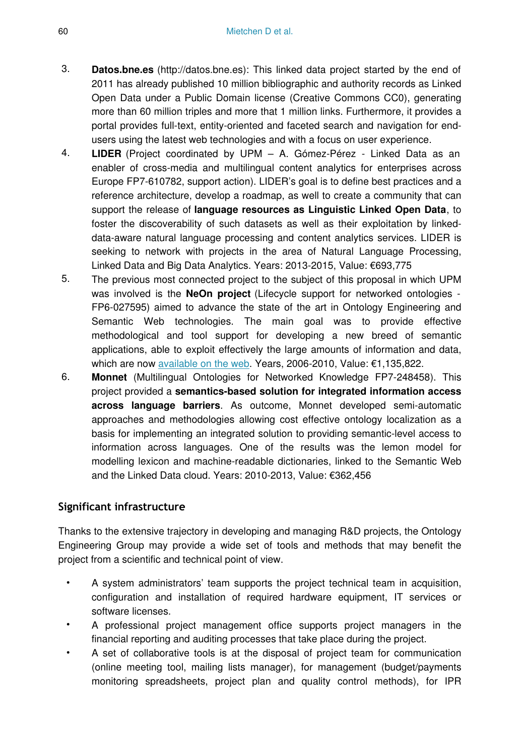- 3. **Datos.bne.es** (http://datos.bne.es): This linked data project started by the end of 2011 has already published 10 million bibliographic and authority records as Linked Open Data under a Public Domain license (Creative Commons CC0), generating more than 60 million triples and more that 1 million links. Furthermore, it provides a portal provides full-text, entity-oriented and faceted search and navigation for endusers using the latest web technologies and with a focus on user experience.
- 4. **LIDER** (Project coordinated by UPM A. Gómez-Pérez Linked Data as an enabler of cross-media and multilingual content analytics for enterprises across Europe FP7-610782, support action). LIDER's goal is to define best practices and a reference architecture, develop a roadmap, as well to create a community that can support the release of **language resources as Linguistic Linked Open Data**, to foster the discoverability of such datasets as well as their exploitation by linkeddata-aware natural language processing and content analytics services. LIDER is seeking to network with projects in the area of Natural Language Processing, Linked Data and Big Data Analytics. Years: 2013-2015, Value: €693,775
- 5. The previous most connected project to the subject of this proposal in which UPM was involved is the **NeOn project** (Lifecycle support for networked ontologies - FP6-027595) aimed to advance the state of the art in Ontology Engineering and Semantic Web technologies. The main goal was to provide effective methodological and tool support for developing a new breed of semantic applications, able to exploit effectively the large amounts of information and data, which are now [available on the web.](http://www.neon-project.org/) Years, 2006-2010, Value: €1,135,822.
- 6. **Monnet** (Multilingual Ontologies for Networked Knowledge FP7-248458). This project provided a **semantics-based solution for integrated information access across language barriers**. As outcome, Monnet developed semi-automatic approaches and methodologies allowing cost effective ontology localization as a basis for implementing an integrated solution to providing semantic-level access to information across languages. One of the results was the lemon model for modelling lexicon and machine-readable dictionaries, linked to the Semantic Web and the Linked Data cloud. Years: 2010-2013, Value: €362,456

## **Significant infrastructure**

Thanks to the extensive trajectory in developing and managing R&D projects, the Ontology Engineering Group may provide a wide set of tools and methods that may benefit the project from a scientific and technical point of view.

- A system administrators' team supports the project technical team in acquisition, configuration and installation of required hardware equipment, IT services or software licenses.
- A professional project management office supports project managers in the financial reporting and auditing processes that take place during the project.
- A set of collaborative tools is at the disposal of project team for communication (online meeting tool, mailing lists manager), for management (budget/payments monitoring spreadsheets, project plan and quality control methods), for IPR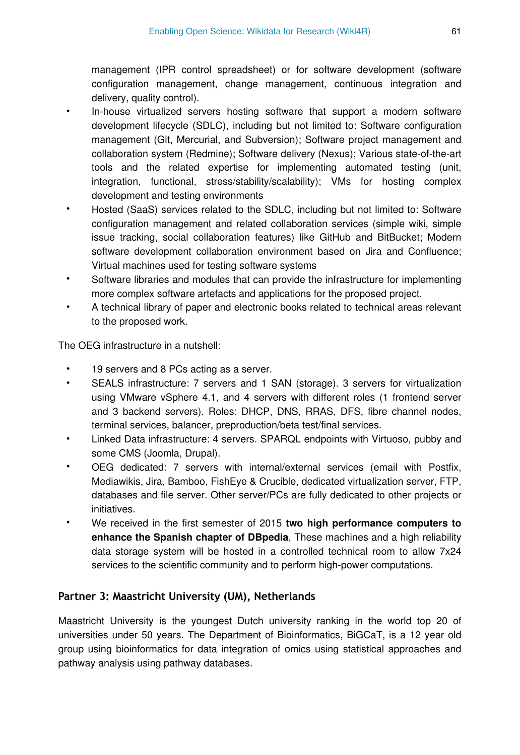management (IPR control spreadsheet) or for software development (software configuration management, change management, continuous integration and delivery, quality control).

- In-house virtualized servers hosting software that support a modern software development lifecycle (SDLC), including but not limited to: Software configuration management (Git, Mercurial, and Subversion); Software project management and collaboration system (Redmine); Software delivery (Nexus); Various state-of-the-art tools and the related expertise for implementing automated testing (unit, integration, functional, stress/stability/scalability); VMs for hosting complex development and testing environments
- Hosted (SaaS) services related to the SDLC, including but not limited to: Software configuration management and related collaboration services (simple wiki, simple issue tracking, social collaboration features) like GitHub and BitBucket; Modern software development collaboration environment based on Jira and Confluence; Virtual machines used for testing software systems
- Software libraries and modules that can provide the infrastructure for implementing more complex software artefacts and applications for the proposed project.
- A technical library of paper and electronic books related to technical areas relevant to the proposed work.

The OEG infrastructure in a nutshell:

- 19 servers and 8 PCs acting as a server.
- SEALS infrastructure: 7 servers and 1 SAN (storage). 3 servers for virtualization using VMware vSphere 4.1, and 4 servers with different roles (1 frontend server and 3 backend servers). Roles: DHCP, DNS, RRAS, DFS, fibre channel nodes, terminal services, balancer, preproduction/beta test/final services.
- Linked Data infrastructure: 4 servers. SPARQL endpoints with Virtuoso, pubby and some CMS (Joomla, Drupal).
- OEG dedicated: 7 servers with internal/external services (email with Postfix, Mediawikis, Jira, Bamboo, FishEye & Crucible, dedicated virtualization server, FTP, databases and file server. Other server/PCs are fully dedicated to other projects or initiatives.
- We received in the first semester of 2015 **two high performance computers to enhance the Spanish chapter of DBpedia**, These machines and a high reliability data storage system will be hosted in a controlled technical room to allow 7x24 services to the scientific community and to perform high-power computations.

### **Partner 3: Maastricht University (UM), Netherlands**

Maastricht University is the youngest Dutch university ranking in the world top 20 of universities under 50 years. The Department of Bioinformatics, BiGCaT, is a 12 year old group using bioinformatics for data integration of omics using statistical approaches and pathway analysis using pathway databases.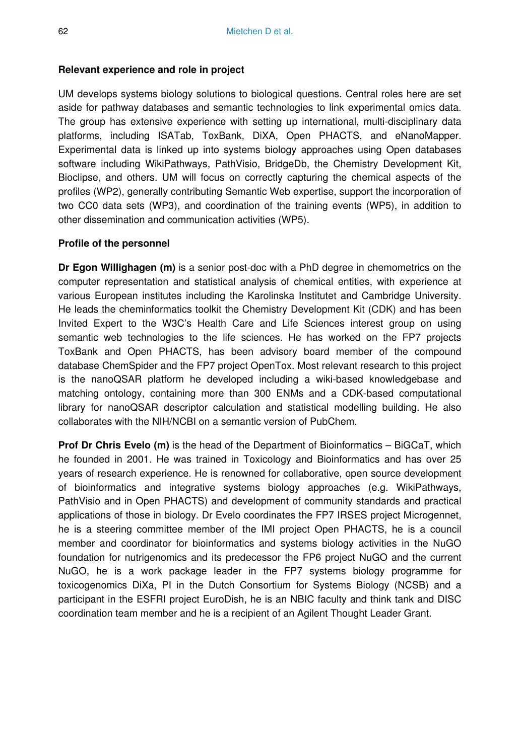#### **Relevant experience and role in project**

UM develops systems biology solutions to biological questions. Central roles here are set aside for pathway databases and semantic technologies to link experimental omics data. The group has extensive experience with setting up international, multi-disciplinary data platforms, including ISATab, ToxBank, DiXA, Open PHACTS, and eNanoMapper. Experimental data is linked up into systems biology approaches using Open databases software including WikiPathways, PathVisio, BridgeDb, the Chemistry Development Kit, Bioclipse, and others. UM will focus on correctly capturing the chemical aspects of the profiles (WP2), generally contributing Semantic Web expertise, support the incorporation of two CC0 data sets (WP3), and coordination of the training events (WP5), in addition to other dissemination and communication activities (WP5).

#### **Profile of the personnel**

**Dr Egon Willighagen (m)** is a senior post-doc with a PhD degree in chemometrics on the computer representation and statistical analysis of chemical entities, with experience at various European institutes including the Karolinska Institutet and Cambridge University. He leads the cheminformatics toolkit the Chemistry Development Kit (CDK) and has been Invited Expert to the W3C's Health Care and Life Sciences interest group on using semantic web technologies to the life sciences. He has worked on the FP7 projects ToxBank and Open PHACTS, has been advisory board member of the compound database ChemSpider and the FP7 project OpenTox. Most relevant research to this project is the nanoQSAR platform he developed including a wiki-based knowledgebase and matching ontology, containing more than 300 ENMs and a CDK-based computational library for nanoQSAR descriptor calculation and statistical modelling building. He also collaborates with the NIH/NCBI on a semantic version of PubChem.

**Prof Dr Chris Evelo (m)** is the head of the Department of Bioinformatics – BiGCaT, which he founded in 2001. He was trained in Toxicology and Bioinformatics and has over 25 years of research experience. He is renowned for collaborative, open source development of bioinformatics and integrative systems biology approaches (e.g. WikiPathways, PathVisio and in Open PHACTS) and development of community standards and practical applications of those in biology. Dr Evelo coordinates the FP7 IRSES project Microgennet, he is a steering committee member of the IMI project Open PHACTS, he is a council member and coordinator for bioinformatics and systems biology activities in the NuGO foundation for nutrigenomics and its predecessor the FP6 project NuGO and the current NuGO, he is a work package leader in the FP7 systems biology programme for toxicogenomics DiXa, PI in the Dutch Consortium for Systems Biology (NCSB) and a participant in the ESFRI project EuroDish, he is an NBIC faculty and think tank and DISC coordination team member and he is a recipient of an Agilent Thought Leader Grant.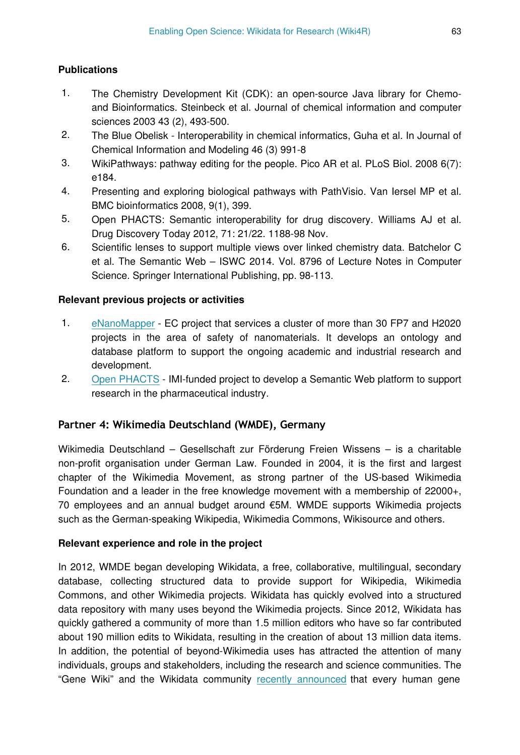### **Publications**

- 1. The Chemistry Development Kit (CDK): an open-source Java library for Chemoand Bioinformatics. Steinbeck et al. Journal of chemical information and computer sciences 2003 43 (2), 493-500.
- 2. The Blue Obelisk Interoperability in chemical informatics, Guha et al. In Journal of Chemical Information and Modeling 46 (3) 991-8
- 3. WikiPathways: pathway editing for the people. Pico AR et al. PLoS Biol. 2008 6(7): e184.
- 4. Presenting and exploring biological pathways with PathVisio. Van Iersel MP et al. BMC bioinformatics 2008, 9(1), 399.
- 5. Open PHACTS: Semantic interoperability for drug discovery. Williams AJ et al. Drug Discovery Today 2012, 71: 21/22. 1188-98 Nov.
- 6. Scientific lenses to support multiple views over linked chemistry data. Batchelor C et al. The Semantic Web – ISWC 2014. Vol. 8796 of Lecture Notes in Computer Science. Springer International Publishing, pp. 98-113.

#### **Relevant previous projects or activities**

- 1. [eNanoMapper](http://enanomapper.net/) EC project that services a cluster of more than 30 FP7 and H2020 projects in the area of safety of nanomaterials. It develops an ontology and database platform to support the ongoing academic and industrial research and development.
- 2. [Open PHACTS](http://www.openphacts.org/)  IMI-funded project to develop a Semantic Web platform to support research in the pharmaceutical industry.

### **Partner 4: Wikimedia Deutschland (WMDE), Germany**

Wikimedia Deutschland – Gesellschaft zur Förderung Freien Wissens – is a charitable non-profit organisation under German Law. Founded in 2004, it is the first and largest chapter of the Wikimedia Movement, as strong partner of the US-based Wikimedia Foundation and a leader in the free knowledge movement with a membership of 22000+, 70 employees and an annual budget around €5M. WMDE supports Wikimedia projects such as the German-speaking Wikipedia, Wikimedia Commons, Wikisource and others.

### **Relevant experience and role in the project**

In 2012, WMDE began developing Wikidata, a free, collaborative, multilingual, secondary database, collecting structured data to provide support for Wikipedia, Wikimedia Commons, and other Wikimedia projects. Wikidata has quickly evolved into a structured data repository with many uses beyond the Wikimedia projects. Since 2012, Wikidata has quickly gathered a community of more than 1.5 million editors who have so far contributed about 190 million edits to Wikidata, resulting in the creation of about 13 million data items. In addition, the potential of beyond-Wikimedia uses has attracted the attention of many individuals, groups and stakeholders, including the research and science communities. The "Gene Wiki" and the Wikidata community [recently announced](http://blog.wikimedia.de/2014/10/22/establishing-wikidata-as-the-central-hub-for-linked-open-life-science-data/) that every human gene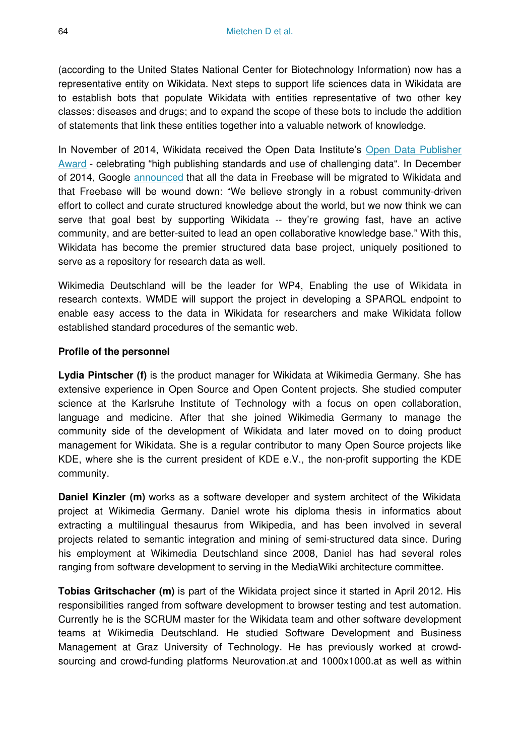(according to the United States National Center for Biotechnology Information) now has a representative entity on Wikidata. Next steps to support life sciences data in Wikidata are to establish bots that populate Wikidata with entities representative of two other key classes: diseases and drugs; and to expand the scope of these bots to include the addition of statements that link these entities together into a valuable network of knowledge.

In November of 2014, Wikidata received the Open Data Institute's [Open Data Publisher](http://theodi.org/news/first-odi-open-data-awards-presented-by-sir-tim-berners-lee-and-sir-nigel-shadbolt) [Award](http://theodi.org/news/first-odi-open-data-awards-presented-by-sir-tim-berners-lee-and-sir-nigel-shadbolt) - celebrating "high publishing standards and use of challenging data". In December of 2014, Google [announced](https://plus.google.com/109936836907132434202/posts/bu3z2wVqcQc) that all the data in Freebase will be migrated to Wikidata and that Freebase will be wound down: "We believe strongly in a robust community-driven effort to collect and curate structured knowledge about the world, but we now think we can serve that goal best by supporting Wikidata -- they're growing fast, have an active community, and are better-suited to lead an open collaborative knowledge base." With this, Wikidata has become the premier structured data base project, uniquely positioned to serve as a repository for research data as well.

Wikimedia Deutschland will be the leader for WP4, Enabling the use of Wikidata in research contexts. WMDE will support the project in developing a SPARQL endpoint to enable easy access to the data in Wikidata for researchers and make Wikidata follow established standard procedures of the semantic web.

#### **Profile of the personnel**

**Lydia Pintscher (f)** is the product manager for Wikidata at Wikimedia Germany. She has extensive experience in Open Source and Open Content projects. She studied computer science at the Karlsruhe Institute of Technology with a focus on open collaboration, language and medicine. After that she joined Wikimedia Germany to manage the community side of the development of Wikidata and later moved on to doing product management for Wikidata. She is a regular contributor to many Open Source projects like KDE, where she is the current president of KDE e.V., the non-profit supporting the KDE community.

**Daniel Kinzler (m)** works as a software developer and system architect of the Wikidata project at Wikimedia Germany. Daniel wrote his diploma thesis in informatics about extracting a multilingual thesaurus from Wikipedia, and has been involved in several projects related to semantic integration and mining of semi-structured data since. During his employment at Wikimedia Deutschland since 2008, Daniel has had several roles ranging from software development to serving in the MediaWiki architecture committee.

**Tobias Gritschacher (m)** is part of the Wikidata project since it started in April 2012. His responsibilities ranged from software development to browser testing and test automation. Currently he is the SCRUM master for the Wikidata team and other software development teams at Wikimedia Deutschland. He studied Software Development and Business Management at Graz University of Technology. He has previously worked at crowdsourcing and crowd-funding platforms Neurovation.at and 1000x1000.at as well as within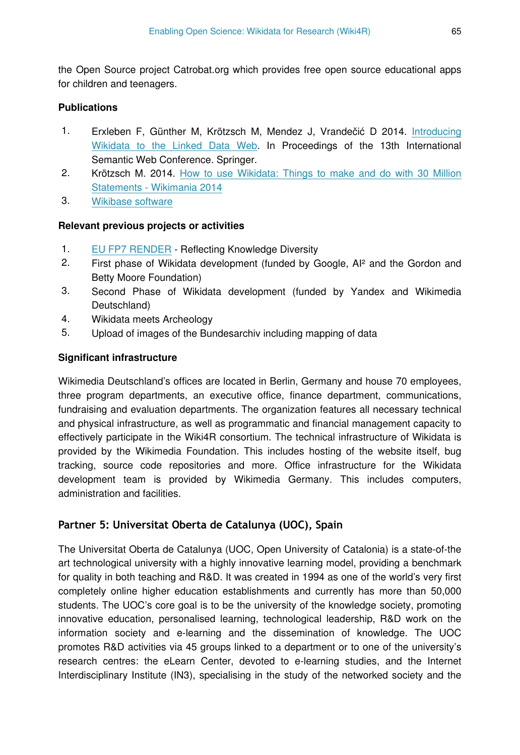the Open Source project Catrobat.org which provides free open source educational apps for children and teenagers.

#### **Publications**

- 1. Erxleben F, Günther M, Krötzsch M, Mendez J, Vrandečić D 2014. [Introducing](http://korrekt.org/papers/Wikidata-RDF-export-2014.pdf) [Wikidata to the Linked Data Web.](http://korrekt.org/papers/Wikidata-RDF-export-2014.pdf) In Proceedings of the 13th International Semantic Web Conference. Springer.
- 2. Krötzsch M. 2014. [How to use Wikidata: Things to make and do with 30 Million](http://wikimania2014.wikimedia.org/wiki/Submissions/How_to_use_Wikidata:_Things_to_make_and_do_with_30_million_statements) [Statements - Wikimania 2014](http://wikimania2014.wikimedia.org/wiki/Submissions/How_to_use_Wikidata:_Things_to_make_and_do_with_30_million_statements)
- 3. [Wikibase software](http://wikiba.se)

#### **Relevant previous projects or activities**

- 1. [EU FP7 RENDER](http://render-project.eu) Reflecting Knowledge Diversity
- 2. First phase of Wikidata development (funded by Google, AI² and the Gordon and Betty Moore Foundation)
- 3. Second Phase of Wikidata development (funded by Yandex and Wikimedia Deutschland)
- 4. Wikidata meets Archeology
- 5. Upload of images of the Bundesarchiv including mapping of data

### **Significant infrastructure**

Wikimedia Deutschland's offices are located in Berlin, Germany and house 70 employees, three program departments, an executive office, finance department, communications, fundraising and evaluation departments. The organization features all necessary technical and physical infrastructure, as well as programmatic and financial management capacity to effectively participate in the Wiki4R consortium. The technical infrastructure of Wikidata is provided by the Wikimedia Foundation. This includes hosting of the website itself, bug tracking, source code repositories and more. Office infrastructure for the Wikidata development team is provided by Wikimedia Germany. This includes computers, administration and facilities.

## **Partner 5: Universitat Oberta de Catalunya (UOC), Spain**

The Universitat Oberta de Catalunya (UOC, Open University of Catalonia) is a state-of-the art technological university with a highly innovative learning model, providing a benchmark for quality in both teaching and R&D. It was created in 1994 as one of the world's very first completely online higher education establishments and currently has more than 50,000 students. The UOC's core goal is to be the university of the knowledge society, promoting innovative education, personalised learning, technological leadership, R&D work on the information society and e-learning and the dissemination of knowledge. The UOC promotes R&D activities via 45 groups linked to a department or to one of the university's research centres: the eLearn Center, devoted to e-learning studies, and the Internet Interdisciplinary Institute (IN3), specialising in the study of the networked society and the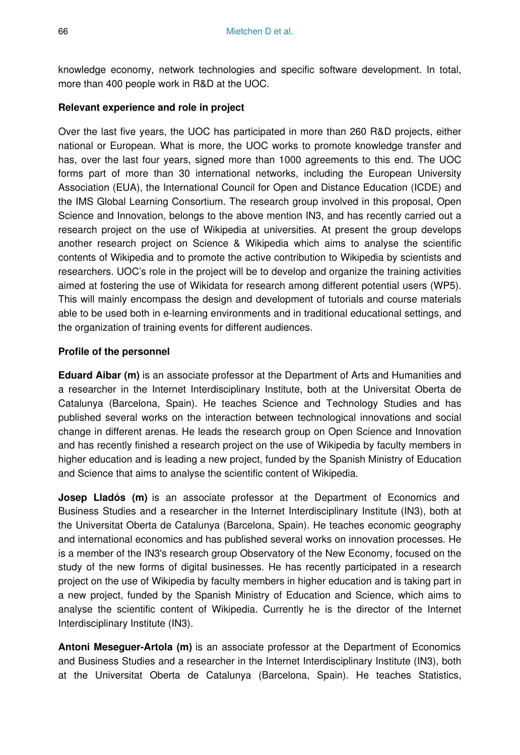knowledge economy, network technologies and specific software development. In total, more than 400 people work in R&D at the UOC.

#### **Relevant experience and role in project**

Over the last five years, the UOC has participated in more than 260 R&D projects, either national or European. What is more, the UOC works to promote knowledge transfer and has, over the last four years, signed more than 1000 agreements to this end. The UOC forms part of more than 30 international networks, including the European University Association (EUA), the International Council for Open and Distance Education (ICDE) and the IMS Global Learning Consortium. The research group involved in this proposal, Open Science and Innovation, belongs to the above mention IN3, and has recently carried out a research project on the use of Wikipedia at universities. At present the group develops another research project on Science & Wikipedia which aims to analyse the scientific contents of Wikipedia and to promote the active contribution to Wikipedia by scientists and researchers. UOC's role in the project will be to develop and organize the training activities aimed at fostering the use of Wikidata for research among different potential users (WP5). This will mainly encompass the design and development of tutorials and course materials able to be used both in e-learning environments and in traditional educational settings, and the organization of training events for different audiences.

### **Profile of the personnel**

**Eduard Aibar (m)** is an associate professor at the Department of Arts and Humanities and a researcher in the Internet Interdisciplinary Institute, both at the Universitat Oberta de Catalunya (Barcelona, Spain). He teaches Science and Technology Studies and has published several works on the interaction between technological innovations and social change in different arenas. He leads the research group on Open Science and Innovation and has recently finished a research project on the use of Wikipedia by faculty members in higher education and is leading a new project, funded by the Spanish Ministry of Education and Science that aims to analyse the scientific content of Wikipedia.

**Josep Lladós (m)** is an associate professor at the Department of Economics and Business Studies and a researcher in the Internet Interdisciplinary Institute (IN3), both at the Universitat Oberta de Catalunya (Barcelona, Spain). He teaches economic geography and international economics and has published several works on innovation processes. He is a member of the IN3's research group Observatory of the New Economy, focused on the study of the new forms of digital businesses. He has recently participated in a research project on the use of Wikipedia by faculty members in higher education and is taking part in a new project, funded by the Spanish Ministry of Education and Science, which aims to analyse the scientific content of Wikipedia. Currently he is the director of the Internet Interdisciplinary Institute (IN3).

**Antoni Meseguer-Artola (m)** is an associate professor at the Department of Economics and Business Studies and a researcher in the Internet Interdisciplinary Institute (IN3), both at the Universitat Oberta de Catalunya (Barcelona, Spain). He teaches Statistics,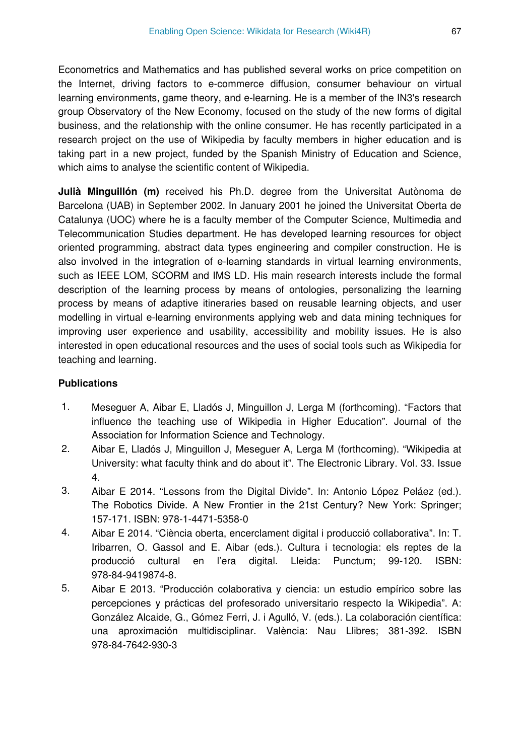Econometrics and Mathematics and has published several works on price competition on the Internet, driving factors to e-commerce diffusion, consumer behaviour on virtual learning environments, game theory, and e-learning. He is a member of the IN3's research group Observatory of the New Economy, focused on the study of the new forms of digital business, and the relationship with the online consumer. He has recently participated in a research project on the use of Wikipedia by faculty members in higher education and is taking part in a new project, funded by the Spanish Ministry of Education and Science, which aims to analyse the scientific content of Wikipedia.

**Julià Minguillón (m)** received his Ph.D. degree from the Universitat Autònoma de Barcelona (UAB) in September 2002. In January 2001 he joined the Universitat Oberta de Catalunya (UOC) where he is a faculty member of the Computer Science, Multimedia and Telecommunication Studies department. He has developed learning resources for object oriented programming, abstract data types engineering and compiler construction. He is also involved in the integration of e-learning standards in virtual learning environments, such as IEEE LOM, SCORM and IMS LD. His main research interests include the formal description of the learning process by means of ontologies, personalizing the learning process by means of adaptive itineraries based on reusable learning objects, and user modelling in virtual e-learning environments applying web and data mining techniques for improving user experience and usability, accessibility and mobility issues. He is also interested in open educational resources and the uses of social tools such as Wikipedia for teaching and learning.

#### **Publications**

- 1. Meseguer A, Aibar E, Lladós J, Minguillon J, Lerga M (forthcoming). "Factors that influence the teaching use of Wikipedia in Higher Education". Journal of the Association for Information Science and Technology.
- 2. Aibar E, Lladós J, Minguillon J, Meseguer A, Lerga M (forthcoming). "Wikipedia at University: what faculty think and do about it". The Electronic Library. Vol. 33. Issue 4.
- 3. Aibar E 2014. "Lessons from the Digital Divide". In: Antonio López Peláez (ed.). The Robotics Divide. A New Frontier in the 21st Century? New York: Springer; 157-171. ISBN: 978-1-4471-5358-0
- 4. Aibar E 2014. "Ciència oberta, encerclament digital i producció collaborativa". In: T. Iribarren, O. Gassol and E. Aibar (eds.). Cultura i tecnologia: els reptes de la producció cultural en l'era digital. Lleida: Punctum; 99-120. ISBN: 978-84-9419874-8.
- 5. Aibar E 2013. "Producción colaborativa y ciencia: un estudio empírico sobre las percepciones y prácticas del profesorado universitario respecto la Wikipedia". A: González Alcaide, G., Gómez Ferri, J. i Agulló, V. (eds.). La colaboración científica: una aproximación multidisciplinar. València: Nau Llibres; 381-392. ISBN 978-84-7642-930-3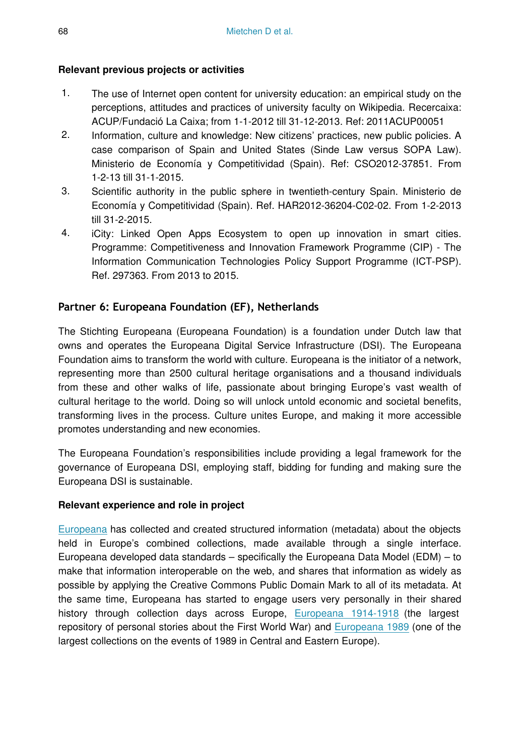## **Relevant previous projects or activities**

- 1. The use of Internet open content for university education: an empirical study on the perceptions, attitudes and practices of university faculty on Wikipedia. Recercaixa: ACUP/Fundació La Caixa; from 1-1-2012 till 31-12-2013. Ref: 2011ACUP00051
- 2. Information, culture and knowledge: New citizens' practices, new public policies. A case comparison of Spain and United States (Sinde Law versus SOPA Law). Ministerio de Economía y Competitividad (Spain). Ref: CSO2012-37851. From 1-2-13 till 31-1-2015.
- 3. Scientific authority in the public sphere in twentieth-century Spain. Ministerio de Economía y Competitividad (Spain). Ref. HAR2012-36204-C02-02. From 1-2-2013 till 31-2-2015.
- 4. iCity: Linked Open Apps Ecosystem to open up innovation in smart cities. Programme: Competitiveness and Innovation Framework Programme (CIP) - The Information Communication Technologies Policy Support Programme (ICT-PSP). Ref. 297363. From 2013 to 2015.

## **Partner 6: Europeana Foundation (EF), Netherlands**

The Stichting Europeana (Europeana Foundation) is a foundation under Dutch law that owns and operates the Europeana Digital Service Infrastructure (DSI). The Europeana Foundation aims to transform the world with culture. Europeana is the initiator of a network, representing more than 2500 cultural heritage organisations and a thousand individuals from these and other walks of life, passionate about bringing Europe's vast wealth of cultural heritage to the world. Doing so will unlock untold economic and societal benefits, transforming lives in the process. Culture unites Europe, and making it more accessible promotes understanding and new economies.

The Europeana Foundation's responsibilities include providing a legal framework for the governance of Europeana DSI, employing staff, bidding for funding and making sure the Europeana DSI is sustainable.

### **Relevant experience and role in project**

[Europeana](http://www.europeana.eu/) has collected and created structured information (metadata) about the objects held in Europe's combined collections, made available through a single interface. Europeana developed data standards – specifically the Europeana Data Model (EDM) – to make that information interoperable on the web, and shares that information as widely as possible by applying the Creative Commons Public Domain Mark to all of its metadata. At the same time, Europeana has started to engage users very personally in their shared history through collection days across Europe, [Europeana 1914-1918](http://www.europeana1914-1918.eu/) (the largest repository of personal stories about the First World War) and [Europeana 1989](http://www.europeana1989.eu/) (one of the largest collections on the events of 1989 in Central and Eastern Europe).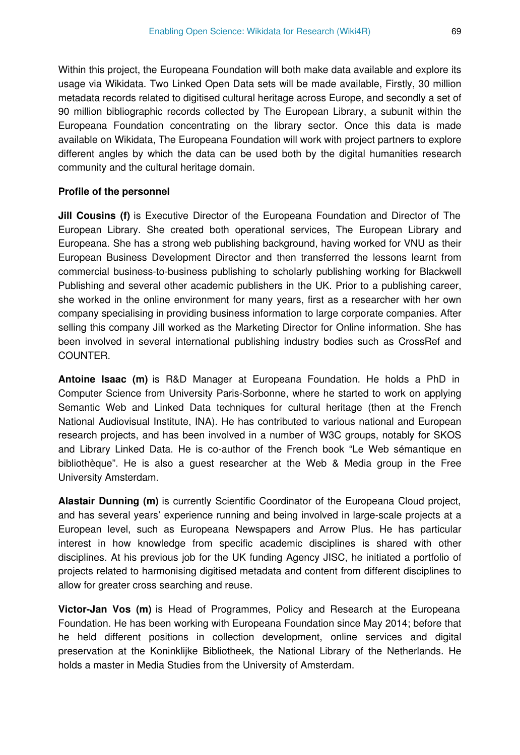Within this project, the Europeana Foundation will both make data available and explore its usage via Wikidata. Two Linked Open Data sets will be made available, Firstly, 30 million metadata records related to digitised cultural heritage across Europe, and secondly a set of 90 million bibliographic records collected by The European Library, a subunit within the Europeana Foundation concentrating on the library sector. Once this data is made available on Wikidata, The Europeana Foundation will work with project partners to explore different angles by which the data can be used both by the digital humanities research community and the cultural heritage domain.

#### **Profile of the personnel**

**Jill Cousins (f)** is Executive Director of the Europeana Foundation and Director of The European Library. She created both operational services, The European Library and Europeana. She has a strong web publishing background, having worked for VNU as their European Business Development Director and then transferred the lessons learnt from commercial business-to-business publishing to scholarly publishing working for Blackwell Publishing and several other academic publishers in the UK. Prior to a publishing career, she worked in the online environment for many years, first as a researcher with her own company specialising in providing business information to large corporate companies. After selling this company Jill worked as the Marketing Director for Online information. She has been involved in several international publishing industry bodies such as CrossRef and COUNTER.

**Antoine Isaac (m)** is R&D Manager at Europeana Foundation. He holds a PhD in Computer Science from University Paris-Sorbonne, where he started to work on applying Semantic Web and Linked Data techniques for cultural heritage (then at the French National Audiovisual Institute, INA). He has contributed to various national and European research projects, and has been involved in a number of W3C groups, notably for SKOS and Library Linked Data. He is co-author of the French book "Le Web sémantique en bibliothèque". He is also a guest researcher at the Web & Media group in the Free University Amsterdam.

**Alastair Dunning (m)** is currently Scientific Coordinator of the Europeana Cloud project, and has several years' experience running and being involved in large-scale projects at a European level, such as Europeana Newspapers and Arrow Plus. He has particular interest in how knowledge from specific academic disciplines is shared with other disciplines. At his previous job for the UK funding Agency JISC, he initiated a portfolio of projects related to harmonising digitised metadata and content from different disciplines to allow for greater cross searching and reuse.

**Victor-Jan Vos (m)** is Head of Programmes, Policy and Research at the Europeana Foundation. He has been working with Europeana Foundation since May 2014; before that he held different positions in collection development, online services and digital preservation at the Koninklijke Bibliotheek, the National Library of the Netherlands. He holds a master in Media Studies from the University of Amsterdam.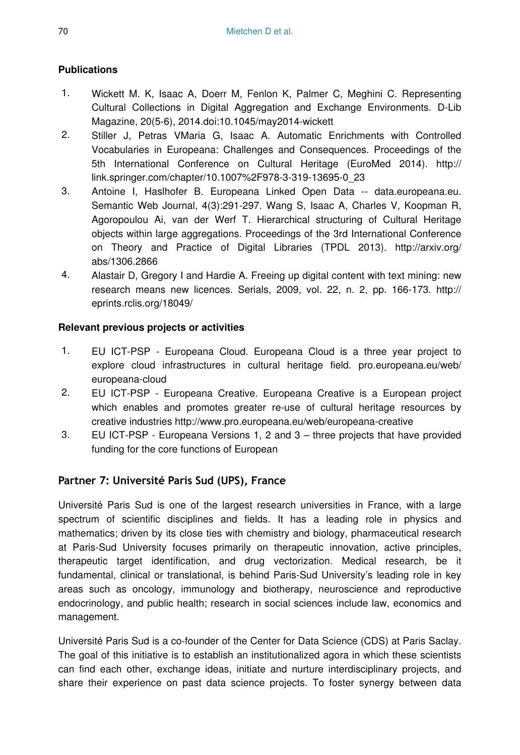## **Publications**

- 1. Wickett M. K, Isaac A, Doerr M, Fenlon K, Palmer C, Meghini C. Representing Cultural Collections in Digital Aggregation and Exchange Environments. D-Lib Magazine, 20(5-6), 2014.doi:10.1045/may2014-wickett
- 2. Stiller J, Petras VMaria G, Isaac A. Automatic Enrichments with Controlled Vocabularies in Europeana: Challenges and Consequences. Proceedings of the 5th International Conference on Cultural Heritage (EuroMed 2014). http:// link.springer.com/chapter/10.1007%2F978-3-319-13695-0\_23
- 3. Antoine I, Haslhofer B. Europeana Linked Open Data -- data.europeana.eu. Semantic Web Journal, 4(3):291-297. Wang S, Isaac A, Charles V, Koopman R, Agoropoulou Ai, van der Werf T. Hierarchical structuring of Cultural Heritage objects within large aggregations. Proceedings of the 3rd International Conference on Theory and Practice of Digital Libraries (TPDL 2013). http://arxiv.org/ abs/1306.2866
- 4. Alastair D, Gregory I and Hardie A. Freeing up digital content with text mining: new research means new licences. Serials, 2009, vol. 22, n. 2, pp. 166-173. http:// eprints.rclis.org/18049/

## **Relevant previous projects or activities**

- 1. EU ICT-PSP Europeana Cloud. Europeana Cloud is a three year project to explore cloud infrastructures in cultural heritage field. pro.europeana.eu/web/ europeana-cloud
- 2. EU ICT-PSP Europeana Creative. Europeana Creative is a European project which enables and promotes greater re-use of cultural heritage resources by creative industries http://www.pro.europeana.eu/web/europeana-creative
- 3. EU ICT-PSP Europeana Versions 1, 2 and 3 three projects that have provided funding for the core functions of European

# **Partner 7: Université Paris Sud (UPS), France**

Université Paris Sud is one of the largest research universities in France, with a large spectrum of scientific disciplines and fields. It has a leading role in physics and mathematics; driven by its close ties with chemistry and biology, pharmaceutical research at Paris-Sud University focuses primarily on therapeutic innovation, active principles, therapeutic target identification, and drug vectorization. Medical research, be it fundamental, clinical or translational, is behind Paris-Sud University's leading role in key areas such as oncology, immunology and biotherapy, neuroscience and reproductive endocrinology, and public health; research in social sciences include law, economics and management.

Université Paris Sud is a co-founder of the Center for Data Science (CDS) at Paris Saclay. The goal of this initiative is to establish an institutionalized agora in which these scientists can find each other, exchange ideas, initiate and nurture interdisciplinary projects, and share their experience on past data science projects. To foster synergy between data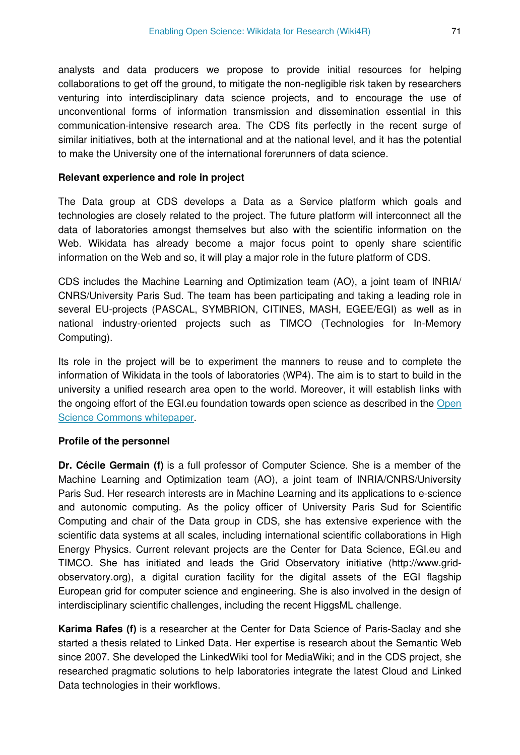analysts and data producers we propose to provide initial resources for helping collaborations to get off the ground, to mitigate the non-negligible risk taken by researchers venturing into interdisciplinary data science projects, and to encourage the use of unconventional forms of information transmission and dissemination essential in this communication-intensive research area. The CDS fits perfectly in the recent surge of similar initiatives, both at the international and at the national level, and it has the potential to make the University one of the international forerunners of data science.

#### **Relevant experience and role in project**

The Data group at CDS develops a Data as a Service platform which goals and technologies are closely related to the project. The future platform will interconnect all the data of laboratories amongst themselves but also with the scientific information on the Web. Wikidata has already become a major focus point to openly share scientific information on the Web and so, it will play a major role in the future platform of CDS.

CDS includes the Machine Learning and Optimization team (AO), a joint team of INRIA/ CNRS/University Paris Sud. The team has been participating and taking a leading role in several EU-projects (PASCAL, SYMBRION, CITINES, MASH, EGEE/EGI) as well as in national industry-oriented projects such as TIMCO (Technologies for In-Memory Computing).

Its role in the project will be to experiment the manners to reuse and to complete the information of Wikidata in the tools of laboratories (WP4). The aim is to start to build in the university a unified research area open to the world. Moreover, it will establish links with the ongoing effort of the EGI.eu foundation towards open science as described in the [Open](http://go.egi.eu/osc) [Science Commons whitepaper](http://go.egi.eu/osc).

#### **Profile of the personnel**

**Dr. Cécile Germain (f)** is a full professor of Computer Science. She is a member of the Machine Learning and Optimization team (AO), a joint team of INRIA/CNRS/University Paris Sud. Her research interests are in Machine Learning and its applications to e-science and autonomic computing. As the policy officer of University Paris Sud for Scientific Computing and chair of the Data group in CDS, she has extensive experience with the scientific data systems at all scales, including international scientific collaborations in High Energy Physics. Current relevant projects are the Center for Data Science, EGI.eu and TIMCO. She has initiated and leads the Grid Observatory initiative (http://www.gridobservatory.org), a digital curation facility for the digital assets of the EGI flagship European grid for computer science and engineering. She is also involved in the design of interdisciplinary scientific challenges, including the recent HiggsML challenge.

**Karima Rafes (f)** is a researcher at the Center for Data Science of Paris-Saclay and she started a thesis related to Linked Data. Her expertise is research about the Semantic Web since 2007. She developed the LinkedWiki tool for MediaWiki; and in the CDS project, she researched pragmatic solutions to help laboratories integrate the latest Cloud and Linked Data technologies in their workflows.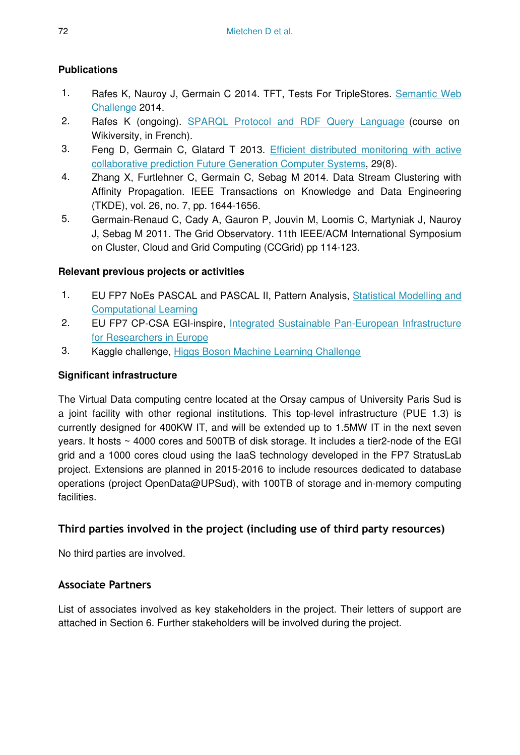# **Publications**

- 1. Rafes K, Nauroy J, Germain C 2014. TFT, Tests For TripleStores. [Semantic Web](http://challenge.semanticweb.org/2014/submissions/swc2014_submission_4.pdf) [Challenge](http://challenge.semanticweb.org/2014/submissions/swc2014_submission_4.pdf) 2014.
- 2. Rafes K (ongoing). [SPARQL Protocol and RDF Query Language](http://fr.wikiversity.org/wiki/SPARQL_Protocol_and_RDF_Query_Language) (course on Wikiversity, in French).
- 3. Feng D, Germain C, Glatard T 2013. [Efficient distributed monitoring with active](http://hal.inria.fr/hal-00784038) [collaborative prediction Future Generation Computer Systems](http://hal.inria.fr/hal-00784038), 29(8).
- 4. Zhang X, Furtlehner C, Germain C, Sebag M 2014. Data Stream Clustering with Affinity Propagation. IEEE Transactions on Knowledge and Data Engineering (TKDE), vol. 26, no. 7, pp. 1644-1656.
- 5. Germain-Renaud C, Cady A, Gauron P, Jouvin M, Loomis C, Martyniak J, Nauroy J, Sebag M 2011. The Grid Observatory. 11th IEEE/ACM International Symposium on Cluster, Cloud and Grid Computing (CCGrid) pp 114-123.

# **Relevant previous projects or activities**

- 1. EU FP7 NoEs PASCAL and PASCAL II, Pattern Analysis, [Statistical Modelling and](http://www.pascal-network.org) [Computational Learning](http://www.pascal-network.org)
- 2. EU FP7 CP-CSA EGI-inspire, [Integrated Sustainable Pan-European Infrastructure](https://www.egi.eu/about/egi-inspire/) [for Researchers in Europe](https://www.egi.eu/about/egi-inspire/)
- 3. Kaggle challenge, [Higgs Boson Machine Learning Challenge](https://www.kaggle.com/c/higgs-boson)

# **Significant infrastructure**

The Virtual Data computing centre located at the Orsay campus of University Paris Sud is a joint facility with other regional institutions. This top-level infrastructure (PUE 1.3) is currently designed for 400KW IT, and will be extended up to 1.5MW IT in the next seven years. It hosts ~ 4000 cores and 500TB of disk storage. It includes a tier2-node of the EGI grid and a 1000 cores cloud using the IaaS technology developed in the FP7 StratusLab project. Extensions are planned in 2015-2016 to include resources dedicated to database operations (project OpenData@UPSud), with 100TB of storage and in-memory computing facilities.

# **Third parties involved in the project (including use of third party resources)**

No third parties are involved.

# **Associate Partners**

List of associates involved as key stakeholders in the project. Their letters of support are attached in Section 6. Further stakeholders will be involved during the project.